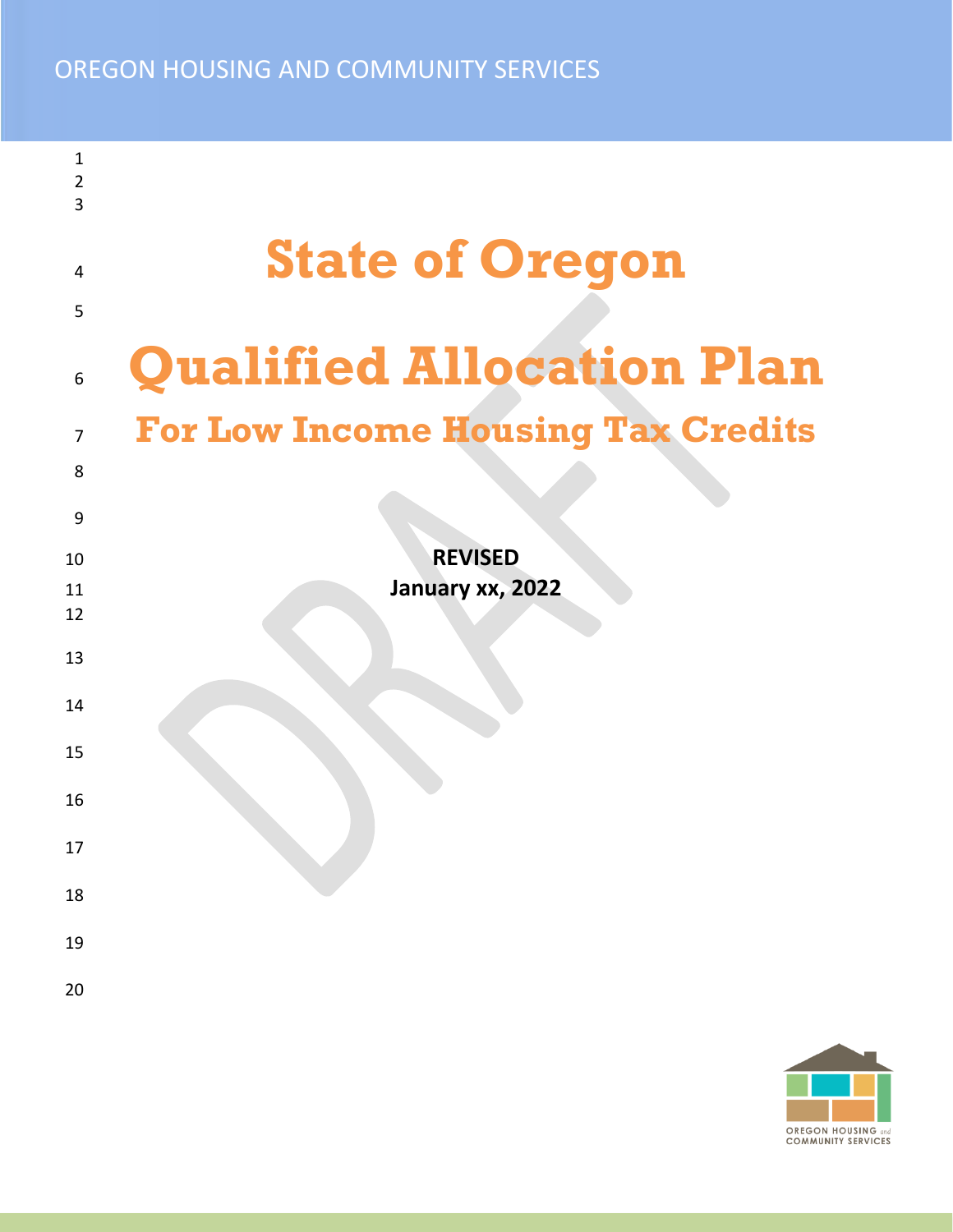## OREGON HOUSING AND COMMUNITY SERVICES

| 1              |                                           |
|----------------|-------------------------------------------|
| $\overline{2}$ |                                           |
| 3              |                                           |
|                |                                           |
| 4              | <b>State of Oregon</b>                    |
|                |                                           |
| 5              |                                           |
| 6              | <b>Qualified Allocation Plan</b>          |
|                |                                           |
| $\overline{7}$ | <b>For Low Income Housing Tax Credits</b> |
| 8              |                                           |
|                |                                           |
| 9              |                                           |
| 10             | <b>REVISED</b>                            |
| 11             | January xx, 2022                          |
| 12             |                                           |
|                |                                           |
| 13             |                                           |
| 14             |                                           |
|                |                                           |
| 15             |                                           |
|                |                                           |
| 16             |                                           |
|                |                                           |
| 17             |                                           |
| 18             |                                           |
|                |                                           |
| 19             |                                           |
|                |                                           |
| 20             |                                           |

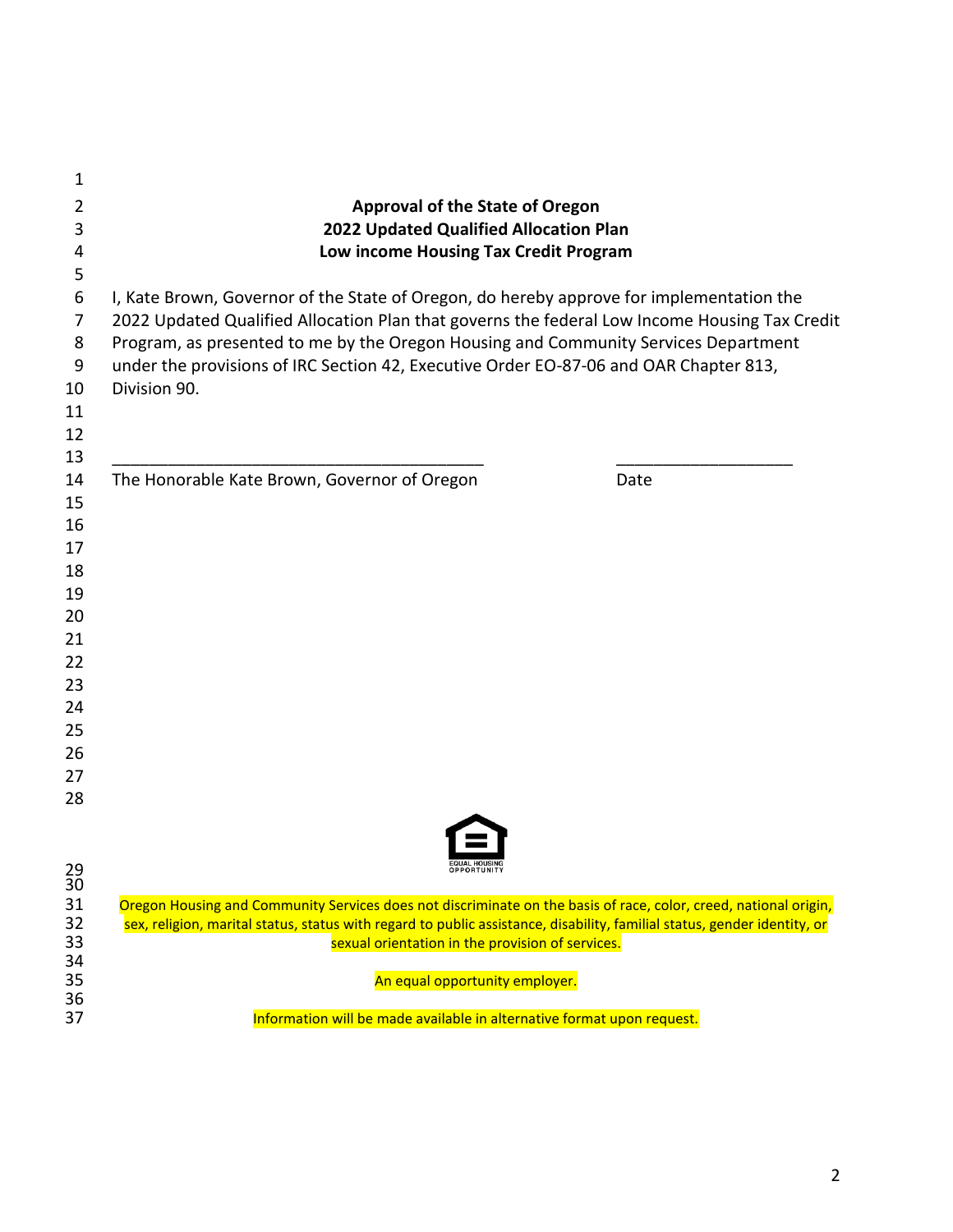| 1                     |                                                                                                                          |      |
|-----------------------|--------------------------------------------------------------------------------------------------------------------------|------|
| 2                     | <b>Approval of the State of Oregon</b>                                                                                   |      |
| 3                     | 2022 Updated Qualified Allocation Plan                                                                                   |      |
| 4                     | Low income Housing Tax Credit Program                                                                                    |      |
| 5                     |                                                                                                                          |      |
| 6                     | I, Kate Brown, Governor of the State of Oregon, do hereby approve for implementation the                                 |      |
| 7                     | 2022 Updated Qualified Allocation Plan that governs the federal Low Income Housing Tax Credit                            |      |
| 8                     | Program, as presented to me by the Oregon Housing and Community Services Department                                      |      |
| 9                     | under the provisions of IRC Section 42, Executive Order EO-87-06 and OAR Chapter 813,                                    |      |
| 10                    | Division 90.                                                                                                             |      |
| 11                    |                                                                                                                          |      |
| 12                    |                                                                                                                          |      |
| 13                    |                                                                                                                          |      |
| 14                    | The Honorable Kate Brown, Governor of Oregon                                                                             | Date |
| 15                    |                                                                                                                          |      |
| 16                    |                                                                                                                          |      |
| 17                    |                                                                                                                          |      |
| 18                    |                                                                                                                          |      |
| 19                    |                                                                                                                          |      |
| 20                    |                                                                                                                          |      |
| 21                    |                                                                                                                          |      |
| 22                    |                                                                                                                          |      |
| 23                    |                                                                                                                          |      |
| 24                    |                                                                                                                          |      |
| 25                    |                                                                                                                          |      |
| 26                    |                                                                                                                          |      |
| 27                    |                                                                                                                          |      |
| 28                    |                                                                                                                          |      |
|                       |                                                                                                                          |      |
|                       |                                                                                                                          |      |
| 29<br>$\overline{3}0$ |                                                                                                                          |      |
| 31                    | Oregon Housing and Community Services does not discriminate on the basis of race, color, creed, national origin,         |      |
| 32                    | sex, religion, marital status, status with regard to public assistance, disability, familial status, gender identity, or |      |
| 33                    | sexual orientation in the provision of services.                                                                         |      |
| 34<br>35              | An equal opportunity employer.                                                                                           |      |
| 36                    |                                                                                                                          |      |
| 37                    | Information will be made available in alternative format upon request.                                                   |      |
|                       |                                                                                                                          |      |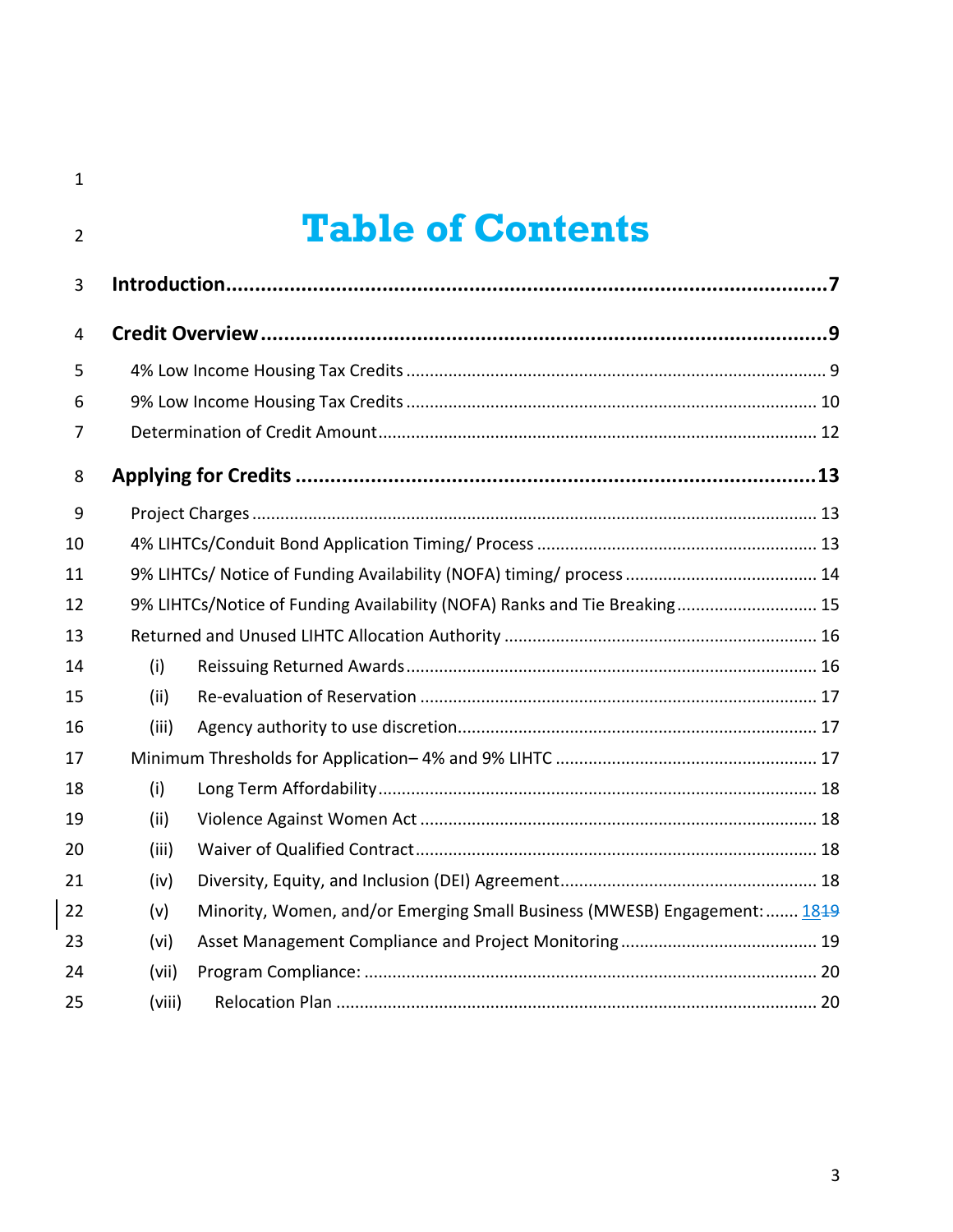$\begin{array}{c} \hline \end{array}$ 

# **Table of Contents**

| 3              |        |                                                                           |  |
|----------------|--------|---------------------------------------------------------------------------|--|
| $\overline{4}$ |        |                                                                           |  |
| 5              |        |                                                                           |  |
| 6              |        |                                                                           |  |
| $\overline{7}$ |        |                                                                           |  |
| 8              |        |                                                                           |  |
| 9              |        |                                                                           |  |
| 10             |        |                                                                           |  |
| 11             |        |                                                                           |  |
| 12             |        | 9% LIHTCs/Notice of Funding Availability (NOFA) Ranks and Tie Breaking 15 |  |
| 13             |        |                                                                           |  |
| 14             | (i)    |                                                                           |  |
| 15             | (ii)   |                                                                           |  |
| 16             | (iii)  |                                                                           |  |
| 17             |        |                                                                           |  |
| 18             | (i)    |                                                                           |  |
| 19             | (ii)   |                                                                           |  |
| 20             | (iii)  |                                                                           |  |
| 21             | (iv)   |                                                                           |  |
| 22             | (v)    | Minority, Women, and/or Emerging Small Business (MWESB) Engagement:  1849 |  |
| 23             | (vi)   |                                                                           |  |
| 24             | (vii)  |                                                                           |  |
| 25             | (viii) |                                                                           |  |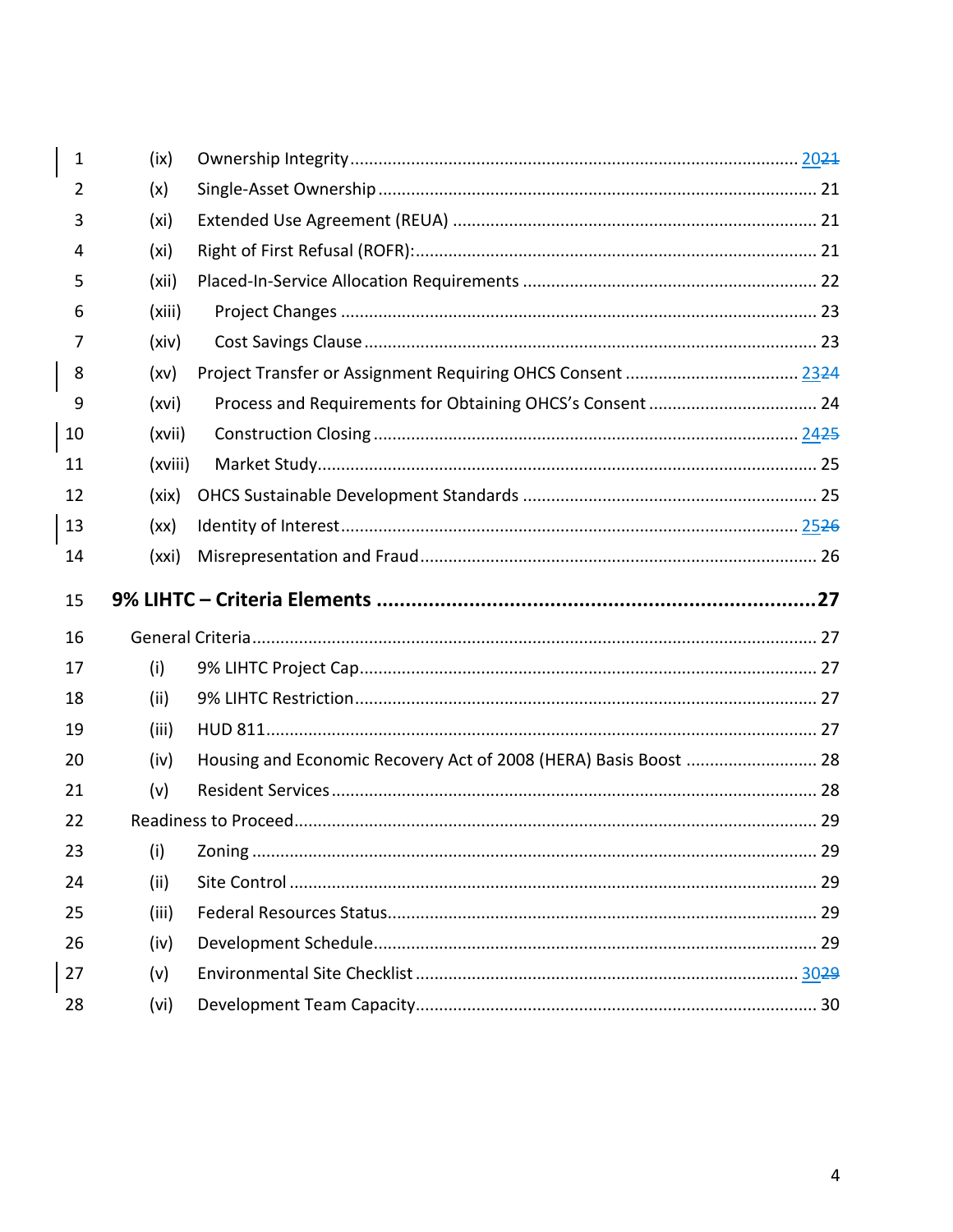| 1              | (ix)    |                                                                  |  |
|----------------|---------|------------------------------------------------------------------|--|
| $\overline{2}$ | (x)     |                                                                  |  |
| 3              | (xi)    |                                                                  |  |
| 4              | (xi)    |                                                                  |  |
| 5              | (xii)   |                                                                  |  |
| 6              | (xiii)  |                                                                  |  |
| 7              | (xiv)   |                                                                  |  |
| 8              | (xv)    |                                                                  |  |
| 9              | (xvi)   |                                                                  |  |
| 10             | (xvii)  |                                                                  |  |
| 11             | (xviii) |                                                                  |  |
| 12             | (xix)   |                                                                  |  |
| 13             | (xx)    |                                                                  |  |
| 14             | (xxi)   |                                                                  |  |
|                |         |                                                                  |  |
| 15             |         |                                                                  |  |
| 16             |         |                                                                  |  |
| 17             | (i)     |                                                                  |  |
| 18             | (ii)    |                                                                  |  |
| 19             | (iii)   |                                                                  |  |
| 20             | (iv)    | Housing and Economic Recovery Act of 2008 (HERA) Basis Boost  28 |  |
| 21             | (v)     |                                                                  |  |
| 22             |         |                                                                  |  |
| 23             | (i)     |                                                                  |  |
| 24             | (ii)    |                                                                  |  |
| 25             | (iii)   |                                                                  |  |
| 26             | (iv)    |                                                                  |  |
| 27             | (v)     |                                                                  |  |
| 28             | (vi)    |                                                                  |  |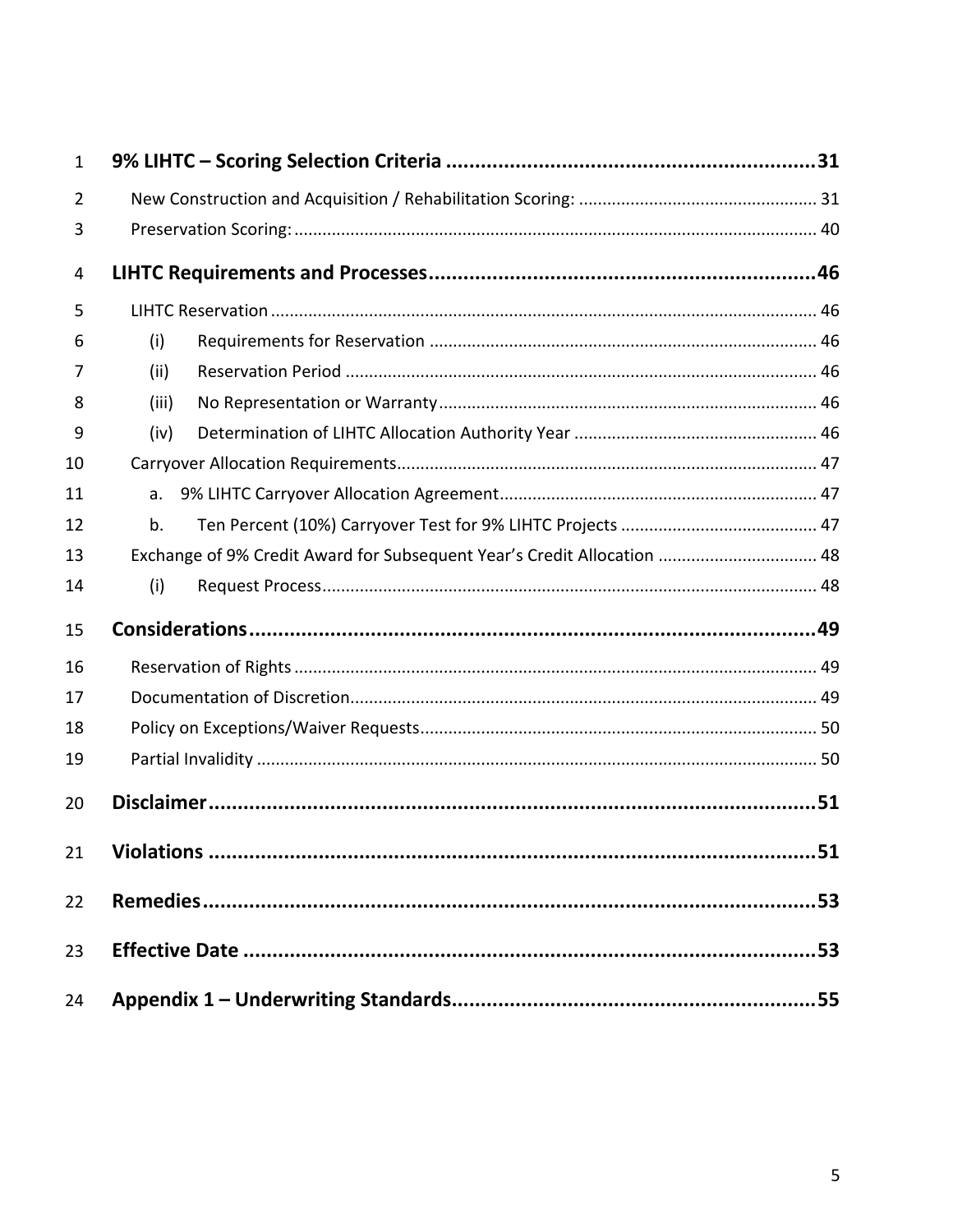| $\mathbf{1}$ |                                                                         |  |
|--------------|-------------------------------------------------------------------------|--|
| 2            |                                                                         |  |
| 3            |                                                                         |  |
| 4            |                                                                         |  |
| 5            |                                                                         |  |
| 6            | (i)                                                                     |  |
| 7            | (ii)                                                                    |  |
| 8            | (iii)                                                                   |  |
| 9            | (iv)                                                                    |  |
| 10           |                                                                         |  |
| 11           | a.                                                                      |  |
| 12           | b.                                                                      |  |
| 13           | Exchange of 9% Credit Award for Subsequent Year's Credit Allocation  48 |  |
| 14           | (i)                                                                     |  |
| 15           |                                                                         |  |
| 16           |                                                                         |  |
| 17           |                                                                         |  |
| 18           |                                                                         |  |
| 19           |                                                                         |  |
| 20           |                                                                         |  |
| 21           |                                                                         |  |
| 22           |                                                                         |  |
| 23           |                                                                         |  |
| 24           |                                                                         |  |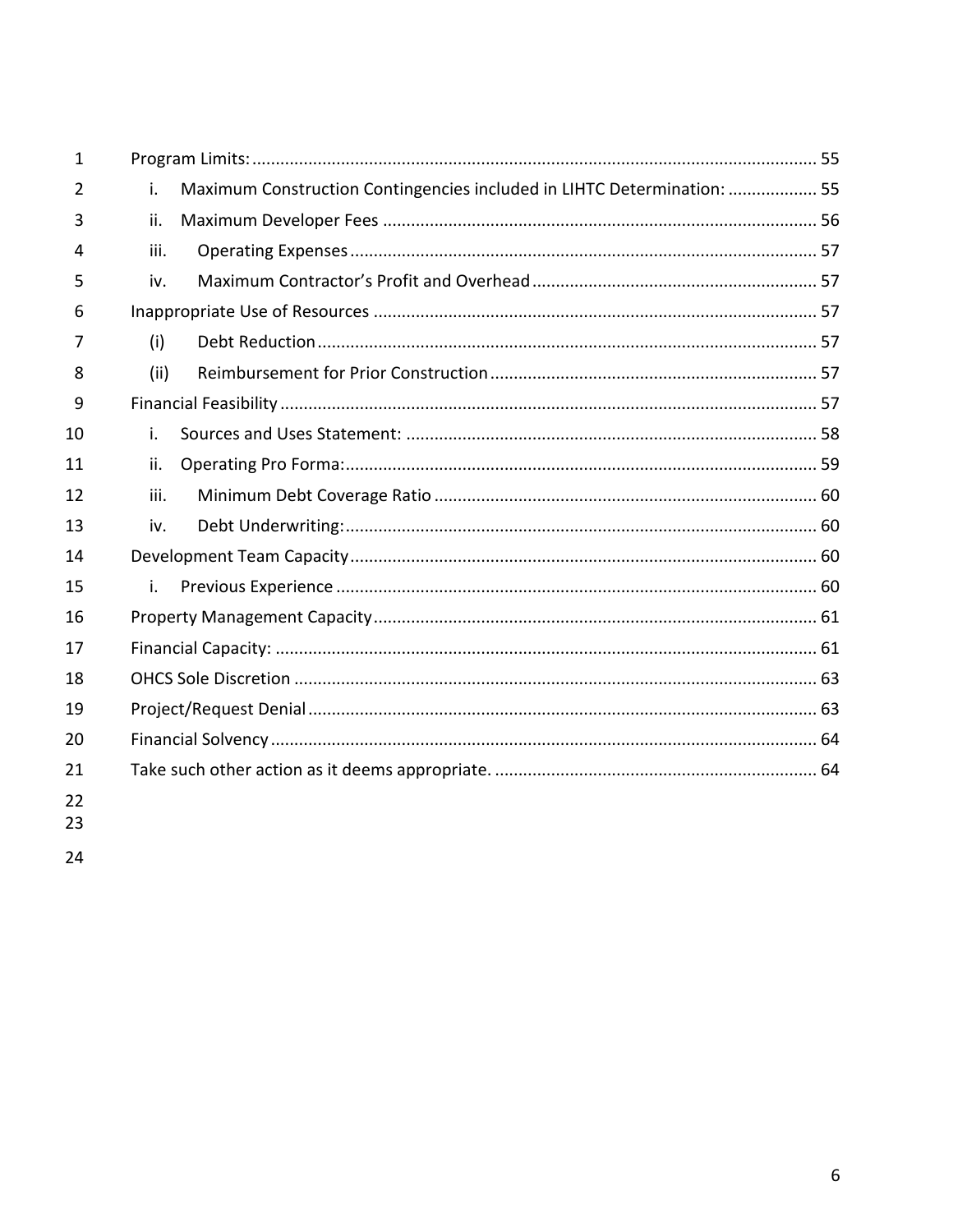| $\mathbf{1}$ |      |                                                                         |  |
|--------------|------|-------------------------------------------------------------------------|--|
| 2            | i.   | Maximum Construction Contingencies included in LIHTC Determination:  55 |  |
| 3            | ii.  |                                                                         |  |
| 4            | iii. |                                                                         |  |
| 5            | iv.  |                                                                         |  |
| 6            |      |                                                                         |  |
| 7            | (i)  |                                                                         |  |
| 8            | (ii) |                                                                         |  |
| 9            |      |                                                                         |  |
| 10           | i.   |                                                                         |  |
| 11           | ii.  |                                                                         |  |
| 12           | iii. |                                                                         |  |
| 13           | iv.  |                                                                         |  |
| 14           |      |                                                                         |  |
| 15           | i.   |                                                                         |  |
| 16           |      |                                                                         |  |
| 17           |      |                                                                         |  |
| 18           |      |                                                                         |  |
| 19           |      |                                                                         |  |
| 20           |      |                                                                         |  |
| 21           |      |                                                                         |  |
| 22           |      |                                                                         |  |
|              |      |                                                                         |  |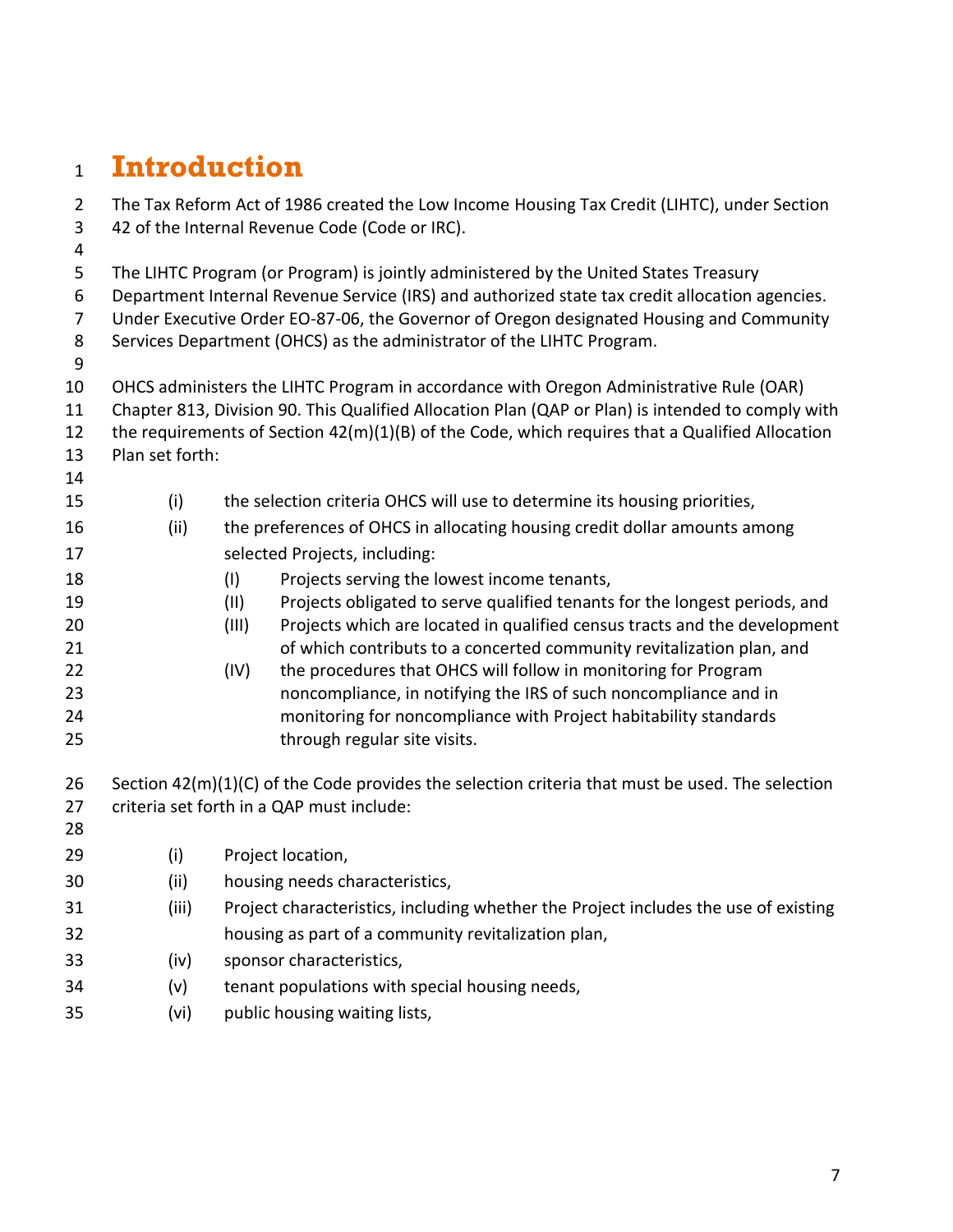## <span id="page-6-0"></span>**Introduction**

| $\overline{2}$ | The Tax Reform Act of 1986 created the Low Income Housing Tax Credit (LIHTC), under Section    |                                                                                                   |  |
|----------------|------------------------------------------------------------------------------------------------|---------------------------------------------------------------------------------------------------|--|
| 3              | 42 of the Internal Revenue Code (Code or IRC).                                                 |                                                                                                   |  |
| 4              |                                                                                                |                                                                                                   |  |
| 5              |                                                                                                | The LIHTC Program (or Program) is jointly administered by the United States Treasury              |  |
| 6              | Department Internal Revenue Service (IRS) and authorized state tax credit allocation agencies. |                                                                                                   |  |
| 7              |                                                                                                | Under Executive Order EO-87-06, the Governor of Oregon designated Housing and Community           |  |
| 8              |                                                                                                | Services Department (OHCS) as the administrator of the LIHTC Program.                             |  |
| 9              |                                                                                                |                                                                                                   |  |
| 10             |                                                                                                | OHCS administers the LIHTC Program in accordance with Oregon Administrative Rule (OAR)            |  |
| 11             |                                                                                                | Chapter 813, Division 90. This Qualified Allocation Plan (QAP or Plan) is intended to comply with |  |
| 12             |                                                                                                | the requirements of Section 42(m)(1)(B) of the Code, which requires that a Qualified Allocation   |  |
| 13             | Plan set forth:                                                                                |                                                                                                   |  |
| 14             |                                                                                                |                                                                                                   |  |
| 15             | (i)                                                                                            | the selection criteria OHCS will use to determine its housing priorities,                         |  |
| 16             | (ii)                                                                                           | the preferences of OHCS in allocating housing credit dollar amounts among                         |  |
| 17             |                                                                                                | selected Projects, including:                                                                     |  |
| 18             |                                                                                                | Projects serving the lowest income tenants,<br>(1)                                                |  |
| 19             |                                                                                                | Projects obligated to serve qualified tenants for the longest periods, and<br>(11)                |  |
| 20             |                                                                                                | Projects which are located in qualified census tracts and the development<br>(III)                |  |
| 21             |                                                                                                | of which contributs to a concerted community revitalization plan, and                             |  |
| 22             |                                                                                                | the procedures that OHCS will follow in monitoring for Program<br>(IV)                            |  |
| 23             |                                                                                                | noncompliance, in notifying the IRS of such noncompliance and in                                  |  |
| 24<br>25       |                                                                                                | monitoring for noncompliance with Project habitability standards<br>through regular site visits.  |  |
|                |                                                                                                |                                                                                                   |  |
| 26             |                                                                                                | Section 42(m)(1)(C) of the Code provides the selection criteria that must be used. The selection  |  |
| 27             |                                                                                                | criteria set forth in a QAP must include:                                                         |  |
| 28             |                                                                                                |                                                                                                   |  |
| 29             | (i)                                                                                            | Project location,                                                                                 |  |
| 30             | (ii)                                                                                           | housing needs characteristics,                                                                    |  |
| 31             | (iii)                                                                                          | Project characteristics, including whether the Project includes the use of existing               |  |
| 32             |                                                                                                | housing as part of a community revitalization plan,                                               |  |
| 33             | (iv)                                                                                           | sponsor characteristics,                                                                          |  |
| 34             | (v)                                                                                            | tenant populations with special housing needs,                                                    |  |
| 35             | (vi)                                                                                           | public housing waiting lists,                                                                     |  |
|                |                                                                                                |                                                                                                   |  |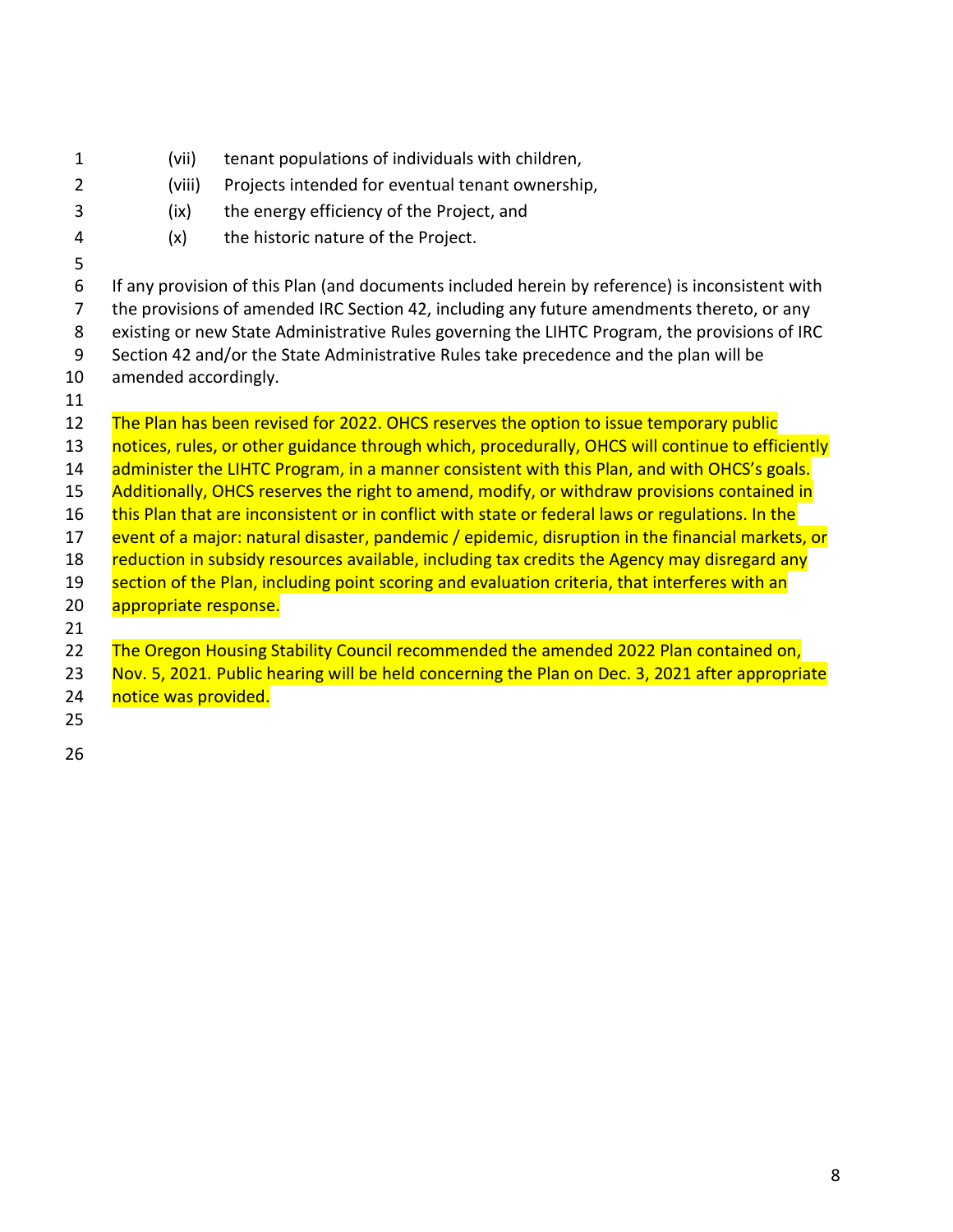| $\mathbf{1}$ | (vii)                 | tenant populations of individuals with children,                                                 |
|--------------|-----------------------|--------------------------------------------------------------------------------------------------|
| 2            | (viii)                | Projects intended for eventual tenant ownership,                                                 |
| 3            | (ix)                  | the energy efficiency of the Project, and                                                        |
| 4            | (x)                   | the historic nature of the Project.                                                              |
| 5            |                       |                                                                                                  |
| 6            |                       | If any provision of this Plan (and documents included herein by reference) is inconsistent with  |
| 7            |                       | the provisions of amended IRC Section 42, including any future amendments thereto, or any        |
| 8            |                       | existing or new State Administrative Rules governing the LIHTC Program, the provisions of IRC    |
| 9            |                       | Section 42 and/or the State Administrative Rules take precedence and the plan will be            |
| 10           | amended accordingly.  |                                                                                                  |
| 11           |                       |                                                                                                  |
| 12           |                       | The Plan has been revised for 2022. OHCS reserves the option to issue temporary public           |
| 13           |                       | notices, rules, or other guidance through which, procedurally, OHCS will continue to efficiently |
| 14           |                       | administer the LIHTC Program, in a manner consistent with this Plan, and with OHCS's goals.      |
| 15           |                       | Additionally, OHCS reserves the right to amend, modify, or withdraw provisions contained in      |
| 16           |                       | this Plan that are inconsistent or in conflict with state or federal laws or regulations. In the |
| 17           |                       | event of a major: natural disaster, pandemic / epidemic, disruption in the financial markets, or |
| 18           |                       | reduction in subsidy resources available, including tax credits the Agency may disregard any     |
| 19           |                       | section of the Plan, including point scoring and evaluation criteria, that interferes with an    |
| 20           | appropriate response. |                                                                                                  |
| 21           |                       |                                                                                                  |
| 22           |                       | The Oregon Housing Stability Council recommended the amended 2022 Plan contained on,             |
| 23           |                       | Nov. 5, 2021. Public hearing will be held concerning the Plan on Dec. 3, 2021 after appropriate  |
| 24           | notice was provided.  |                                                                                                  |
| 25           |                       |                                                                                                  |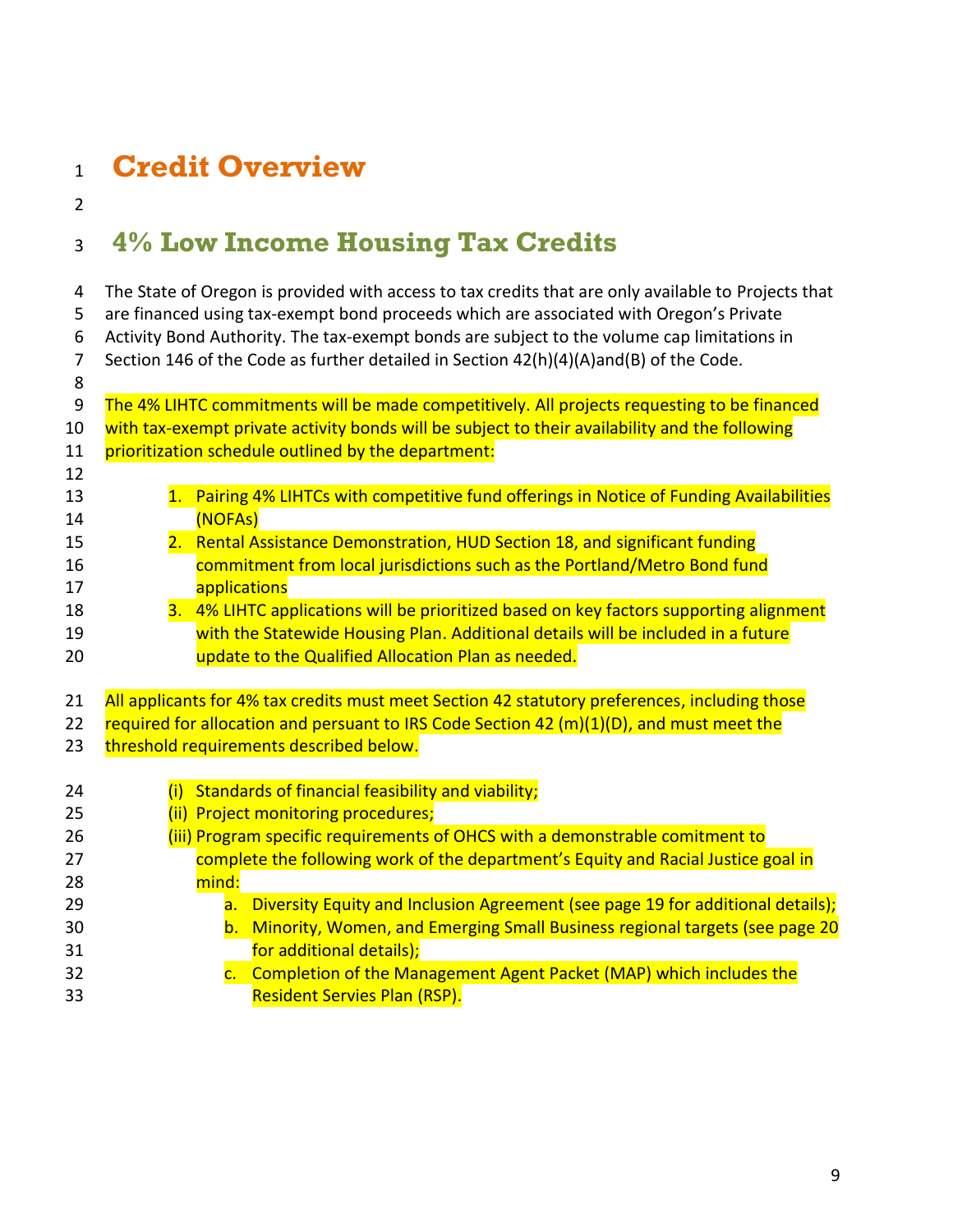## <span id="page-8-0"></span>**Credit Overview**

## <span id="page-8-1"></span>**4% Low Income Housing Tax Credits**

 The State of Oregon is provided with access to tax credits that are only available to Projects that are financed using tax-exempt bond proceeds which are associated with Oregon's Private Activity Bond Authority. The tax-exempt bonds are subject to the volume cap limitations in Section 146 of the Code as further detailed in Section 42(h)(4)(A)and(B) of the Code. 9 The 4% LIHTC commitments will be made competitively. All projects requesting to be financed 10 with tax-exempt private activity bonds will be subject to their availability and the following 11 prioritization schedule outlined by the department: 13 1. Pairing 4% LIHTCs with competitive fund offerings in Notice of Funding Availabilities 14 (NOFAs) 2. Rental Assistance Demonstration, HUD Section 18, and significant funding **commitment from local jurisdictions such as the Portland/Metro Bond fund applications** 18 3. 4% LIHTC applications will be prioritized based on key factors supporting alignment **with the Statewide Housing Plan. Additional details will be included in a future**  update to the Qualified Allocation Plan as needed. 21 All applicants for 4% tax credits must meet Section 42 statutory preferences, including those 22 required for allocation and persuant to IRS Code Section 42 (m)(1)(D), and must meet the 23 threshold requirements described below. (i) Standards of financial feasibility and viability; 25 (ii) Project monitoring procedures; **(iii) Program specific requirements of OHCS with a demonstrable comitment to**  complete the following work of the department's Equity and Racial Justice goal in 28 mind: **a.** Diversity Equity and Inclusion Agreement (see page 19 for additional details); b. Minority, Women, and Emerging Small Business regional targets (see page 20 **for additional details);** 32 c. Completion of the Management Agent Packet (MAP) which includes the Resident Servies Plan (RSP).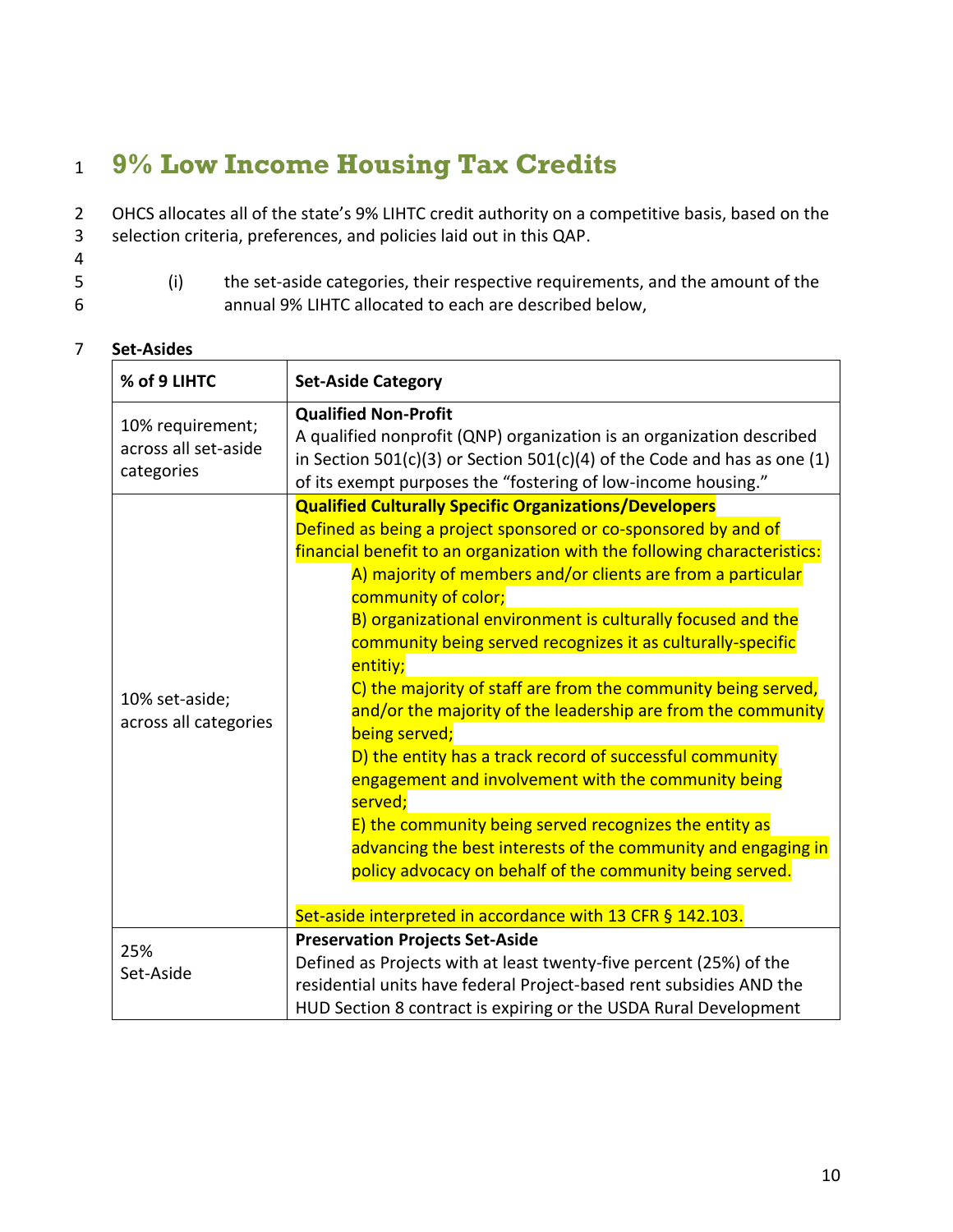## <span id="page-9-0"></span><sup>1</sup> **9% Low Income Housing Tax Credits**

 OHCS allocates all of the state's 9% LIHTC credit authority on a competitive basis, based on the selection criteria, preferences, and policies laid out in this QAP. 4 (i) the set-aside categories, their respective requirements, and the amount of the annual 9% LIHTC allocated to each are described below,

#### 7 **Set-Asides**

| % of 9 LIHTC                                           | <b>Set-Aside Category</b>                                                                                                                                                                                                                                                                                                                                                                                                                                                                                                                                                                                                                                                                                                                                                                                                                                                                                                                                                        |
|--------------------------------------------------------|----------------------------------------------------------------------------------------------------------------------------------------------------------------------------------------------------------------------------------------------------------------------------------------------------------------------------------------------------------------------------------------------------------------------------------------------------------------------------------------------------------------------------------------------------------------------------------------------------------------------------------------------------------------------------------------------------------------------------------------------------------------------------------------------------------------------------------------------------------------------------------------------------------------------------------------------------------------------------------|
| 10% requirement;<br>across all set-aside<br>categories | <b>Qualified Non-Profit</b><br>A qualified nonprofit (QNP) organization is an organization described<br>in Section 501(c)(3) or Section 501(c)(4) of the Code and has as one (1)<br>of its exempt purposes the "fostering of low-income housing."                                                                                                                                                                                                                                                                                                                                                                                                                                                                                                                                                                                                                                                                                                                                |
| 10% set-aside;<br>across all categories                | <b>Qualified Culturally Specific Organizations/Developers</b><br>Defined as being a project sponsored or co-sponsored by and of<br>financial benefit to an organization with the following characteristics:<br>A) majority of members and/or clients are from a particular<br>community of color;<br>B) organizational environment is culturally focused and the<br>community being served recognizes it as culturally-specific<br>entitiy;<br>C) the majority of staff are from the community being served,<br>and/or the majority of the leadership are from the community<br>being served;<br>D) the entity has a track record of successful community<br>engagement and involvement with the community being<br>served;<br>E) the community being served recognizes the entity as<br>advancing the best interests of the community and engaging in<br>policy advocacy on behalf of the community being served.<br>Set-aside interpreted in accordance with 13 CFR § 142.103. |
| 25%<br>Set-Aside                                       | <b>Preservation Projects Set-Aside</b><br>Defined as Projects with at least twenty-five percent (25%) of the<br>residential units have federal Project-based rent subsidies AND the<br>HUD Section 8 contract is expiring or the USDA Rural Development                                                                                                                                                                                                                                                                                                                                                                                                                                                                                                                                                                                                                                                                                                                          |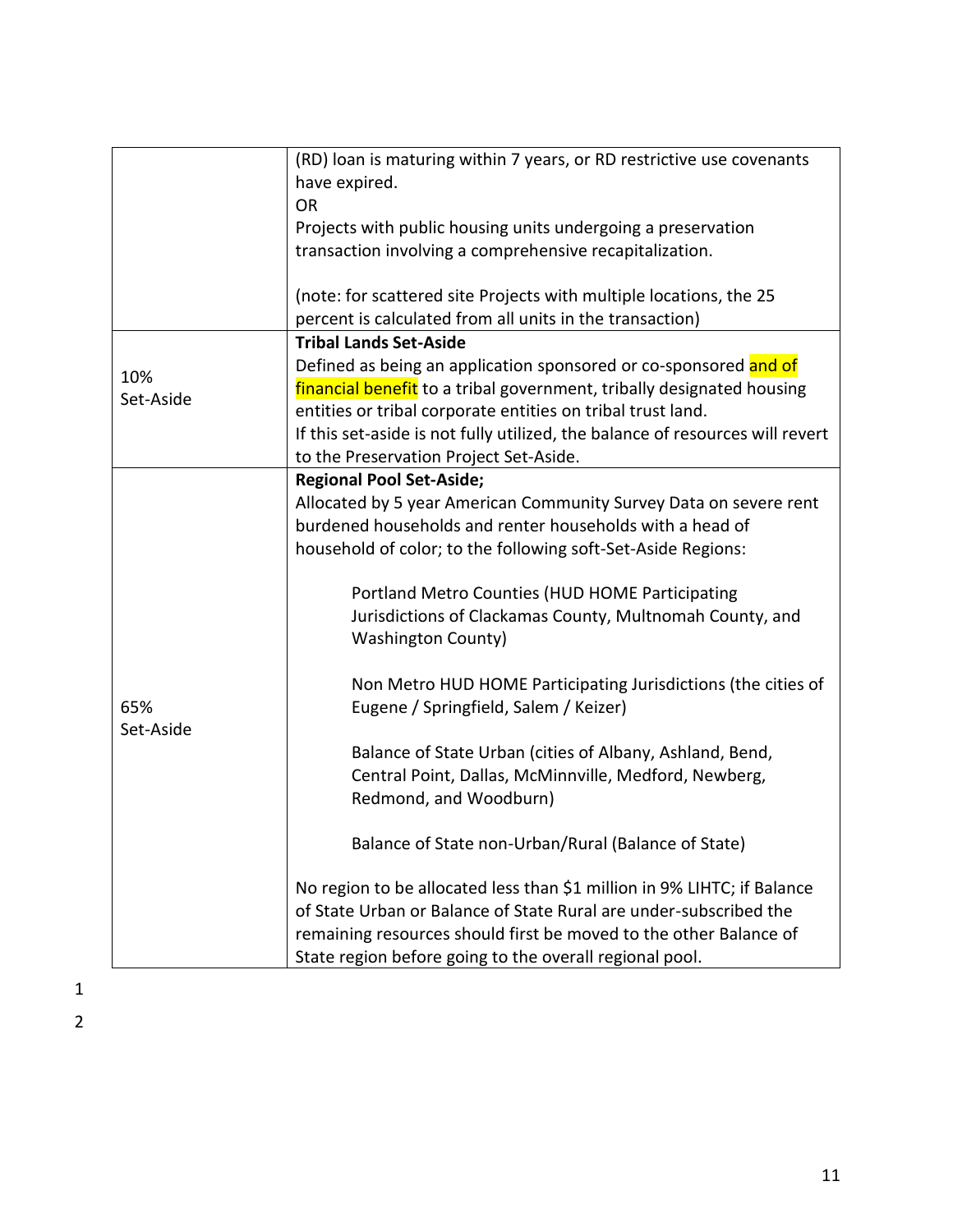|                  | (RD) loan is maturing within 7 years, or RD restrictive use covenants<br>have expired.<br><b>OR</b><br>Projects with public housing units undergoing a preservation<br>transaction involving a comprehensive recapitalization.<br>(note: for scattered site Projects with multiple locations, the 25                                                                                                                                                                                                                                                                                                                                                                                                                                                                                                                                                                                                                                                                         |
|------------------|------------------------------------------------------------------------------------------------------------------------------------------------------------------------------------------------------------------------------------------------------------------------------------------------------------------------------------------------------------------------------------------------------------------------------------------------------------------------------------------------------------------------------------------------------------------------------------------------------------------------------------------------------------------------------------------------------------------------------------------------------------------------------------------------------------------------------------------------------------------------------------------------------------------------------------------------------------------------------|
|                  | percent is calculated from all units in the transaction)                                                                                                                                                                                                                                                                                                                                                                                                                                                                                                                                                                                                                                                                                                                                                                                                                                                                                                                     |
| 10%<br>Set-Aside | <b>Tribal Lands Set-Aside</b><br>Defined as being an application sponsored or co-sponsored and of<br>financial benefit to a tribal government, tribally designated housing<br>entities or tribal corporate entities on tribal trust land.<br>If this set-aside is not fully utilized, the balance of resources will revert<br>to the Preservation Project Set-Aside.                                                                                                                                                                                                                                                                                                                                                                                                                                                                                                                                                                                                         |
| 65%<br>Set-Aside | <b>Regional Pool Set-Aside;</b><br>Allocated by 5 year American Community Survey Data on severe rent<br>burdened households and renter households with a head of<br>household of color; to the following soft-Set-Aside Regions:<br>Portland Metro Counties (HUD HOME Participating<br>Jurisdictions of Clackamas County, Multnomah County, and<br><b>Washington County)</b><br>Non Metro HUD HOME Participating Jurisdictions (the cities of<br>Eugene / Springfield, Salem / Keizer)<br>Balance of State Urban (cities of Albany, Ashland, Bend,<br>Central Point, Dallas, McMinnville, Medford, Newberg,<br>Redmond, and Woodburn)<br>Balance of State non-Urban/Rural (Balance of State)<br>No region to be allocated less than \$1 million in 9% LIHTC; if Balance<br>of State Urban or Balance of State Rural are under-subscribed the<br>remaining resources should first be moved to the other Balance of<br>State region before going to the overall regional pool. |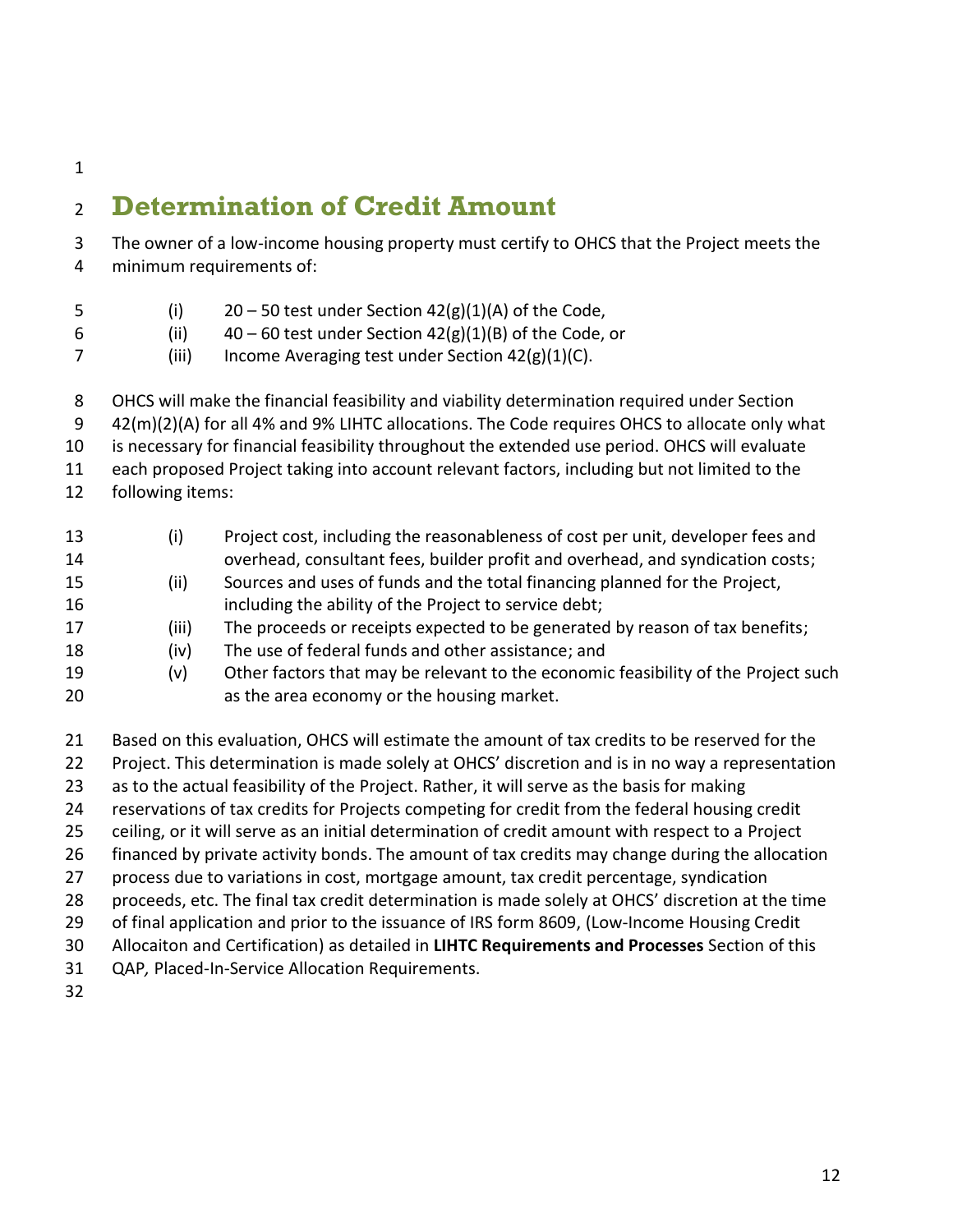## <span id="page-11-0"></span>**Determination of Credit Amount**

- The owner of a low-income housing property must certify to OHCS that the Project meets the minimum requirements of:
- 5 (i)  $20 50$  test under Section  $42(g)(1)(A)$  of the Code,
- 6 (ii)  $40 60$  test under Section  $42(g)(1)(B)$  of the Code, or
- (iii) Income Averaging test under Section 42(g)(1)(C).
- OHCS will make the financial feasibility and viability determination required under Section
- 42(m)(2)(A) for all 4% and 9% LIHTC allocations. The Code requires OHCS to allocate only what
- is necessary for financial feasibility throughout the extended use period. OHCS will evaluate
- each proposed Project taking into account relevant factors, including but not limited to the
- following items:

| 13<br>14 | (i)   | Project cost, including the reasonableness of cost per unit, developer fees and<br>overhead, consultant fees, builder profit and overhead, and syndication costs; |
|----------|-------|-------------------------------------------------------------------------------------------------------------------------------------------------------------------|
| 15       | (ii)  | Sources and uses of funds and the total financing planned for the Project,                                                                                        |
| 16       |       | including the ability of the Project to service debt;                                                                                                             |
| 17       | (iii) | The proceeds or receipts expected to be generated by reason of tax benefits;                                                                                      |
| 18       | (iv)  | The use of federal funds and other assistance; and                                                                                                                |
| 19       | (v)   | Other factors that may be relevant to the economic feasibility of the Project such                                                                                |
| 20       |       | as the area economy or the housing market.                                                                                                                        |

- Based on this evaluation, OHCS will estimate the amount of tax credits to be reserved for the
- Project. This determination is made solely at OHCS' discretion and is in no way a representation
- 23 as to the actual feasibility of the Project. Rather, it will serve as the basis for making
- reservations of tax credits for Projects competing for credit from the federal housing credit
- ceiling, or it will serve as an initial determination of credit amount with respect to a Project
- financed by private activity bonds. The amount of tax credits may change during the allocation
- process due to variations in cost, mortgage amount, tax credit percentage, syndication
- proceeds, etc. The final tax credit determination is made solely at OHCS' discretion at the time
- 29 of final application and prior to the issuance of IRS form 8609, (Low-Income Housing Credit
- Allocaiton and Certification) as detailed in **LIHTC Requirements and Processes** Section of this
- QAP*,* Placed-In-Service Allocation Requirements.
-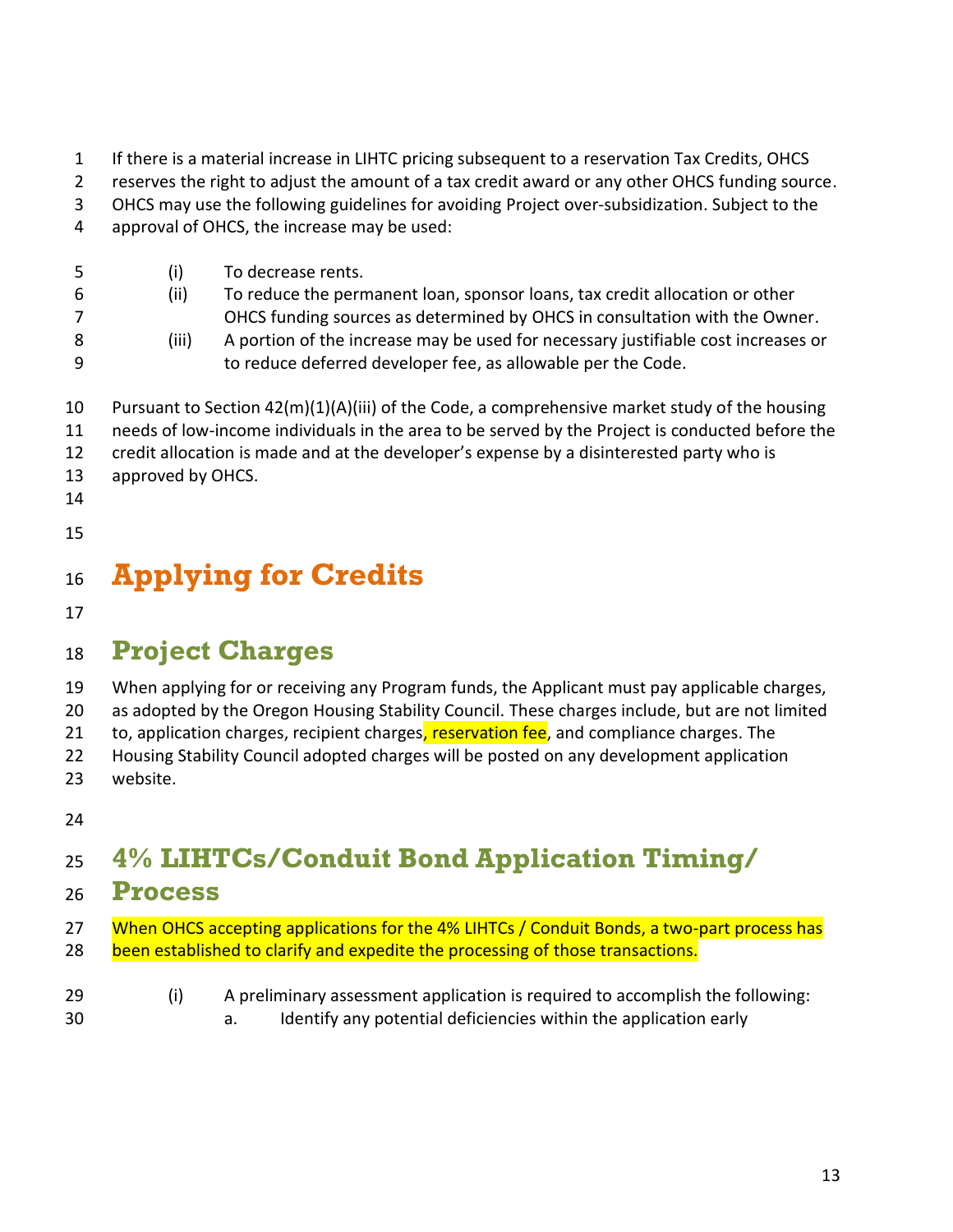- If there is a material increase in LIHTC pricing subsequent to a reservation Tax Credits, OHCS
- reserves the right to adjust the amount of a tax credit award or any other OHCS funding source.
- OHCS may use the following guidelines for avoiding Project over-subsidization. Subject to the
- approval of OHCS, the increase may be used:

| -5<br>-6<br>-8 | (i)<br>(ii)<br>(iii) | To decrease rents.<br>To reduce the permanent loan, sponsor loans, tax credit allocation or other<br>OHCS funding sources as determined by OHCS in consultation with the Owner.<br>A portion of the increase may be used for necessary justifiable cost increases or<br>to reduce deferred developer fee, as allowable per the Code. |
|----------------|----------------------|--------------------------------------------------------------------------------------------------------------------------------------------------------------------------------------------------------------------------------------------------------------------------------------------------------------------------------------|
| 10             |                      | Pursuant to Section 42(m)(1)(A)(iii) of the Code, a comprehensive market study of the housing                                                                                                                                                                                                                                        |

- needs of low-income individuals in the area to be served by the Project is conducted before the
- credit allocation is made and at the developer's expense by a disinterested party who is
- approved by OHCS.
- 
- 

## <span id="page-12-0"></span>**Applying for Credits**

## <span id="page-12-1"></span>**Project Charges**

When applying for or receiving any Program funds, the Applicant must pay applicable charges,

as adopted by the Oregon Housing Stability Council. These charges include, but are not limited

21 to, application charges, recipient charges, reservation fee, and compliance charges. The

Housing Stability Council adopted charges will be posted on any development application

- website.
- 

## <span id="page-12-2"></span>**4% LIHTCs/Conduit Bond Application Timing/**

- **Process**
- 27 When OHCS accepting applications for the 4% LIHTCs / Conduit Bonds, a two-part process has 28 been established to clarify and expedite the processing of those transactions.
- (i) A preliminary assessment application is required to accomplish the following: a. Identify any potential deficiencies within the application early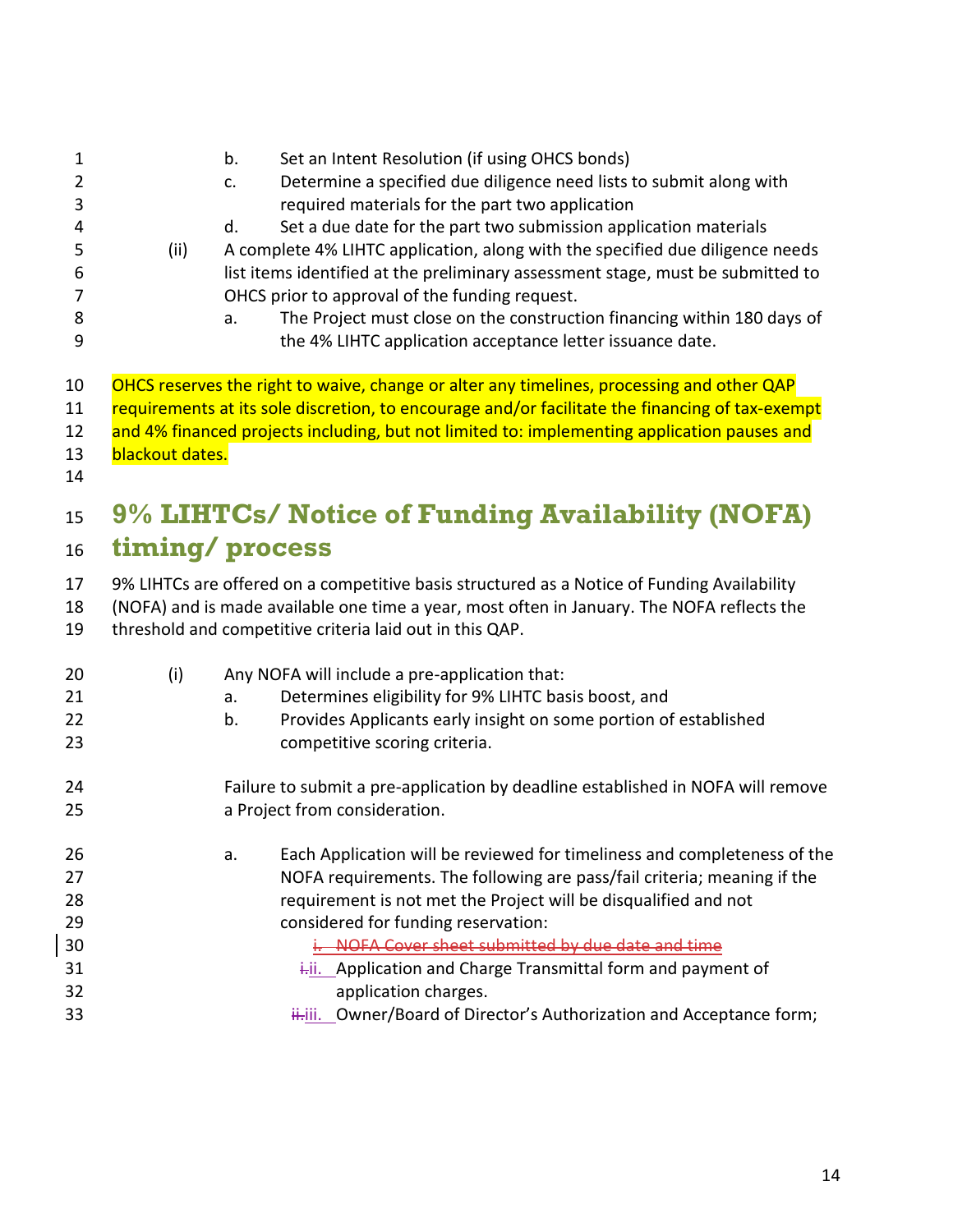<span id="page-13-0"></span>

| $\mathbf{1}$<br>$\overline{2}$<br>3<br>4<br>5<br>6<br>7<br>8<br>9 | (ii)            | b.<br>Set an Intent Resolution (if using OHCS bonds)<br>Determine a specified due diligence need lists to submit along with<br>c.<br>required materials for the part two application<br>Set a due date for the part two submission application materials<br>d.<br>A complete 4% LIHTC application, along with the specified due diligence needs<br>list items identified at the preliminary assessment stage, must be submitted to<br>OHCS prior to approval of the funding request.<br>The Project must close on the construction financing within 180 days of<br>a.<br>the 4% LIHTC application acceptance letter issuance date. |
|-------------------------------------------------------------------|-----------------|------------------------------------------------------------------------------------------------------------------------------------------------------------------------------------------------------------------------------------------------------------------------------------------------------------------------------------------------------------------------------------------------------------------------------------------------------------------------------------------------------------------------------------------------------------------------------------------------------------------------------------|
| 10<br>11<br>12<br>13<br>14                                        | blackout dates. | OHCS reserves the right to waive, change or alter any timelines, processing and other QAP<br>requirements at its sole discretion, to encourage and/or facilitate the financing of tax-exempt<br>and 4% financed projects including, but not limited to: implementing application pauses and                                                                                                                                                                                                                                                                                                                                        |
| 15                                                                |                 | 9% LIHTCs/ Notice of Funding Availability (NOFA)                                                                                                                                                                                                                                                                                                                                                                                                                                                                                                                                                                                   |
| 16                                                                |                 | timing/process                                                                                                                                                                                                                                                                                                                                                                                                                                                                                                                                                                                                                     |
| 17<br>18<br>19                                                    |                 | 9% LIHTCs are offered on a competitive basis structured as a Notice of Funding Availability<br>(NOFA) and is made available one time a year, most often in January. The NOFA reflects the<br>threshold and competitive criteria laid out in this QAP.                                                                                                                                                                                                                                                                                                                                                                              |
| 20<br>21<br>22<br>23                                              | (i)             | Any NOFA will include a pre-application that:<br>Determines eligibility for 9% LIHTC basis boost, and<br>a.<br>Provides Applicants early insight on some portion of established<br>b.<br>competitive scoring criteria.                                                                                                                                                                                                                                                                                                                                                                                                             |
| 24<br>25                                                          |                 | Failure to submit a pre-application by deadline established in NOFA will remove<br>a Project from consideration.                                                                                                                                                                                                                                                                                                                                                                                                                                                                                                                   |
| 26<br>27<br>28<br>29<br>30<br>31                                  |                 | Each Application will be reviewed for timeliness and completeness of the<br>a.<br>NOFA requirements. The following are pass/fail criteria; meaning if the<br>requirement is not met the Project will be disqualified and not<br>considered for funding reservation:<br>i. NOFA Cover sheet submitted by due date and time<br>i-ii. Application and Charge Transmittal form and payment of                                                                                                                                                                                                                                          |
| 32                                                                |                 | application charges.                                                                                                                                                                                                                                                                                                                                                                                                                                                                                                                                                                                                               |
| 33                                                                |                 | ii. Owner/Board of Director's Authorization and Acceptance form;                                                                                                                                                                                                                                                                                                                                                                                                                                                                                                                                                                   |

 $\overline{\phantom{a}}$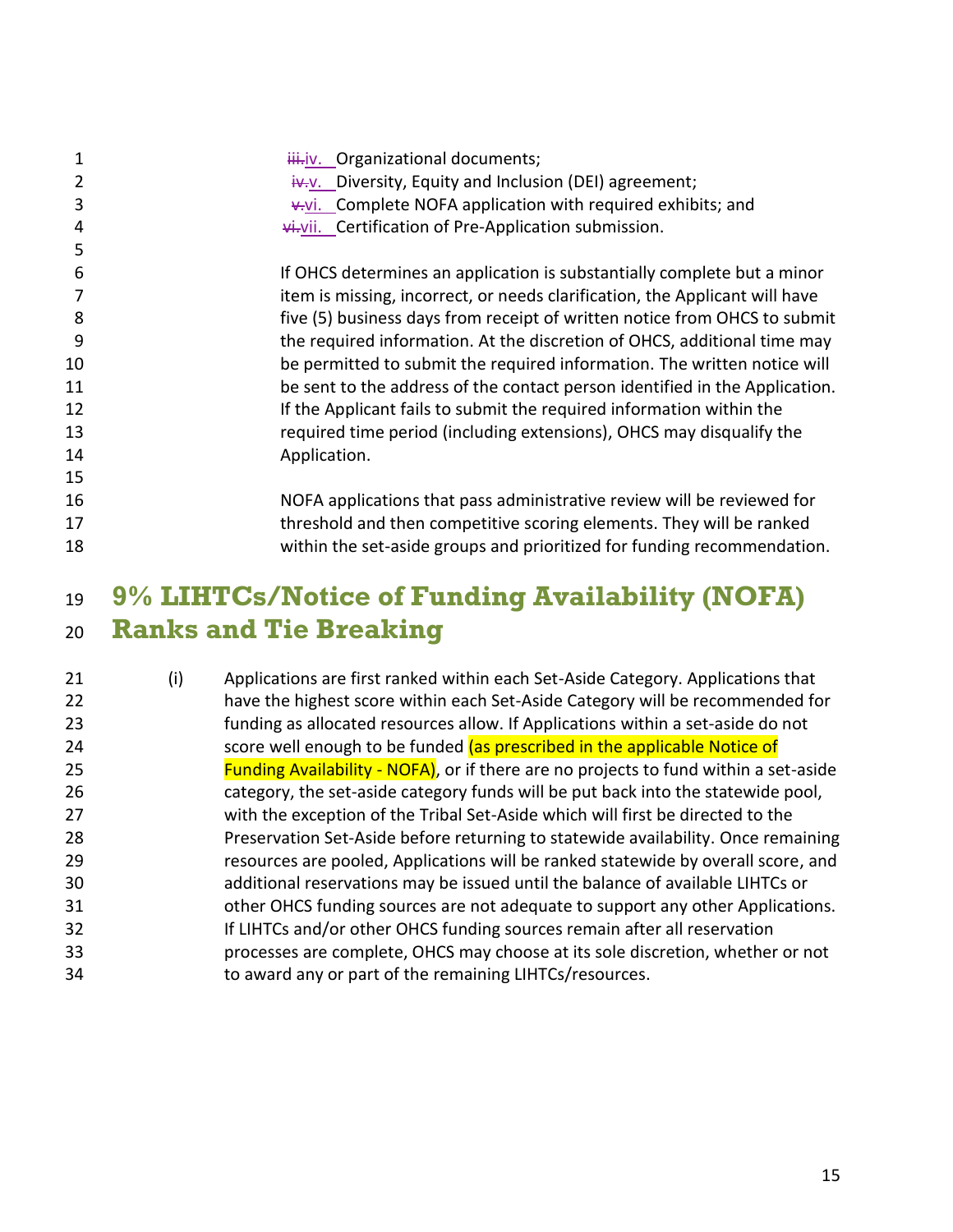| 1<br>2 | iii.jv. Organizational documents;<br>$iv-v$ . Diversity, Equity and Inclusion (DEI) agreement; |
|--------|------------------------------------------------------------------------------------------------|
| 3      | v.vi. Complete NOFA application with required exhibits; and                                    |
| 4      | vi.vii. Certification of Pre-Application submission.                                           |
| 5      |                                                                                                |
| 6      | If OHCS determines an application is substantially complete but a minor                        |
|        | item is missing, incorrect, or needs clarification, the Applicant will have                    |
| 8      | five (5) business days from receipt of written notice from OHCS to submit                      |
| 9      | the required information. At the discretion of OHCS, additional time may                       |
| 10     | be permitted to submit the required information. The written notice will                       |
| 11     | be sent to the address of the contact person identified in the Application.                    |
| 12     | If the Applicant fails to submit the required information within the                           |
| 13     | required time period (including extensions), OHCS may disqualify the                           |
| 14     | Application.                                                                                   |
| 15     |                                                                                                |
| 16     | NOFA applications that pass administrative review will be reviewed for                         |
| 17     | threshold and then competitive scoring elements. They will be ranked                           |
| 18     | within the set-aside groups and prioritized for funding recommendation.                        |

## <span id="page-14-0"></span> **9% LIHTCs/Notice of Funding Availability (NOFA) Ranks and Tie Breaking**

| (i) | Applications are first ranked within each Set-Aside Category. Applications that              |
|-----|----------------------------------------------------------------------------------------------|
|     | have the highest score within each Set-Aside Category will be recommended for                |
|     | funding as allocated resources allow. If Applications within a set-aside do not              |
|     | score well enough to be funded (as prescribed in the applicable Notice of                    |
|     | <b>Funding Availability - NOFA)</b> , or if there are no projects to fund within a set-aside |
|     | category, the set-aside category funds will be put back into the statewide pool,             |
|     | with the exception of the Tribal Set-Aside which will first be directed to the               |
|     | Preservation Set-Aside before returning to statewide availability. Once remaining            |
|     | resources are pooled, Applications will be ranked statewide by overall score, and            |
|     | additional reservations may be issued until the balance of available LIHTCs or               |
|     | other OHCS funding sources are not adequate to support any other Applications.               |
|     | If LIHTCs and/or other OHCS funding sources remain after all reservation                     |
|     | processes are complete, OHCS may choose at its sole discretion, whether or not               |
|     | to award any or part of the remaining LIHTCs/resources.                                      |
|     |                                                                                              |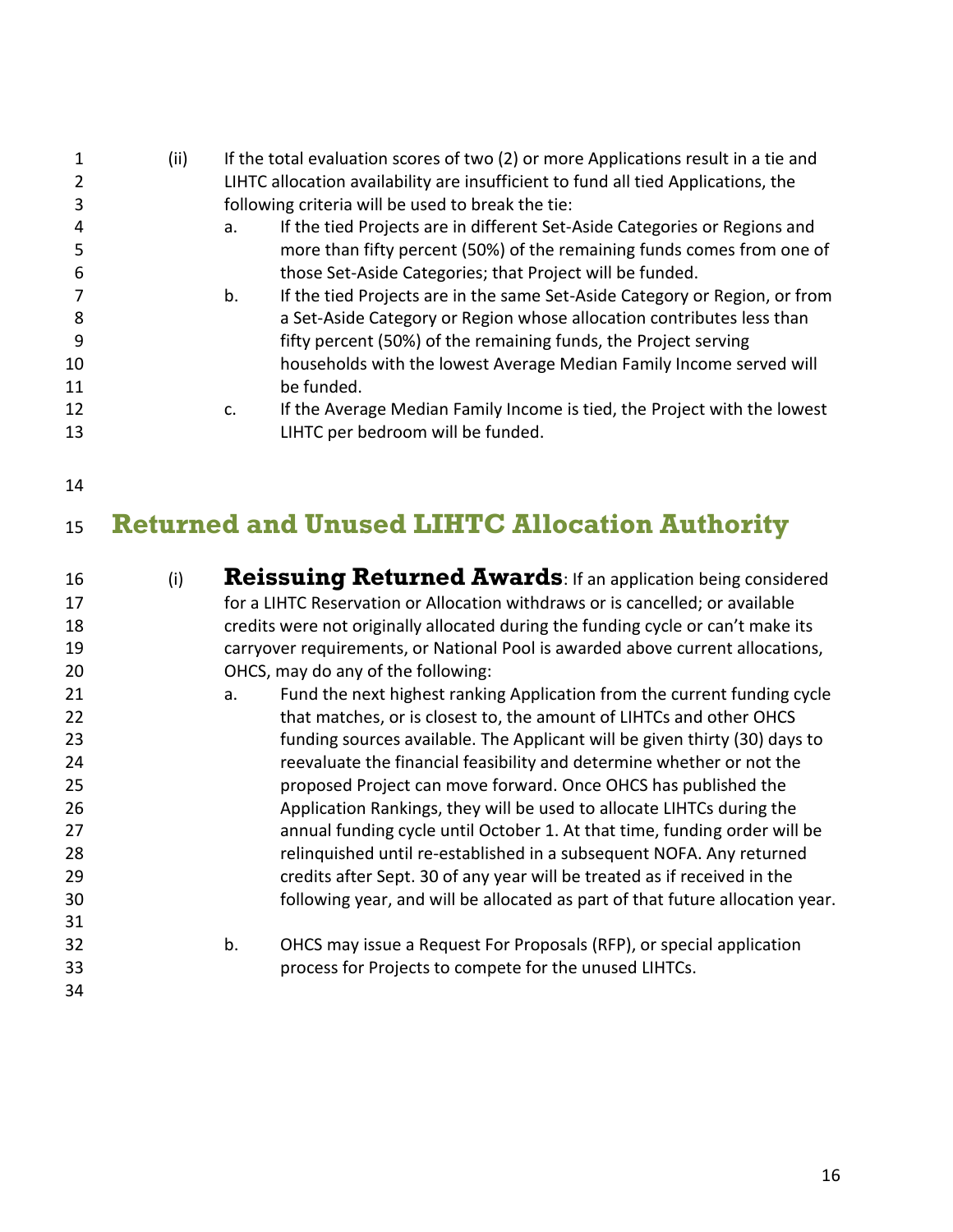|    | (ii) | If the total evaluation scores of two (2) or more Applications result in a tie and |
|----|------|------------------------------------------------------------------------------------|
|    |      | LIHTC allocation availability are insufficient to fund all tied Applications, the  |
|    |      | following criteria will be used to break the tie:                                  |
|    |      | If the tied Projects are in different Set-Aside Categories or Regions and<br>a.    |
|    |      | more than fifty percent (50%) of the remaining funds comes from one of             |
| 6  |      | those Set-Aside Categories; that Project will be funded.                           |
|    |      | If the tied Projects are in the same Set-Aside Category or Region, or from<br>b.   |
| 8  |      | a Set-Aside Category or Region whose allocation contributes less than              |
| 9  |      | fifty percent (50%) of the remaining funds, the Project serving                    |
| 10 |      | households with the lowest Average Median Family Income served will                |
| 11 |      | be funded.                                                                         |
| 12 |      | If the Average Median Family Income is tied, the Project with the lowest<br>C.     |
| 13 |      | LIHTC per bedroom will be funded.                                                  |
|    |      |                                                                                    |

## <span id="page-15-0"></span>**Returned and Unused LIHTC Allocation Authority**

<span id="page-15-1"></span>

| 16 | (i) | <b>Reissuing Returned Awards: If an application being considered</b>             |
|----|-----|----------------------------------------------------------------------------------|
| 17 |     | for a LIHTC Reservation or Allocation withdraws or is cancelled; or available    |
| 18 |     | credits were not originally allocated during the funding cycle or can't make its |
| 19 |     | carryover requirements, or National Pool is awarded above current allocations,   |
| 20 |     | OHCS, may do any of the following:                                               |
| 21 |     | Fund the next highest ranking Application from the current funding cycle<br>a.   |
| 22 |     | that matches, or is closest to, the amount of LIHTCs and other OHCS              |
| 23 |     | funding sources available. The Applicant will be given thirty (30) days to       |
| 24 |     | reevaluate the financial feasibility and determine whether or not the            |
| 25 |     | proposed Project can move forward. Once OHCS has published the                   |
| 26 |     | Application Rankings, they will be used to allocate LIHTCs during the            |
| 27 |     | annual funding cycle until October 1. At that time, funding order will be        |
| 28 |     | relinquished until re-established in a subsequent NOFA. Any returned             |
| 29 |     | credits after Sept. 30 of any year will be treated as if received in the         |
| 30 |     | following year, and will be allocated as part of that future allocation year.    |
| 31 |     |                                                                                  |
| 32 |     | OHCS may issue a Request For Proposals (RFP), or special application<br>b.       |
| 33 |     | process for Projects to compete for the unused LIHTCs.                           |
| 34 |     |                                                                                  |
|    |     |                                                                                  |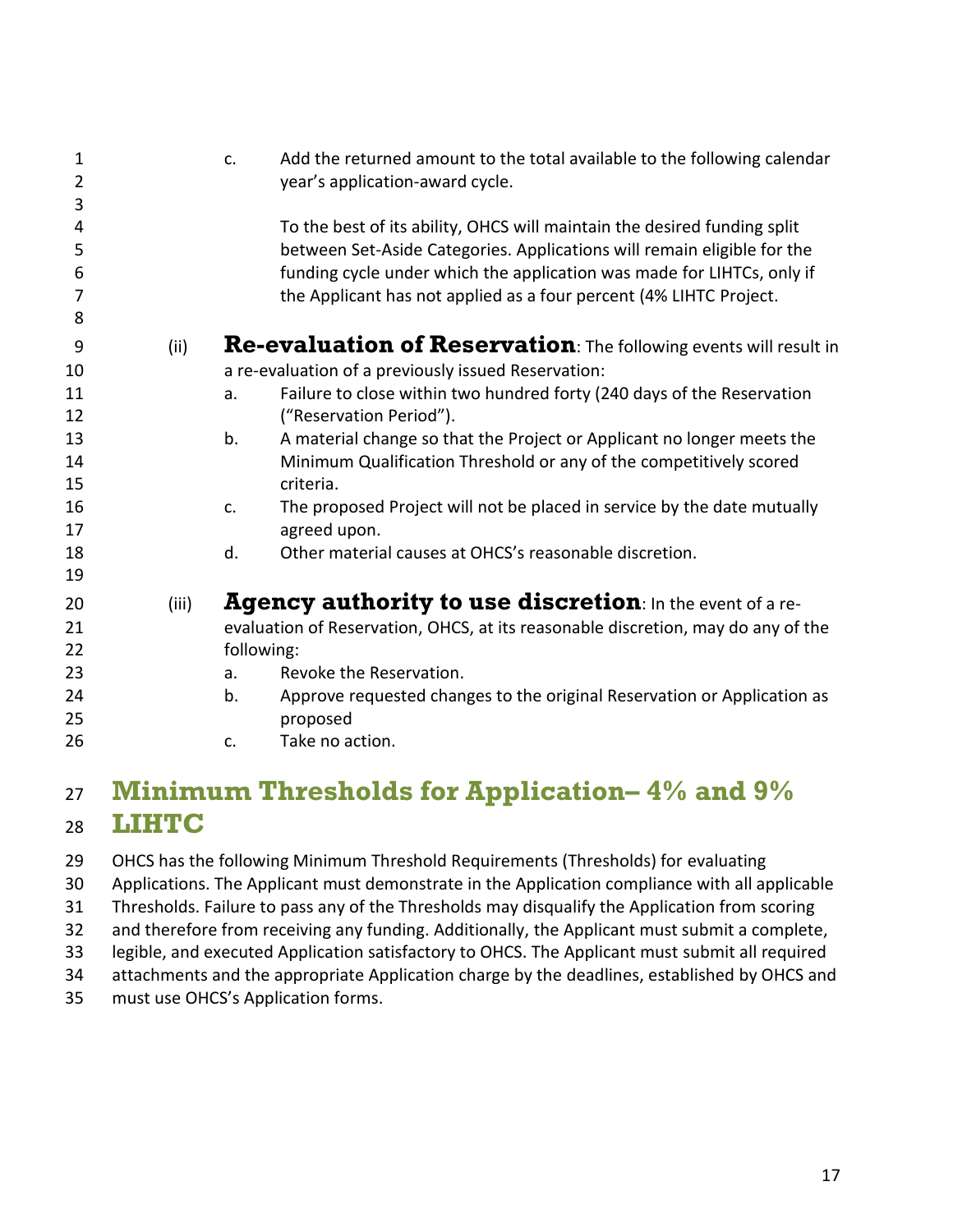<span id="page-16-0"></span>

| 1      |       | Add the returned amount to the total available to the following calendar<br>c.   |
|--------|-------|----------------------------------------------------------------------------------|
| 2<br>3 |       | year's application-award cycle.                                                  |
| 4      |       | To the best of its ability, OHCS will maintain the desired funding split         |
| 5      |       | between Set-Aside Categories. Applications will remain eligible for the          |
| 6      |       | funding cycle under which the application was made for LIHTCs, only if           |
| 7      |       | the Applicant has not applied as a four percent (4% LIHTC Project.               |
| 8      |       |                                                                                  |
| 9      | (ii)  | Re-evaluation of Reservation: The following events will result in                |
| 10     |       | a re-evaluation of a previously issued Reservation:                              |
| 11     |       | Failure to close within two hundred forty (240 days of the Reservation<br>a.     |
| 12     |       | ("Reservation Period").                                                          |
| 13     |       | A material change so that the Project or Applicant no longer meets the<br>b.     |
| 14     |       | Minimum Qualification Threshold or any of the competitively scored               |
| 15     |       | criteria.                                                                        |
| 16     |       | The proposed Project will not be placed in service by the date mutually<br>c.    |
| 17     |       | agreed upon.                                                                     |
| 18     |       | Other material causes at OHCS's reasonable discretion.<br>d.                     |
| 19     |       |                                                                                  |
| 20     | (iii) | Agency authority to use discretion: In the event of a re-                        |
| 21     |       | evaluation of Reservation, OHCS, at its reasonable discretion, may do any of the |
| 22     |       | following:                                                                       |
| 23     |       | Revoke the Reservation.<br>a.                                                    |
| 24     |       | Approve requested changes to the original Reservation or Application as<br>b.    |
| 25     |       | proposed                                                                         |
| 26     |       | Take no action.<br>c.                                                            |
|        |       |                                                                                  |

### <span id="page-16-2"></span><span id="page-16-1"></span> **Minimum Thresholds for Application– 4% and 9% LIHTC**

OHCS has the following Minimum Threshold Requirements (Thresholds) for evaluating

Applications. The Applicant must demonstrate in the Application compliance with all applicable

Thresholds. Failure to pass any of the Thresholds may disqualify the Application from scoring

and therefore from receiving any funding. Additionally, the Applicant must submit a complete,

legible, and executed Application satisfactory to OHCS. The Applicant must submit all required

attachments and the appropriate Application charge by the deadlines, established by OHCS and

must use OHCS's Application forms.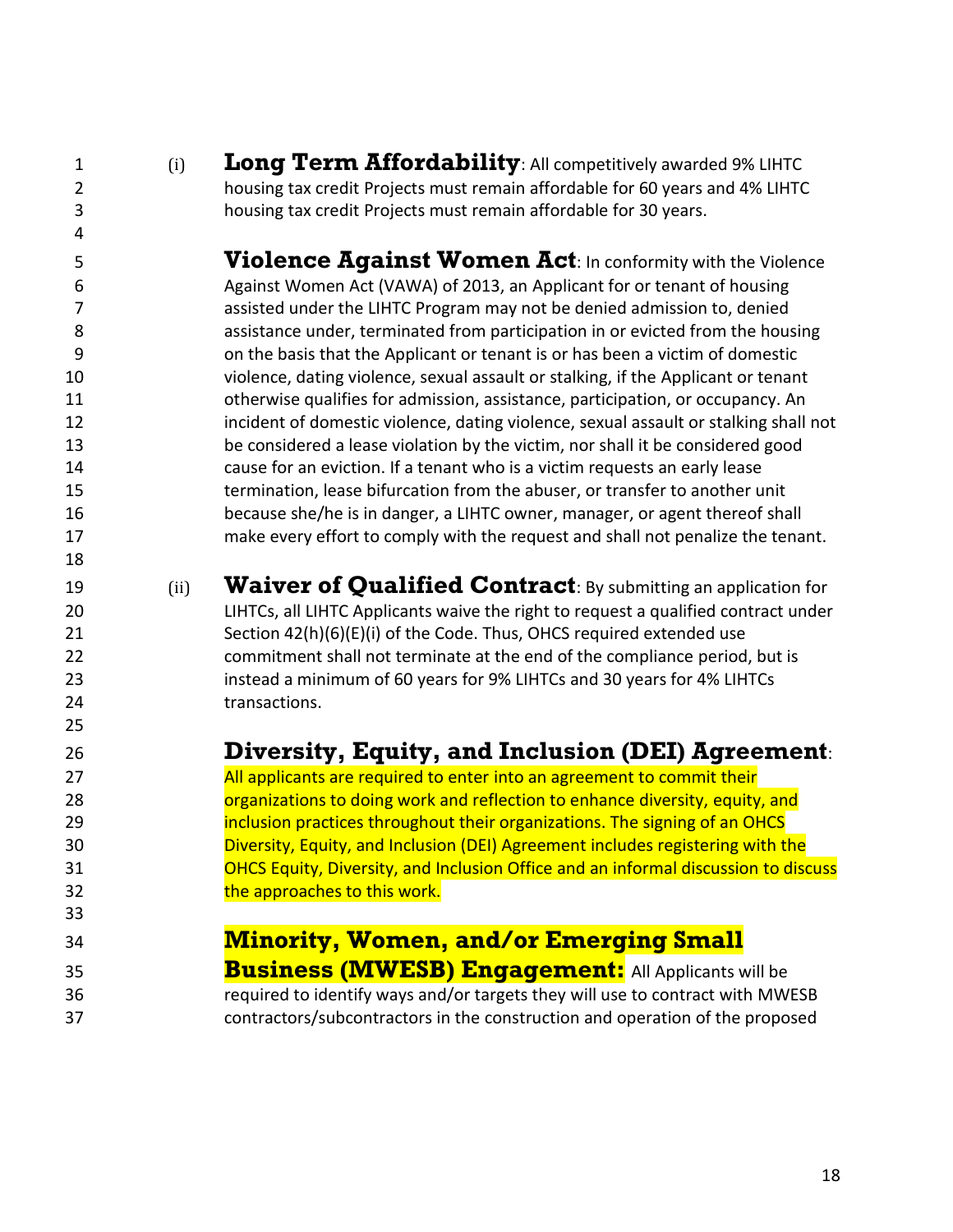- 
- 

<span id="page-17-0"></span> (i) **Long Term Affordability**: All competitively awarded 9% LIHTC housing tax credit Projects must remain affordable for 60 years and 4% LIHTC housing tax credit Projects must remain affordable for 30 years.

<span id="page-17-1"></span> **Violence Against Women Act**: In conformity with the Violence Against Women Act (VAWA) of 2013, an Applicant for or tenant of housing assisted under the LIHTC Program may not be denied admission to, denied assistance under, terminated from participation in or evicted from the housing on the basis that the Applicant or tenant is or has been a victim of domestic violence, dating violence, sexual assault or stalking, if the Applicant or tenant otherwise qualifies for admission, assistance, participation, or occupancy. An **incident of domestic violence, dating violence, sexual assault or stalking shall not**  be considered a lease violation by the victim, nor shall it be considered good cause for an eviction. If a tenant who is a victim requests an early lease termination, lease bifurcation from the abuser, or transfer to another unit because she/he is in danger, a LIHTC owner, manager, or agent thereof shall make every effort to comply with the request and shall not penalize the tenant.

<span id="page-17-2"></span> (ii) **Waiver of Qualified Contract**: By submitting an application for LIHTCs, all LIHTC Applicants waive the right to request a qualified contract under Section 42(h)(6)(E)(i) of the Code. Thus, OHCS required extended use commitment shall not terminate at the end of the compliance period, but is instead a minimum of 60 years for 9% LIHTCs and 30 years for 4% LIHTCs 24 transactions.

#### <span id="page-17-3"></span>**Diversity, Equity, and Inclusion (DEI) Agreement**:

**All applicants are required to enter into an agreement to commit their organizations to doing work and reflection to enhance diversity, equity, and inclusion practices throughout their organizations. The signing of an OHCS**  Diversity, Equity, and Inclusion (DEI) Agreement includes registering with the OHCS Equity, Diversity, and Inclusion Office and an informal discussion to discuss **the approaches to this work.** 

#### <span id="page-17-4"></span>**Minority, Women, and/or Emerging Small**

- **Business (MWESB) Engagement:** All Applicants will be required to identify ways and/or targets they will use to contract with MWESB
- contractors/subcontractors in the construction and operation of the proposed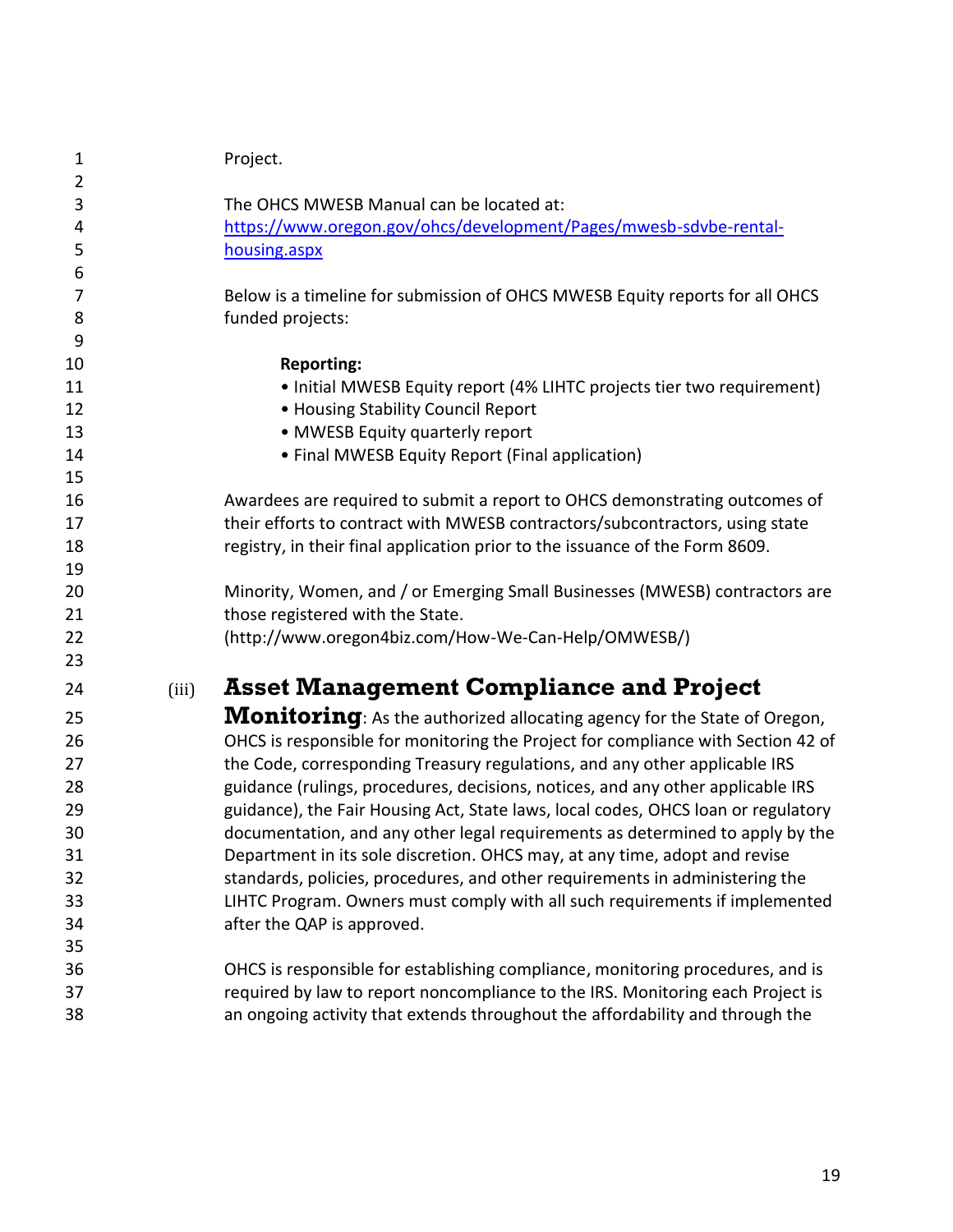<span id="page-18-0"></span>

| $\mathbf{1}$   |       | Project.                                                                          |
|----------------|-------|-----------------------------------------------------------------------------------|
| $\overline{2}$ |       |                                                                                   |
| 3              |       | The OHCS MWESB Manual can be located at:                                          |
| 4              |       | https://www.oregon.gov/ohcs/development/Pages/mwesb-sdvbe-rental-                 |
| 5<br>6         |       | housing.aspx                                                                      |
| $\overline{7}$ |       | Below is a timeline for submission of OHCS MWESB Equity reports for all OHCS      |
| 8              |       | funded projects:                                                                  |
| 9              |       |                                                                                   |
| 10             |       | <b>Reporting:</b>                                                                 |
| 11             |       | • Initial MWESB Equity report (4% LIHTC projects tier two requirement)            |
| 12             |       | • Housing Stability Council Report                                                |
| 13             |       | • MWESB Equity quarterly report                                                   |
| 14             |       | • Final MWESB Equity Report (Final application)                                   |
| 15             |       |                                                                                   |
| 16             |       | Awardees are required to submit a report to OHCS demonstrating outcomes of        |
| 17             |       | their efforts to contract with MWESB contractors/subcontractors, using state      |
| 18             |       | registry, in their final application prior to the issuance of the Form 8609.      |
| 19             |       |                                                                                   |
| 20             |       | Minority, Women, and / or Emerging Small Businesses (MWESB) contractors are       |
| 21             |       | those registered with the State.                                                  |
| 22             |       | (http://www.oregon4biz.com/How-We-Can-Help/OMWESB/)                               |
| 23             |       |                                                                                   |
| 24             | (iii) | <b>Asset Management Compliance and Project</b>                                    |
| 25             |       | <b>Monitoring</b> : As the authorized allocating agency for the State of Oregon,  |
| 26             |       | OHCS is responsible for monitoring the Project for compliance with Section 42 of  |
| 27             |       | the Code, corresponding Treasury regulations, and any other applicable IRS        |
| 28             |       | guidance (rulings, procedures, decisions, notices, and any other applicable IRS   |
| 29             |       | guidance), the Fair Housing Act, State laws, local codes, OHCS loan or regulatory |
| 30             |       | documentation, and any other legal requirements as determined to apply by the     |
| 31             |       | Department in its sole discretion. OHCS may, at any time, adopt and revise        |
| 32             |       | standards, policies, procedures, and other requirements in administering the      |
| 33             |       | LIHTC Program. Owners must comply with all such requirements if implemented       |
| 34             |       | after the QAP is approved.                                                        |
| 35             |       |                                                                                   |
| 36             |       | OHCS is responsible for establishing compliance, monitoring procedures, and is    |
| 37             |       | required by law to report noncompliance to the IRS. Monitoring each Project is    |
| 38             |       | an ongoing activity that extends throughout the affordability and through the     |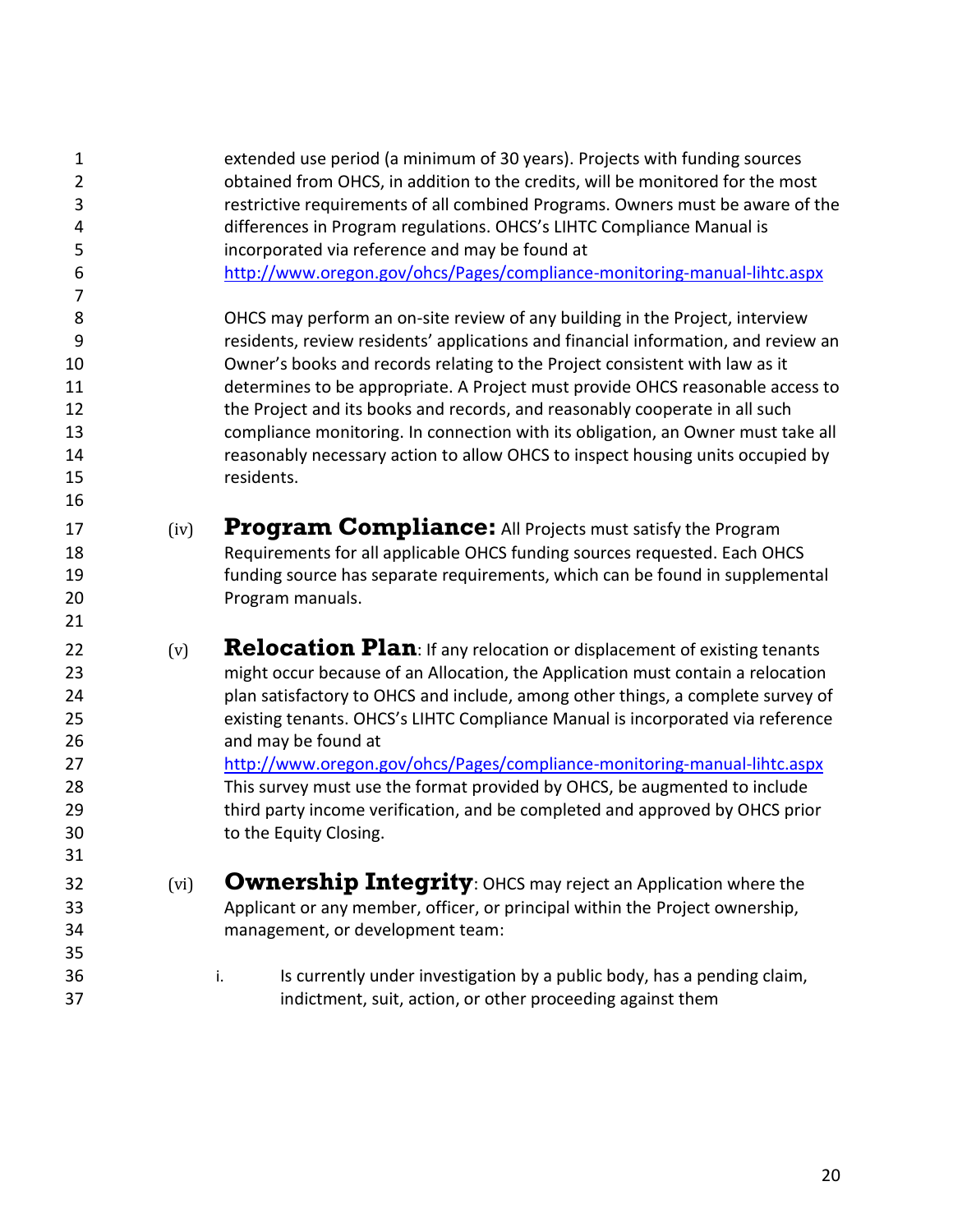<span id="page-19-2"></span><span id="page-19-1"></span><span id="page-19-0"></span> extended use period (a minimum of 30 years). Projects with funding sources obtained from OHCS, in addition to the credits, will be monitored for the most restrictive requirements of all combined Programs. Owners must be aware of the differences in Program regulations. OHCS's LIHTC Compliance Manual is incorporated via reference and may be found at <http://www.oregon.gov/ohcs/Pages/compliance-monitoring-manual-lihtc.aspx> OHCS may perform an on-site review of any building in the Project, interview residents, review residents' applications and financial information, and review an Owner's books and records relating to the Project consistent with law as it determines to be appropriate. A Project must provide OHCS reasonable access to the Project and its books and records, and reasonably cooperate in all such compliance monitoring. In connection with its obligation, an Owner must take all reasonably necessary action to allow OHCS to inspect housing units occupied by residents. (iv) **Program Compliance:** All Projects must satisfy the Program Requirements for all applicable OHCS funding sources requested. Each OHCS funding source has separate requirements, which can be found in supplemental Program manuals.  $(v)$  **Relocation Plan**: If any relocation or displacement of existing tenants might occur because of an Allocation, the Application must contain a relocation plan satisfactory to OHCS and include, among other things, a complete survey of existing tenants. OHCS's LIHTC Compliance Manual is incorporated via reference and may be found at <http://www.oregon.gov/ohcs/Pages/compliance-monitoring-manual-lihtc.aspx> This survey must use the format provided by OHCS, be augmented to include third party income verification, and be completed and approved by OHCS prior to the Equity Closing. (vi) **Ownership Integrity**: OHCS may reject an Application where the Applicant or any member, officer, or principal within the Project ownership, management, or development team: i. Is currently under investigation by a public body, has a pending claim, indictment, suit, action, or other proceeding against them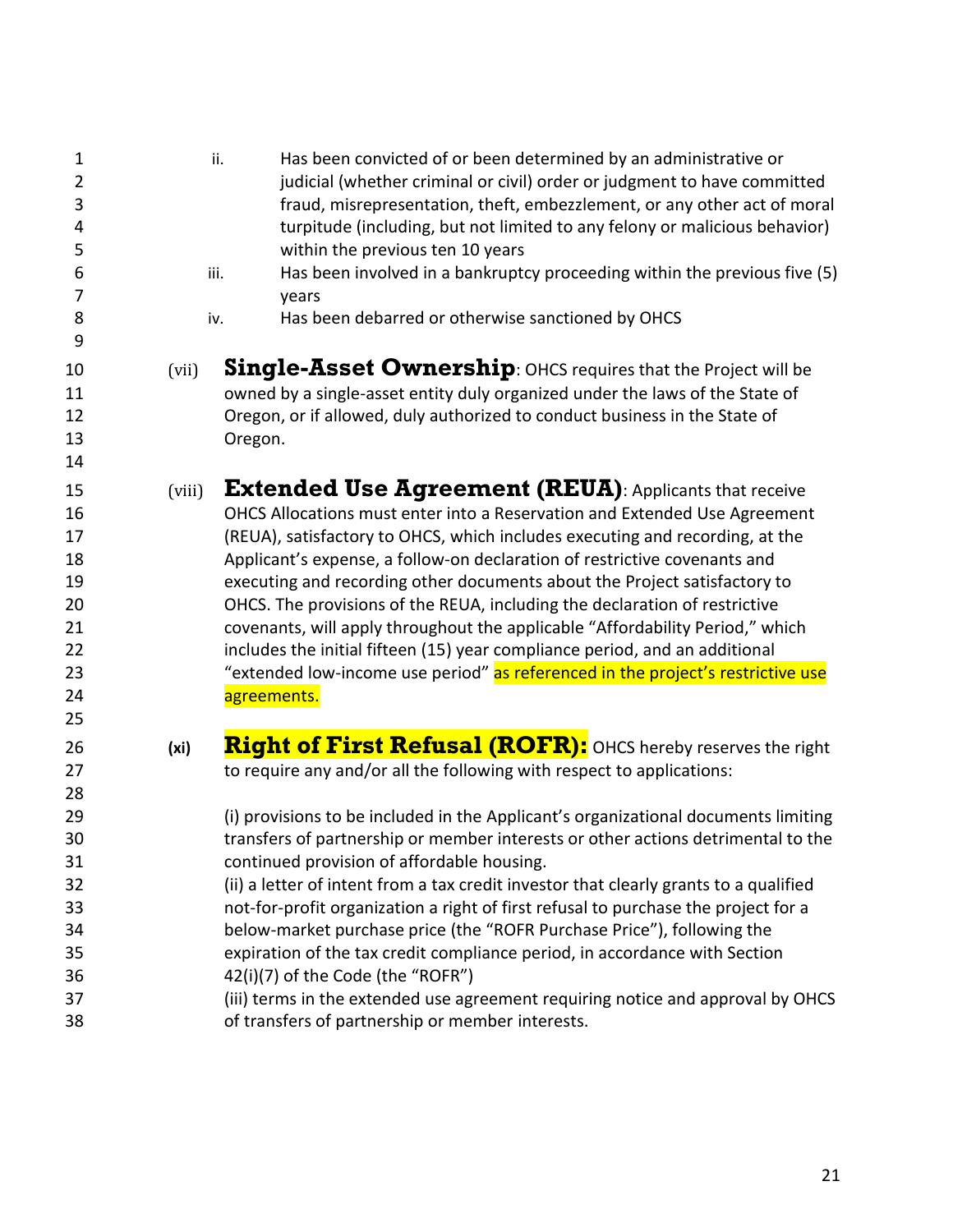<span id="page-20-2"></span><span id="page-20-1"></span><span id="page-20-0"></span>

| $\mathbf 1$<br>$\overline{2}$<br>3<br>4<br>5<br>6<br>7<br>8<br>9           | ii.<br>iii.<br>iv. | Has been convicted of or been determined by an administrative or<br>judicial (whether criminal or civil) order or judgment to have committed<br>fraud, misrepresentation, theft, embezzlement, or any other act of moral<br>turpitude (including, but not limited to any felony or malicious behavior)<br>within the previous ten 10 years<br>Has been involved in a bankruptcy proceeding within the previous five (5)<br>years<br>Has been debarred or otherwise sanctioned by OHCS                                                                                                                                                                                                                                                                                                                                                                                             |
|----------------------------------------------------------------------------|--------------------|-----------------------------------------------------------------------------------------------------------------------------------------------------------------------------------------------------------------------------------------------------------------------------------------------------------------------------------------------------------------------------------------------------------------------------------------------------------------------------------------------------------------------------------------------------------------------------------------------------------------------------------------------------------------------------------------------------------------------------------------------------------------------------------------------------------------------------------------------------------------------------------|
| 10<br>11<br>12<br>13<br>14                                                 | (vii)              | <b>Single-Asset Ownership:</b> OHCS requires that the Project will be<br>owned by a single-asset entity duly organized under the laws of the State of<br>Oregon, or if allowed, duly authorized to conduct business in the State of<br>Oregon.                                                                                                                                                                                                                                                                                                                                                                                                                                                                                                                                                                                                                                    |
| 15<br>16<br>17<br>18<br>19<br>20<br>21<br>22<br>23<br>24<br>25             | (viii)             | <b>Extended Use Agreement (REUA)</b> : Applicants that receive<br>OHCS Allocations must enter into a Reservation and Extended Use Agreement<br>(REUA), satisfactory to OHCS, which includes executing and recording, at the<br>Applicant's expense, a follow-on declaration of restrictive covenants and<br>executing and recording other documents about the Project satisfactory to<br>OHCS. The provisions of the REUA, including the declaration of restrictive<br>covenants, will apply throughout the applicable "Affordability Period," which<br>includes the initial fifteen (15) year compliance period, and an additional<br>"extended low-income use period" as referenced in the project's restrictive use<br>agreements.                                                                                                                                             |
| 26<br>27<br>28<br>29<br>30<br>31<br>32<br>33<br>34<br>35<br>36<br>37<br>38 | (x <sub>i</sub> )  | Right of First Refusal (ROFR): OHCS hereby reserves the right<br>to require any and/or all the following with respect to applications:<br>(i) provisions to be included in the Applicant's organizational documents limiting<br>transfers of partnership or member interests or other actions detrimental to the<br>continued provision of affordable housing.<br>(ii) a letter of intent from a tax credit investor that clearly grants to a qualified<br>not-for-profit organization a right of first refusal to purchase the project for a<br>below-market purchase price (the "ROFR Purchase Price"), following the<br>expiration of the tax credit compliance period, in accordance with Section<br>42(i)(7) of the Code (the "ROFR")<br>(iii) terms in the extended use agreement requiring notice and approval by OHCS<br>of transfers of partnership or member interests. |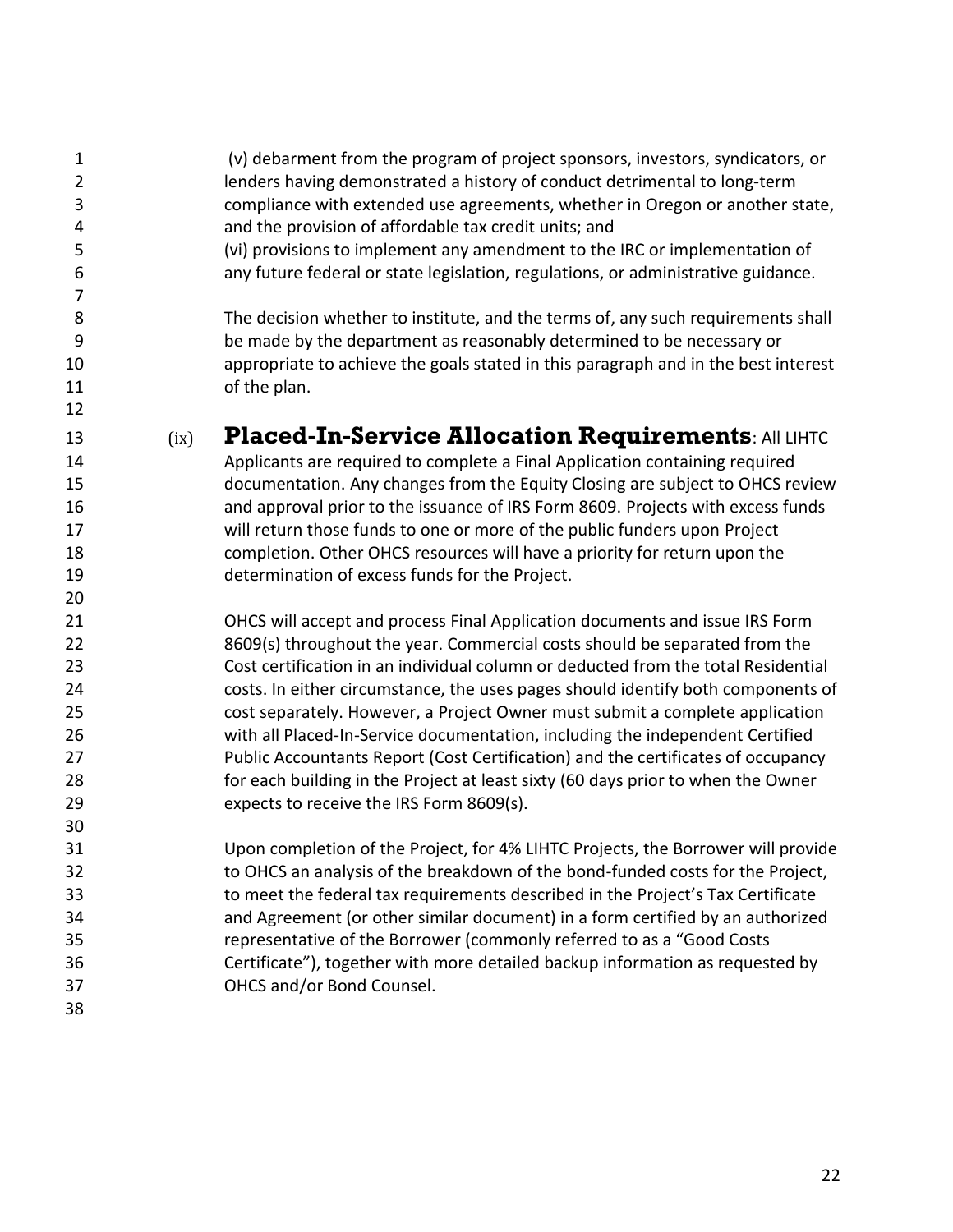<span id="page-21-0"></span> (v) debarment from the program of project sponsors, investors, syndicators, or lenders having demonstrated a history of conduct detrimental to long-term compliance with extended use agreements, whether in Oregon or another state, and the provision of affordable tax credit units; and (vi) provisions to implement any amendment to the IRC or implementation of any future federal or state legislation, regulations, or administrative guidance. The decision whether to institute, and the terms of, any such requirements shall be made by the department as reasonably determined to be necessary or appropriate to achieve the goals stated in this paragraph and in the best interest 11 of the plan. 13 (ix) **Placed-In-Service Allocation Requirements: All LIHTC**  Applicants are required to complete a Final Application containing required documentation. Any changes from the Equity Closing are subject to OHCS review and approval prior to the issuance of IRS Form 8609. Projects with excess funds will return those funds to one or more of the public funders upon Project completion. Other OHCS resources will have a priority for return upon the determination of excess funds for the Project. OHCS will accept and process Final Application documents and issue IRS Form 8609(s) throughout the year. Commercial costs should be separated from the Cost certification in an individual column or deducted from the total Residential costs. In either circumstance, the uses pages should identify both components of cost separately. However, a Project Owner must submit a complete application with all Placed-In-Service documentation, including the independent Certified Public Accountants Report (Cost Certification) and the certificates of occupancy for each building in the Project at least sixty (60 days prior to when the Owner expects to receive the IRS Form 8609(s). Upon completion of the Project, for 4% LIHTC Projects, the Borrower will provide to OHCS an analysis of the breakdown of the bond-funded costs for the Project, to meet the federal tax requirements described in the Project's Tax Certificate and Agreement (or other similar document) in a form certified by an authorized representative of the Borrower (commonly referred to as a "Good Costs Certificate"), together with more detailed backup information as requested by OHCS and/or Bond Counsel.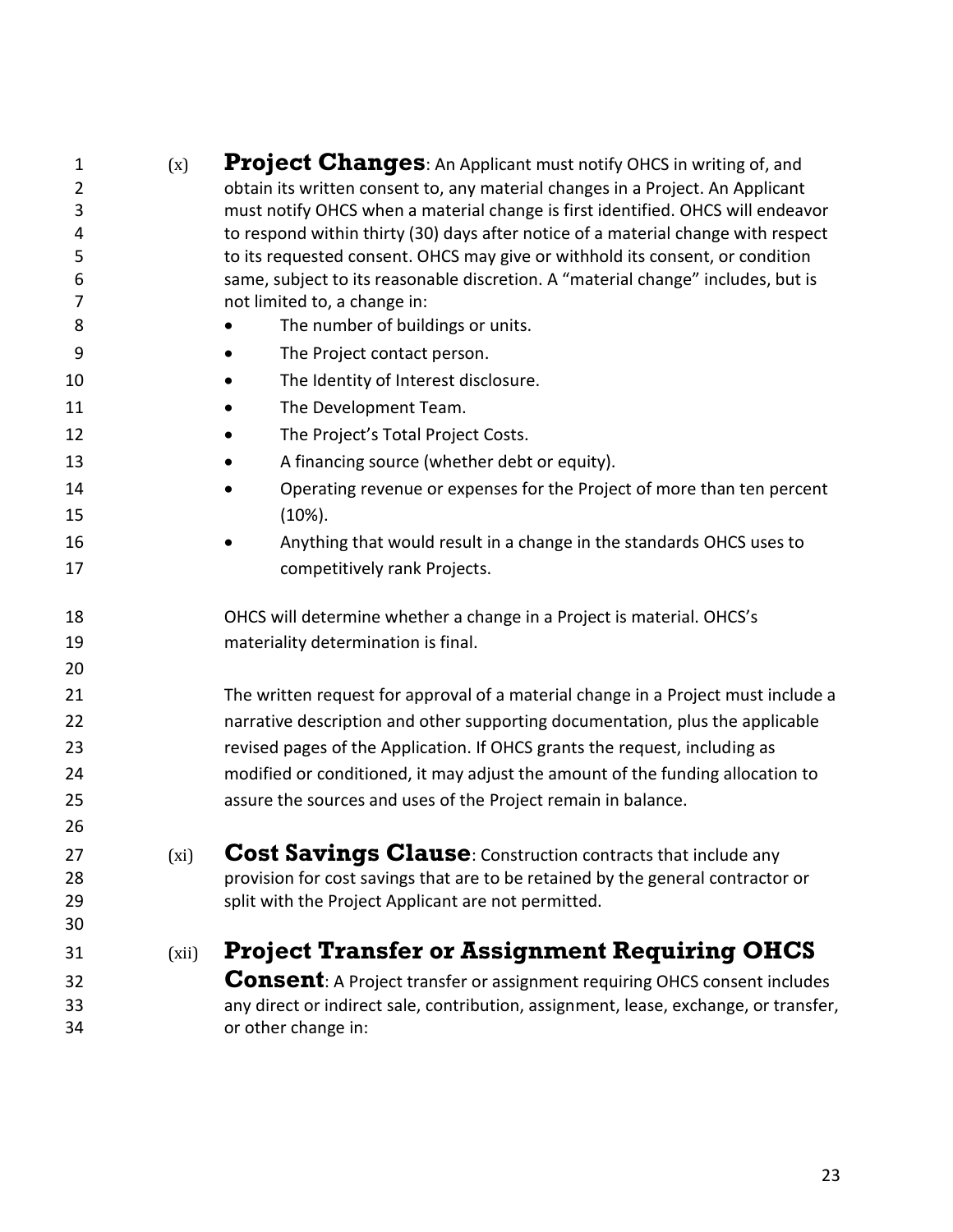<span id="page-22-2"></span><span id="page-22-1"></span><span id="page-22-0"></span>

| 1              | (x)   | Project Changes: An Applicant must notify OHCS in writing of, and                                                                               |
|----------------|-------|-------------------------------------------------------------------------------------------------------------------------------------------------|
| $\overline{2}$ |       | obtain its written consent to, any material changes in a Project. An Applicant                                                                  |
| 3              |       | must notify OHCS when a material change is first identified. OHCS will endeavor                                                                 |
| 4              |       | to respond within thirty (30) days after notice of a material change with respect                                                               |
| 5              |       | to its requested consent. OHCS may give or withhold its consent, or condition                                                                   |
| 6<br>7         |       | same, subject to its reasonable discretion. A "material change" includes, but is<br>not limited to, a change in:                                |
| 8              |       | The number of buildings or units.                                                                                                               |
| 9              |       | The Project contact person.                                                                                                                     |
| 10             |       | The Identity of Interest disclosure.                                                                                                            |
| 11             |       | The Development Team.                                                                                                                           |
| 12             |       |                                                                                                                                                 |
|                |       | The Project's Total Project Costs.                                                                                                              |
| 13             |       | A financing source (whether debt or equity).                                                                                                    |
| 14             |       | Operating revenue or expenses for the Project of more than ten percent                                                                          |
| 15             |       | $(10\%).$                                                                                                                                       |
| 16             |       | Anything that would result in a change in the standards OHCS uses to                                                                            |
| 17             |       | competitively rank Projects.                                                                                                                    |
| 18             |       | OHCS will determine whether a change in a Project is material. OHCS's                                                                           |
| 19             |       | materiality determination is final.                                                                                                             |
| 20             |       |                                                                                                                                                 |
| 21             |       | The written request for approval of a material change in a Project must include a                                                               |
| 22             |       | narrative description and other supporting documentation, plus the applicable                                                                   |
| 23             |       | revised pages of the Application. If OHCS grants the request, including as                                                                      |
| 24             |       | modified or conditioned, it may adjust the amount of the funding allocation to                                                                  |
| 25             |       | assure the sources and uses of the Project remain in balance.                                                                                   |
| 26             |       |                                                                                                                                                 |
|                |       |                                                                                                                                                 |
| 27<br>28       | (xi)  | Cost Savings Clause: Construction contracts that include any<br>provision for cost savings that are to be retained by the general contractor or |
| 29             |       | split with the Project Applicant are not permitted.                                                                                             |
| 30             |       |                                                                                                                                                 |
| 31             | (xii) | <b>Project Transfer or Assignment Requiring OHCS</b>                                                                                            |
| 32             |       | <b>Consent</b> : A Project transfer or assignment requiring OHCS consent includes                                                               |
| 33             |       | any direct or indirect sale, contribution, assignment, lease, exchange, or transfer,                                                            |
| 34             |       | or other change in:                                                                                                                             |
|                |       |                                                                                                                                                 |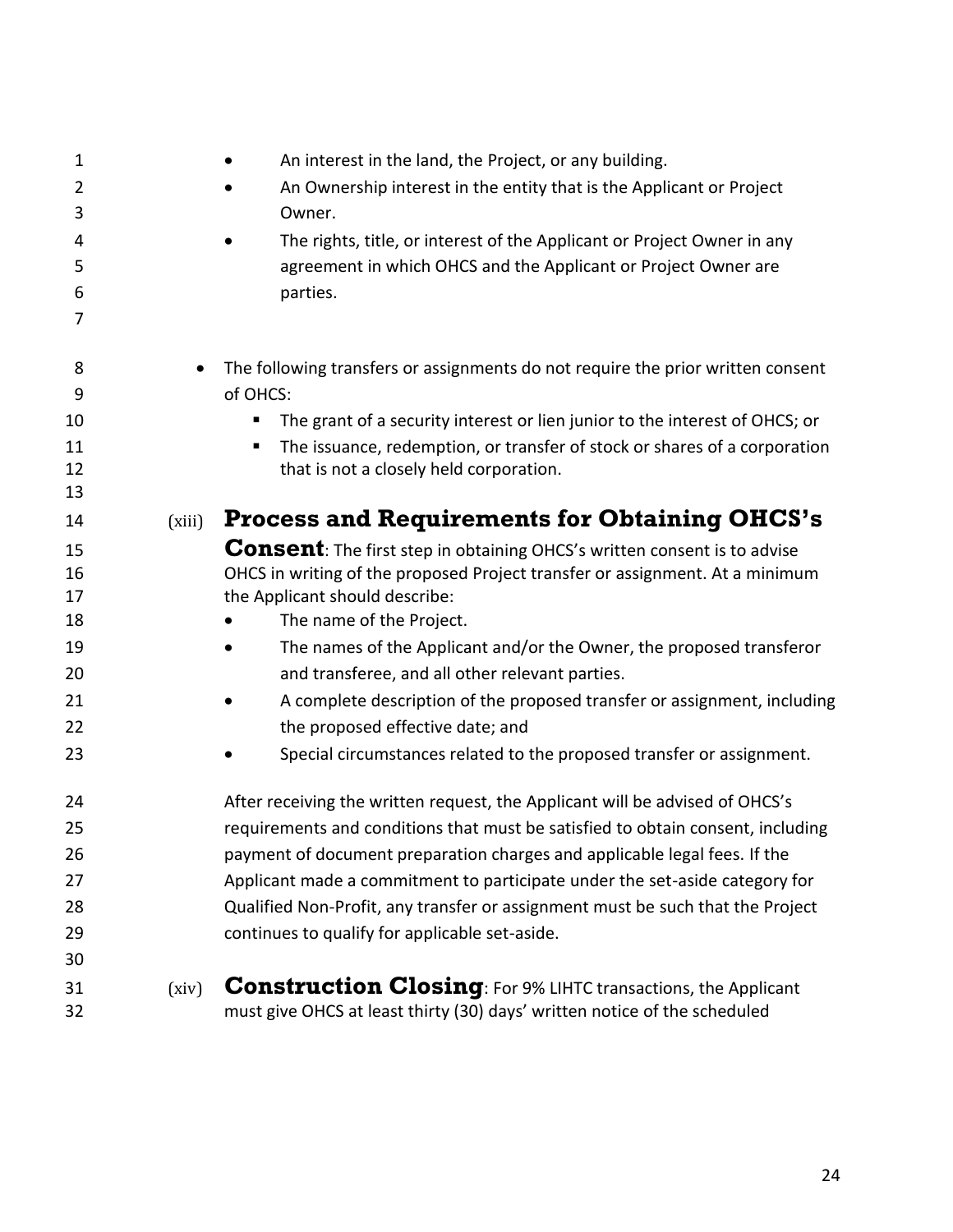<span id="page-23-1"></span><span id="page-23-0"></span>

| $\mathbf 1$ |        | An interest in the land, the Project, or any building.                                                                                             |
|-------------|--------|----------------------------------------------------------------------------------------------------------------------------------------------------|
| 2           |        | An Ownership interest in the entity that is the Applicant or Project                                                                               |
| 3           |        | Owner.                                                                                                                                             |
| 4           |        | The rights, title, or interest of the Applicant or Project Owner in any                                                                            |
| 5           |        | agreement in which OHCS and the Applicant or Project Owner are                                                                                     |
| 6           |        | parties.                                                                                                                                           |
| 7           |        |                                                                                                                                                    |
| 8           |        | The following transfers or assignments do not require the prior written consent                                                                    |
| 9           |        | of OHCS:                                                                                                                                           |
| 10          |        | The grant of a security interest or lien junior to the interest of OHCS; or<br>п                                                                   |
| 11          |        | The issuance, redemption, or transfer of stock or shares of a corporation<br>п                                                                     |
| 12<br>13    |        | that is not a closely held corporation.                                                                                                            |
| 14          | (xiii) | <b>Process and Requirements for Obtaining OHCS's</b>                                                                                               |
| 15          |        | <b>Consent:</b> The first step in obtaining OHCS's written consent is to advise                                                                    |
| 16          |        | OHCS in writing of the proposed Project transfer or assignment. At a minimum                                                                       |
| 17          |        | the Applicant should describe:                                                                                                                     |
| 18          |        | The name of the Project.                                                                                                                           |
| 19          |        | The names of the Applicant and/or the Owner, the proposed transferor                                                                               |
| 20          |        | and transferee, and all other relevant parties.                                                                                                    |
| 21          |        | A complete description of the proposed transfer or assignment, including                                                                           |
| 22          |        | the proposed effective date; and                                                                                                                   |
| 23          |        | Special circumstances related to the proposed transfer or assignment.                                                                              |
| 24          |        | After receiving the written request, the Applicant will be advised of OHCS's                                                                       |
| 25          |        | requirements and conditions that must be satisfied to obtain consent, including                                                                    |
| 26          |        | payment of document preparation charges and applicable legal fees. If the                                                                          |
| 27          |        | Applicant made a commitment to participate under the set-aside category for                                                                        |
| 28          |        | Qualified Non-Profit, any transfer or assignment must be such that the Project                                                                     |
| 29          |        | continues to qualify for applicable set-aside.                                                                                                     |
| 30          |        |                                                                                                                                                    |
| 31<br>32    | (xiv)  | <b>Construction Closing: For 9% LIHTC transactions, the Applicant</b><br>must give OHCS at least thirty (30) days' written notice of the scheduled |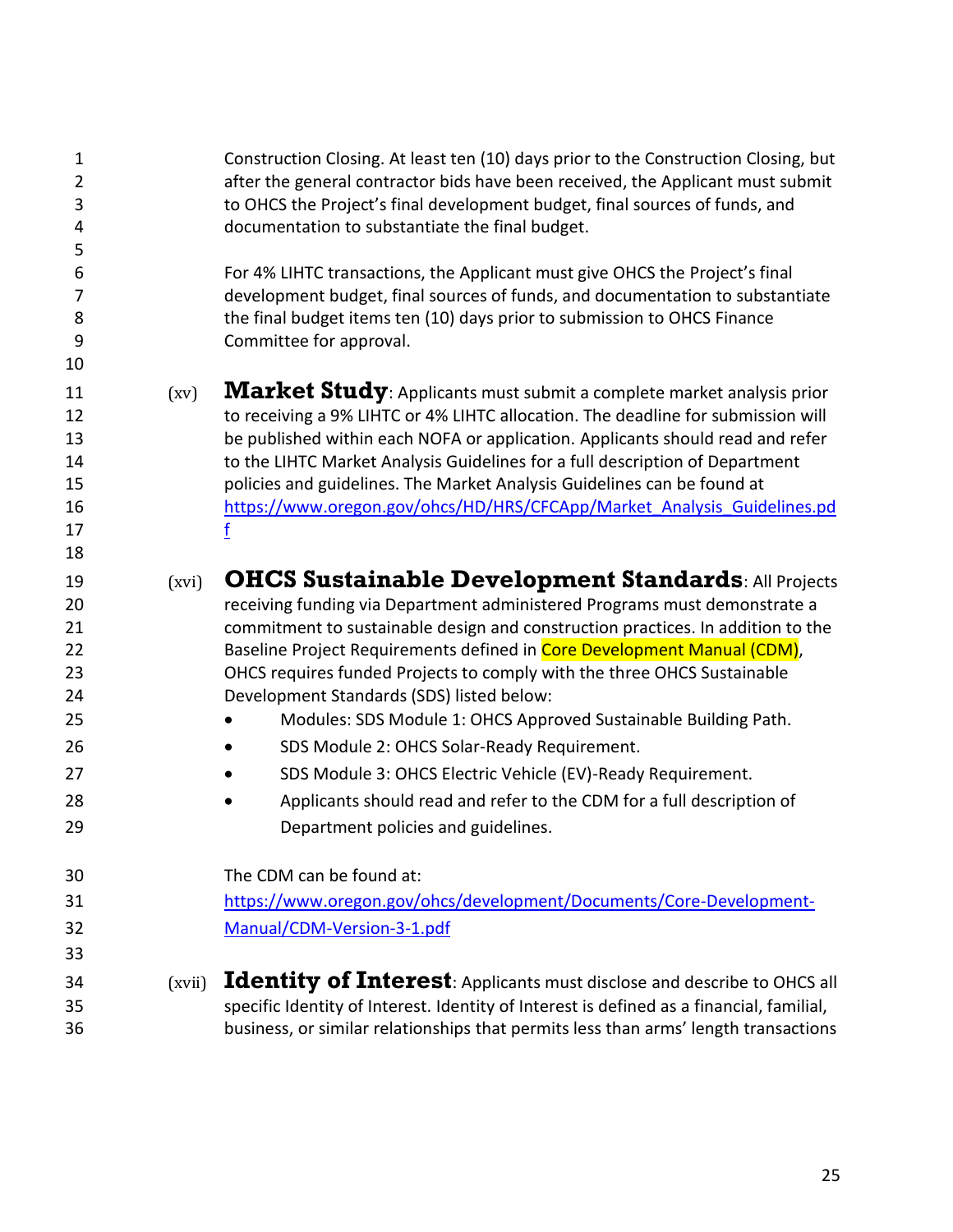<span id="page-24-2"></span><span id="page-24-1"></span><span id="page-24-0"></span>

| 1<br>$\overline{2}$<br>3<br>4<br>5                             |        | Construction Closing. At least ten (10) days prior to the Construction Closing, but<br>after the general contractor bids have been received, the Applicant must submit<br>to OHCS the Project's final development budget, final sources of funds, and<br>documentation to substantiate the final budget.                                                                                                                                                                                                                                                                                                                                                                                                                        |
|----------------------------------------------------------------|--------|---------------------------------------------------------------------------------------------------------------------------------------------------------------------------------------------------------------------------------------------------------------------------------------------------------------------------------------------------------------------------------------------------------------------------------------------------------------------------------------------------------------------------------------------------------------------------------------------------------------------------------------------------------------------------------------------------------------------------------|
| 6<br>7<br>8<br>9<br>10                                         |        | For 4% LIHTC transactions, the Applicant must give OHCS the Project's final<br>development budget, final sources of funds, and documentation to substantiate<br>the final budget items ten (10) days prior to submission to OHCS Finance<br>Committee for approval.                                                                                                                                                                                                                                                                                                                                                                                                                                                             |
| 11<br>12<br>13<br>14<br>15<br>16<br>17<br>18                   | (xv)   | Market Study: Applicants must submit a complete market analysis prior<br>to receiving a 9% LIHTC or 4% LIHTC allocation. The deadline for submission will<br>be published within each NOFA or application. Applicants should read and refer<br>to the LIHTC Market Analysis Guidelines for a full description of Department<br>policies and guidelines. The Market Analysis Guidelines can be found at<br>https://www.oregon.gov/ohcs/HD/HRS/CFCApp/Market Analysis Guidelines.pd                                                                                                                                                                                                                                               |
| 19<br>20<br>21<br>22<br>23<br>24<br>25<br>26<br>27<br>28<br>29 | (xvi)  | <b>OHCS Sustainable Development Standards: All Projects</b><br>receiving funding via Department administered Programs must demonstrate a<br>commitment to sustainable design and construction practices. In addition to the<br>Baseline Project Requirements defined in Core Development Manual (CDM),<br>OHCS requires funded Projects to comply with the three OHCS Sustainable<br>Development Standards (SDS) listed below:<br>Modules: SDS Module 1: OHCS Approved Sustainable Building Path.<br>SDS Module 2: OHCS Solar-Ready Requirement.<br>SDS Module 3: OHCS Electric Vehicle (EV)-Ready Requirement.<br>Applicants should read and refer to the CDM for a full description of<br>Department policies and guidelines. |
| 30<br>31<br>32<br>33<br>34                                     | (xvii) | The CDM can be found at:<br>https://www.oregon.gov/ohcs/development/Documents/Core-Development-<br>Manual/CDM-Version-3-1.pdf<br><b>Identity of Interest:</b> Applicants must disclose and describe to OHCS all                                                                                                                                                                                                                                                                                                                                                                                                                                                                                                                 |
| 35<br>36                                                       |        | specific Identity of Interest. Identity of Interest is defined as a financial, familial,<br>business, or similar relationships that permits less than arms' length transactions                                                                                                                                                                                                                                                                                                                                                                                                                                                                                                                                                 |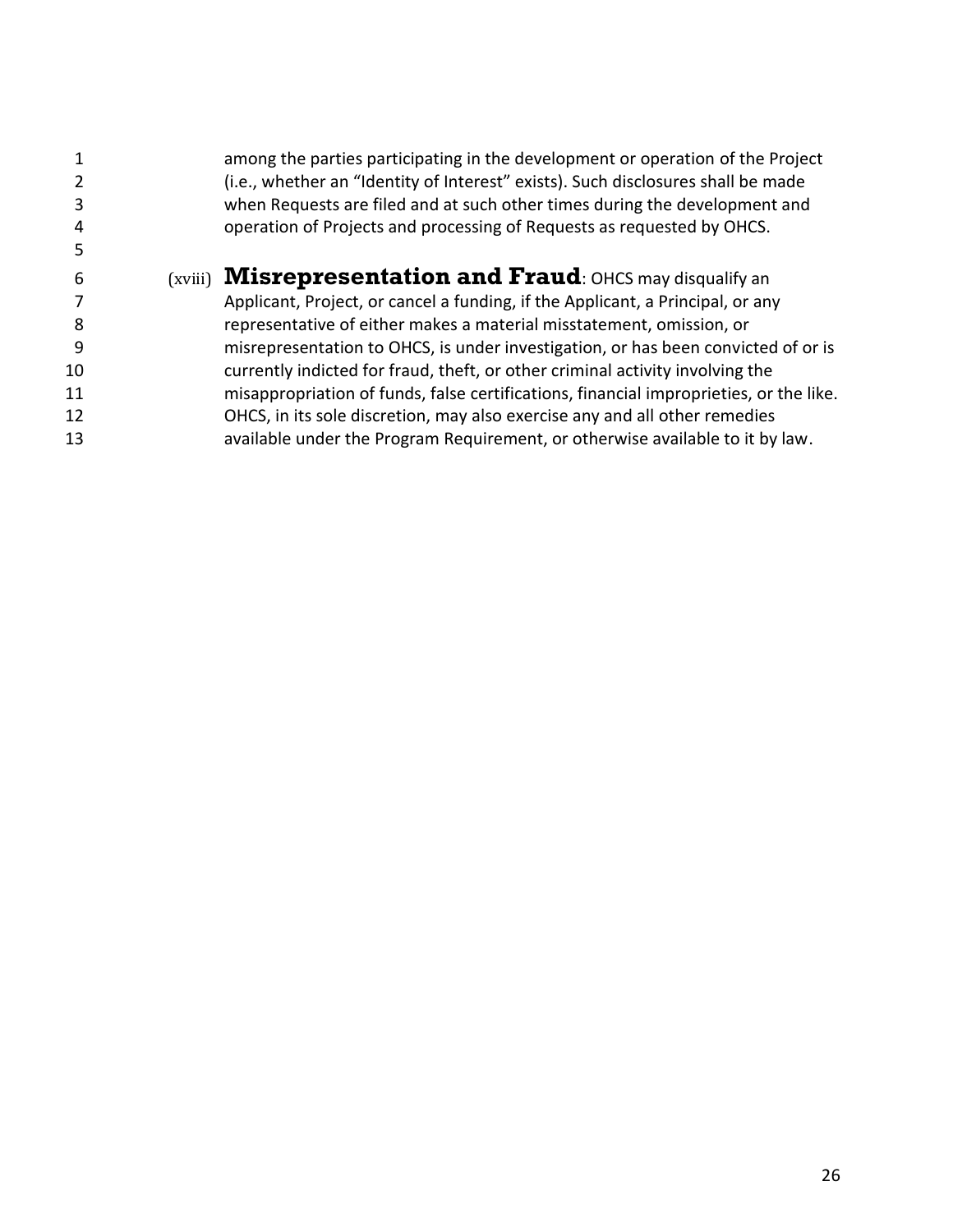<span id="page-25-0"></span>

|    | among the parties participating in the development or operation of the Project<br>(i.e., whether an "Identity of Interest" exists). Such disclosures shall be made |
|----|--------------------------------------------------------------------------------------------------------------------------------------------------------------------|
|    | when Requests are filed and at such other times during the development and                                                                                         |
|    | operation of Projects and processing of Requests as requested by OHCS.                                                                                             |
|    |                                                                                                                                                                    |
| 6  | $(xviii)$ <b>Misrepresentation and Fraud</b> : OHCS may disqualify an                                                                                              |
|    | Applicant, Project, or cancel a funding, if the Applicant, a Principal, or any                                                                                     |
| 8  | representative of either makes a material misstatement, omission, or                                                                                               |
| 9  | misrepresentation to OHCS, is under investigation, or has been convicted of or is                                                                                  |
| 10 | currently indicted for fraud, theft, or other criminal activity involving the                                                                                      |
| 11 | misappropriation of funds, false certifications, financial improprieties, or the like.                                                                             |
| 12 | OHCS, in its sole discretion, may also exercise any and all other remedies                                                                                         |
| 13 | available under the Program Requirement, or otherwise available to it by law.                                                                                      |
|    |                                                                                                                                                                    |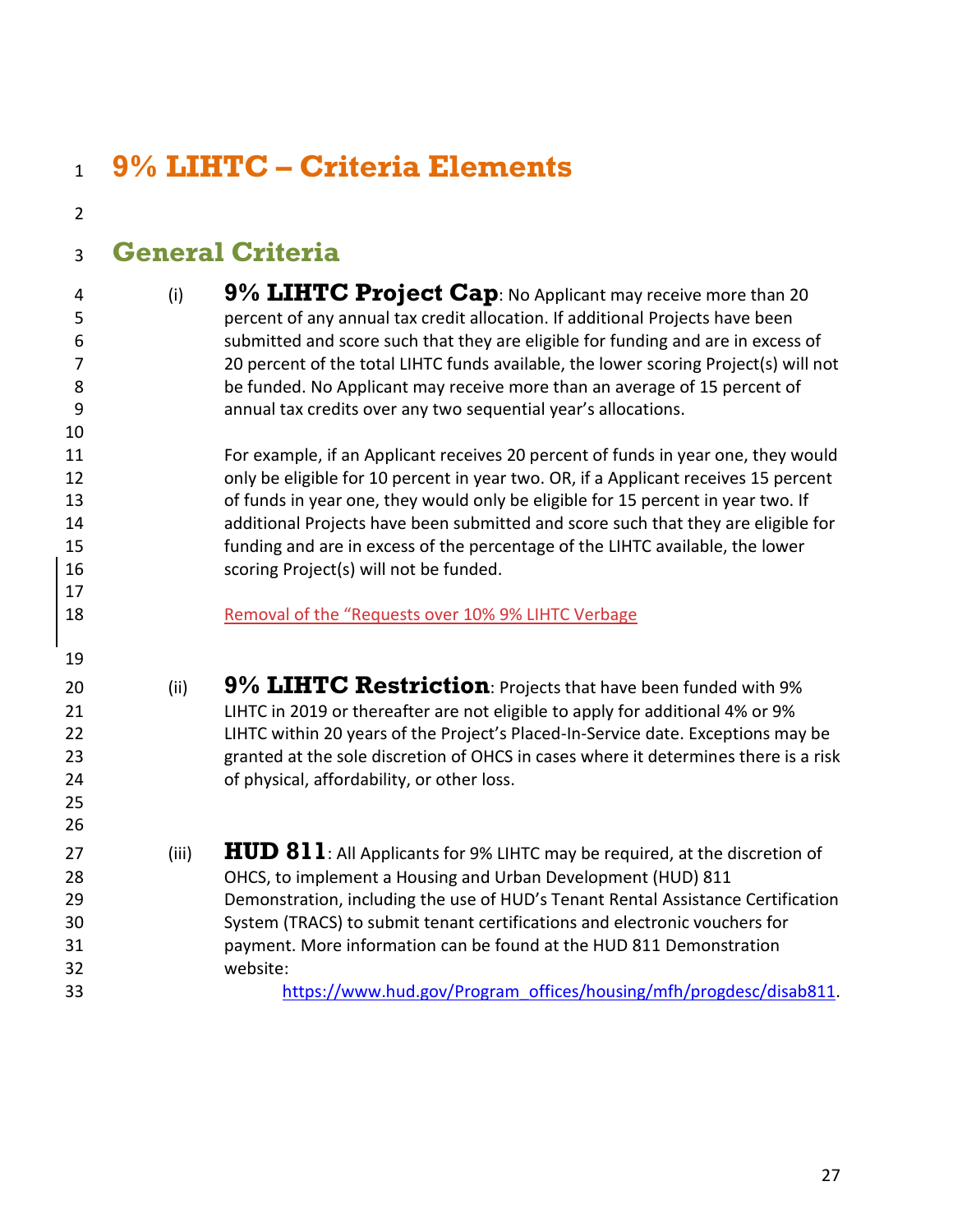#### <span id="page-26-4"></span><span id="page-26-3"></span><span id="page-26-2"></span><span id="page-26-1"></span><span id="page-26-0"></span> **9% LIHTC – Criteria Elements General Criteria** (i) **9% LIHTC Project Cap**: No Applicant may receive more than 20 percent of any annual tax credit allocation. If additional Projects have been submitted and score such that they are eligible for funding and are in excess of 20 percent of the total LIHTC funds available, the lower scoring Project(s) will not be funded. No Applicant may receive more than an average of 15 percent of annual tax credits over any two sequential year's allocations. For example, if an Applicant receives 20 percent of funds in year one, they would only be eligible for 10 percent in year two. OR, if a Applicant receives 15 percent of funds in year one, they would only be eligible for 15 percent in year two. If additional Projects have been submitted and score such that they are eligible for funding and are in excess of the percentage of the LIHTC available, the lower scoring Project(s) will not be funded. Removal of the "Requests over 10% 9% LIHTC Verbage (ii) **9% LIHTC Restriction**: Projects that have been funded with 9% LIHTC in 2019 or thereafter are not eligible to apply for additional 4% or 9% LIHTC within 20 years of the Project's Placed-In-Service date. Exceptions may be granted at the sole discretion of OHCS in cases where it determines there is a risk of physical, affordability, or other loss. 27 (iii) **HUD 811**: All Applicants for 9% LIHTC may be required, at the discretion of OHCS, to implement a Housing and Urban Development (HUD) 811 Demonstration, including the use of HUD's Tenant Rental Assistance Certification System (TRACS) to submit tenant certifications and electronic vouchers for payment. More information can be found at the HUD 811 Demonstration website: [https://www.hud.gov/Program\\_offices/housing/mfh/progdesc/disab811.](https://www.hud.gov/program_offices/housing/mfh/progdesc/disab811)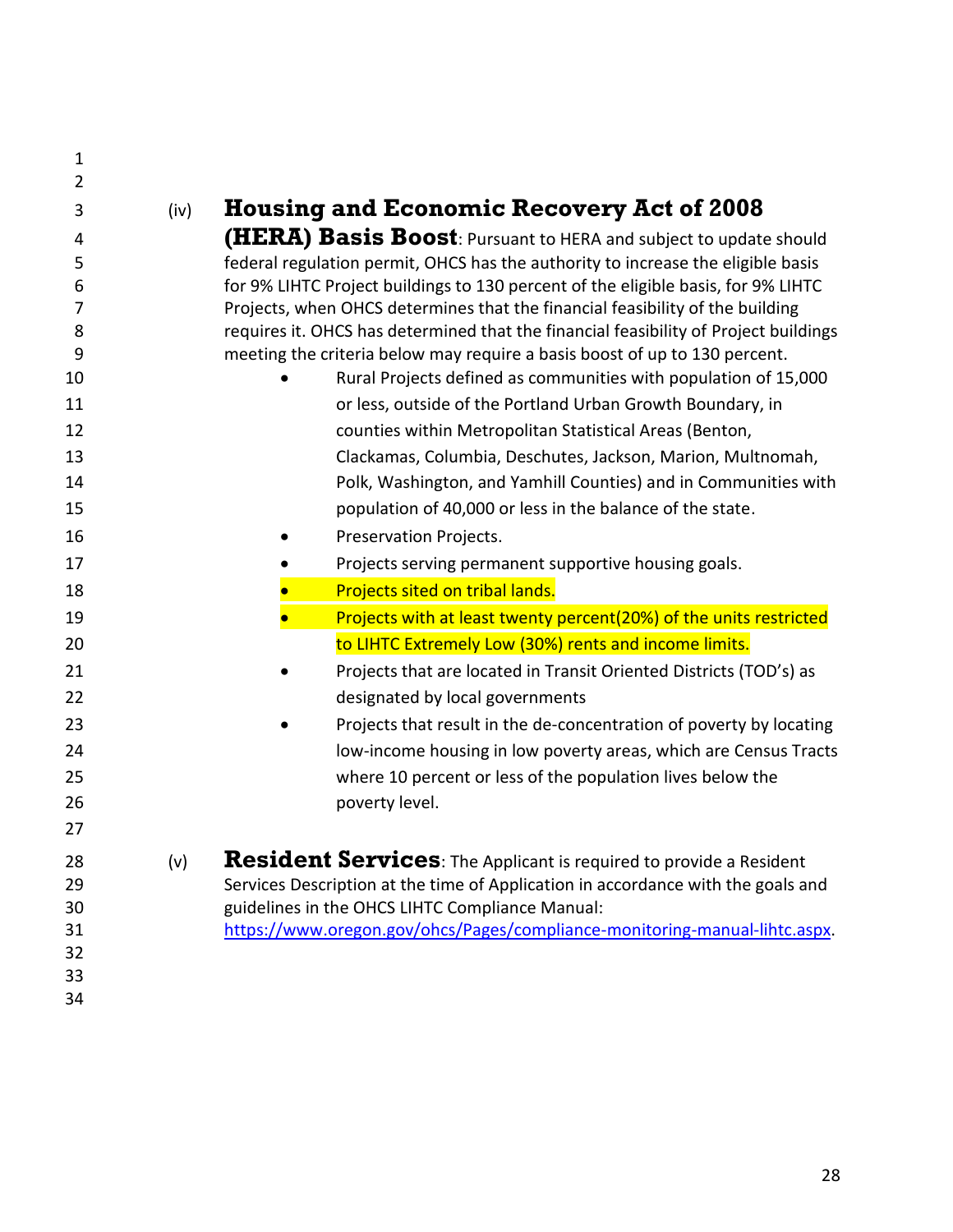<span id="page-27-1"></span><span id="page-27-0"></span>

| 1              |      |                                                                                                                                               |
|----------------|------|-----------------------------------------------------------------------------------------------------------------------------------------------|
| $\overline{2}$ |      |                                                                                                                                               |
| 3              | (iv) | <b>Housing and Economic Recovery Act of 2008</b>                                                                                              |
| 4              |      | <b>(HERA) Basis Boost:</b> Pursuant to HERA and subject to update should                                                                      |
| 5              |      | federal regulation permit, OHCS has the authority to increase the eligible basis                                                              |
| 6              |      | for 9% LIHTC Project buildings to 130 percent of the eligible basis, for 9% LIHTC                                                             |
| 7              |      | Projects, when OHCS determines that the financial feasibility of the building                                                                 |
| 8<br>9         |      | requires it. OHCS has determined that the financial feasibility of Project buildings                                                          |
| 10             |      | meeting the criteria below may require a basis boost of up to 130 percent.<br>Rural Projects defined as communities with population of 15,000 |
| 11             |      | or less, outside of the Portland Urban Growth Boundary, in                                                                                    |
| 12             |      | counties within Metropolitan Statistical Areas (Benton,                                                                                       |
| 13             |      | Clackamas, Columbia, Deschutes, Jackson, Marion, Multnomah,                                                                                   |
| 14             |      |                                                                                                                                               |
| 15             |      | Polk, Washington, and Yamhill Counties) and in Communities with                                                                               |
|                |      | population of 40,000 or less in the balance of the state.                                                                                     |
| 16             |      | Preservation Projects.                                                                                                                        |
| 17             |      | Projects serving permanent supportive housing goals.                                                                                          |
| 18             |      | Projects sited on tribal lands.                                                                                                               |
| 19             |      | Projects with at least twenty percent(20%) of the units restricted                                                                            |
| 20             |      | to LIHTC Extremely Low (30%) rents and income limits.                                                                                         |
| 21             |      | Projects that are located in Transit Oriented Districts (TOD's) as                                                                            |
| 22             |      | designated by local governments                                                                                                               |
| 23             |      | Projects that result in the de-concentration of poverty by locating                                                                           |
| 24             |      | low-income housing in low poverty areas, which are Census Tracts                                                                              |
| 25             |      | where 10 percent or less of the population lives below the                                                                                    |
| 26             |      | poverty level.                                                                                                                                |
| 27             |      |                                                                                                                                               |
| 28             | (v)  | Resident Services: The Applicant is required to provide a Resident                                                                            |
| 29             |      | Services Description at the time of Application in accordance with the goals and                                                              |
| 30             |      | guidelines in the OHCS LIHTC Compliance Manual:                                                                                               |
| 31             |      | https://www.oregon.gov/ohcs/Pages/compliance-monitoring-manual-lihtc.aspx.                                                                    |
| 32             |      |                                                                                                                                               |
| 33             |      |                                                                                                                                               |
| 34             |      |                                                                                                                                               |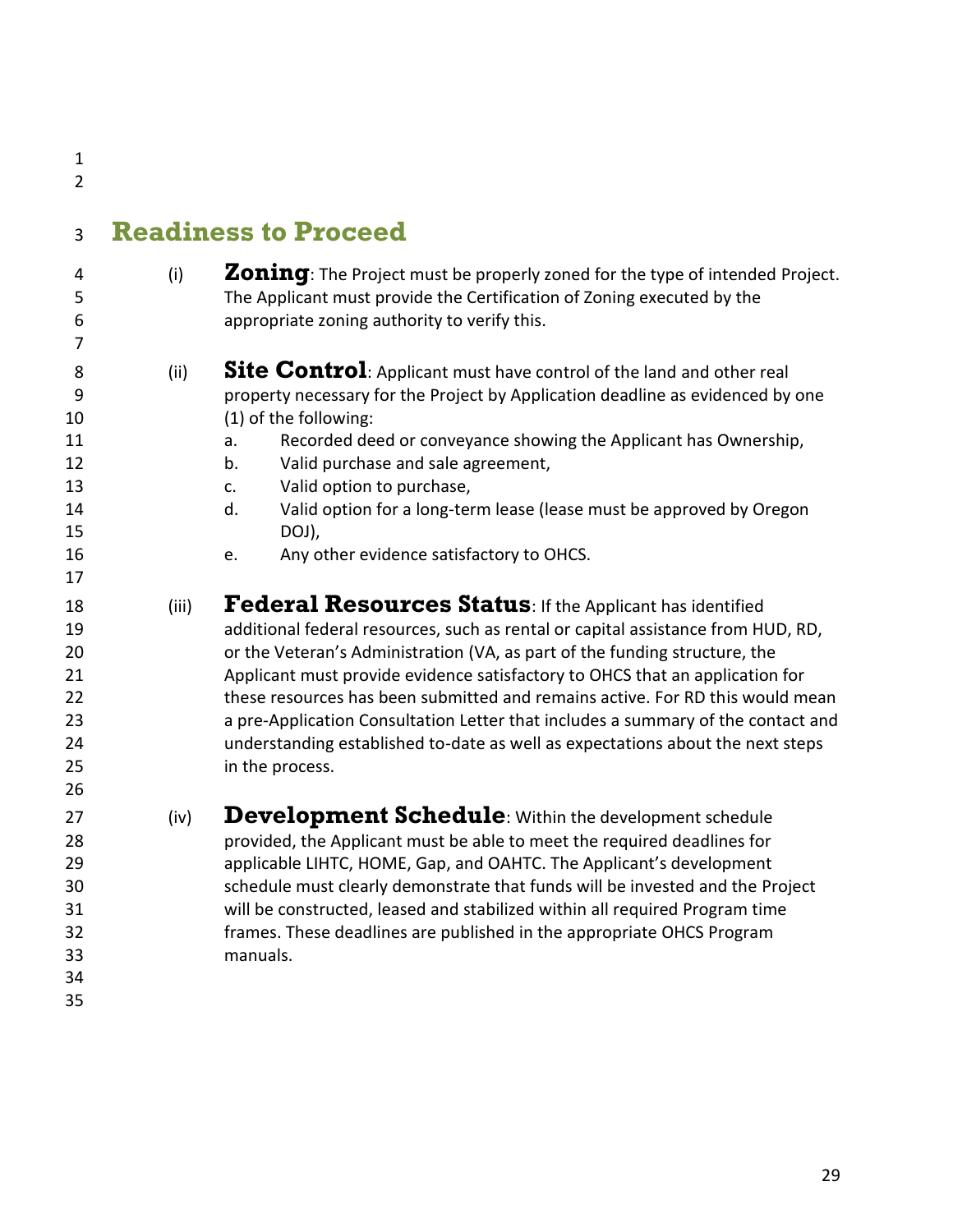<span id="page-28-4"></span><span id="page-28-3"></span><span id="page-28-2"></span><span id="page-28-1"></span><span id="page-28-0"></span>

| $\overline{2}$                                         |       |                                                                                                                                                                                                                                                                                                                                                                                                                                                                                                                                                                                       |
|--------------------------------------------------------|-------|---------------------------------------------------------------------------------------------------------------------------------------------------------------------------------------------------------------------------------------------------------------------------------------------------------------------------------------------------------------------------------------------------------------------------------------------------------------------------------------------------------------------------------------------------------------------------------------|
| 3                                                      |       | <b>Readiness to Proceed</b>                                                                                                                                                                                                                                                                                                                                                                                                                                                                                                                                                           |
| 4<br>5<br>6<br>7                                       | (i)   | Zoning: The Project must be properly zoned for the type of intended Project.<br>The Applicant must provide the Certification of Zoning executed by the<br>appropriate zoning authority to verify this.                                                                                                                                                                                                                                                                                                                                                                                |
| 8<br>9<br>10<br>11<br>12<br>13<br>14<br>15<br>16<br>17 | (ii)  | <b>Site Control</b> : Applicant must have control of the land and other real<br>property necessary for the Project by Application deadline as evidenced by one<br>(1) of the following:<br>Recorded deed or conveyance showing the Applicant has Ownership,<br>a.<br>Valid purchase and sale agreement,<br>b.<br>Valid option to purchase,<br>c.<br>d.<br>Valid option for a long-term lease (lease must be approved by Oregon<br>DOJ),<br>Any other evidence satisfactory to OHCS.<br>е.                                                                                             |
| 18<br>19<br>20<br>21<br>22<br>23<br>24<br>25<br>26     | (iii) | Federal Resources Status: If the Applicant has identified<br>additional federal resources, such as rental or capital assistance from HUD, RD,<br>or the Veteran's Administration (VA, as part of the funding structure, the<br>Applicant must provide evidence satisfactory to OHCS that an application for<br>these resources has been submitted and remains active. For RD this would mean<br>a pre-Application Consultation Letter that includes a summary of the contact and<br>understanding established to-date as well as expectations about the next steps<br>in the process. |
| 27<br>28<br>29<br>30<br>31<br>32<br>33<br>34<br>35     | (iv)  | <b>Development Schedule</b> : Within the development schedule<br>provided, the Applicant must be able to meet the required deadlines for<br>applicable LIHTC, HOME, Gap, and OAHTC. The Applicant's development<br>schedule must clearly demonstrate that funds will be invested and the Project<br>will be constructed, leased and stabilized within all required Program time<br>frames. These deadlines are published in the appropriate OHCS Program<br>manuals.                                                                                                                  |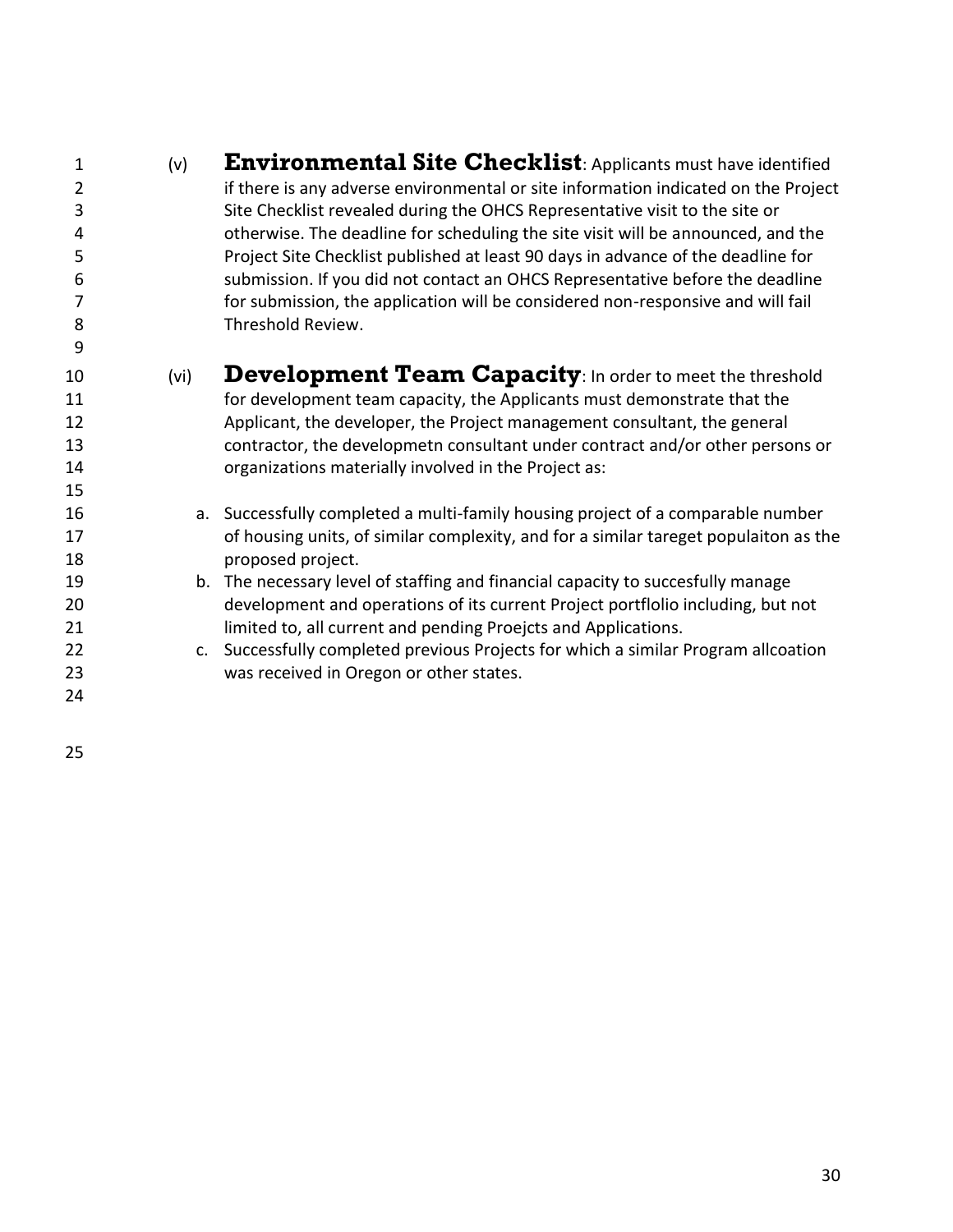<span id="page-29-1"></span><span id="page-29-0"></span>

| $\mathbf{1}$   | (v)  | <b>Environmental Site Checklist:</b> Applicants must have identified                 |
|----------------|------|--------------------------------------------------------------------------------------|
| $\overline{2}$ |      | if there is any adverse environmental or site information indicated on the Project   |
| 3              |      | Site Checklist revealed during the OHCS Representative visit to the site or          |
| 4              |      | otherwise. The deadline for scheduling the site visit will be announced, and the     |
| 5              |      | Project Site Checklist published at least 90 days in advance of the deadline for     |
| 6              |      | submission. If you did not contact an OHCS Representative before the deadline        |
| 7              |      | for submission, the application will be considered non-responsive and will fail      |
| 8              |      | Threshold Review.                                                                    |
| 9              |      |                                                                                      |
| 10             | (vi) | <b>Development Team Capacity:</b> In order to meet the threshold                     |
| 11             |      | for development team capacity, the Applicants must demonstrate that the              |
| 12             |      | Applicant, the developer, the Project management consultant, the general             |
| 13             |      | contractor, the developmetn consultant under contract and/or other persons or        |
| 14             |      | organizations materially involved in the Project as:                                 |
| 15             |      |                                                                                      |
| 16             |      | a. Successfully completed a multi-family housing project of a comparable number      |
| 17             |      | of housing units, of similar complexity, and for a similar tareget populaiton as the |
| 18             |      | proposed project.                                                                    |
| 19             |      | b. The necessary level of staffing and financial capacity to succesfully manage      |
| 20             |      | development and operations of its current Project portflolio including, but not      |
| 21             |      | limited to, all current and pending Proejcts and Applications.                       |
| 22             |      | c. Successfully completed previous Projects for which a similar Program allcoation   |
| 23             |      | was received in Oregon or other states.                                              |
| 24             |      |                                                                                      |
|                |      |                                                                                      |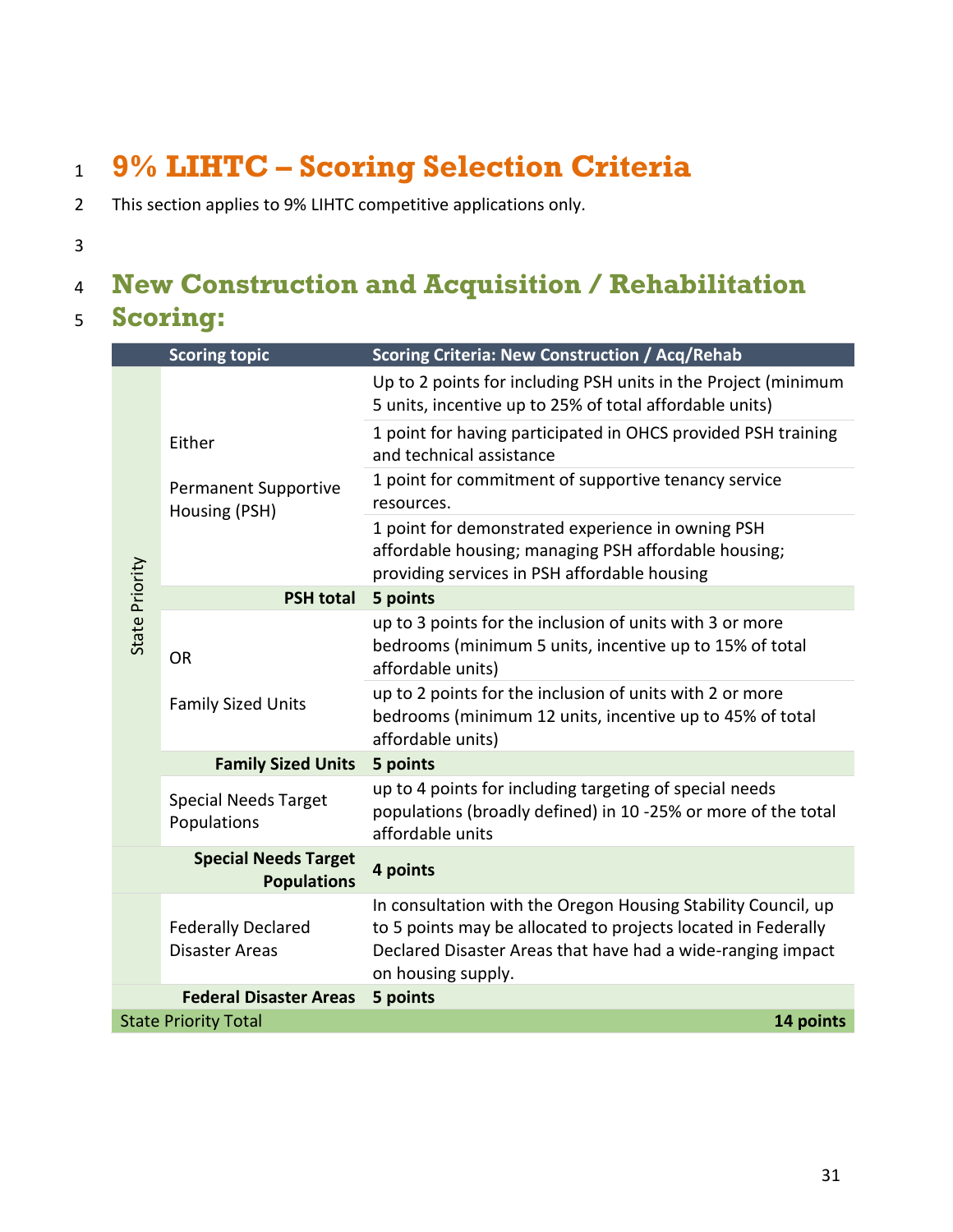## <span id="page-30-0"></span><sup>1</sup> **9% LIHTC – Scoring Selection Criteria**

- 2 This section applies to 9% LIHTC competitive applications only.
- 3

### <span id="page-30-1"></span><sup>4</sup> **New Construction and Acquisition / Rehabilitation**

#### <sup>5</sup> **Scoring:**

|                | <b>Scoring topic</b>                                   | <b>Scoring Criteria: New Construction / Acq/Rehab</b>                                                                                                                                                               |
|----------------|--------------------------------------------------------|---------------------------------------------------------------------------------------------------------------------------------------------------------------------------------------------------------------------|
|                | Either<br><b>Permanent Supportive</b><br>Housing (PSH) | Up to 2 points for including PSH units in the Project (minimum<br>5 units, incentive up to 25% of total affordable units)                                                                                           |
|                |                                                        | 1 point for having participated in OHCS provided PSH training<br>and technical assistance                                                                                                                           |
|                |                                                        | 1 point for commitment of supportive tenancy service<br>resources.                                                                                                                                                  |
|                |                                                        | 1 point for demonstrated experience in owning PSH<br>affordable housing; managing PSH affordable housing;<br>providing services in PSH affordable housing                                                           |
|                | <b>PSH total</b>                                       | 5 points                                                                                                                                                                                                            |
| State Priority | <b>OR</b>                                              | up to 3 points for the inclusion of units with 3 or more<br>bedrooms (minimum 5 units, incentive up to 15% of total<br>affordable units)                                                                            |
|                | <b>Family Sized Units</b>                              | up to 2 points for the inclusion of units with 2 or more<br>bedrooms (minimum 12 units, incentive up to 45% of total<br>affordable units)                                                                           |
|                | <b>Family Sized Units</b>                              | 5 points                                                                                                                                                                                                            |
|                | <b>Special Needs Target</b><br>Populations             | up to 4 points for including targeting of special needs<br>populations (broadly defined) in 10 -25% or more of the total<br>affordable units                                                                        |
|                | <b>Special Needs Target</b><br><b>Populations</b>      | 4 points                                                                                                                                                                                                            |
|                | <b>Federally Declared</b><br><b>Disaster Areas</b>     | In consultation with the Oregon Housing Stability Council, up<br>to 5 points may be allocated to projects located in Federally<br>Declared Disaster Areas that have had a wide-ranging impact<br>on housing supply. |
|                | <b>Federal Disaster Areas</b>                          | 5 points                                                                                                                                                                                                            |
|                | <b>State Priority Total</b>                            | 14 points                                                                                                                                                                                                           |
|                |                                                        |                                                                                                                                                                                                                     |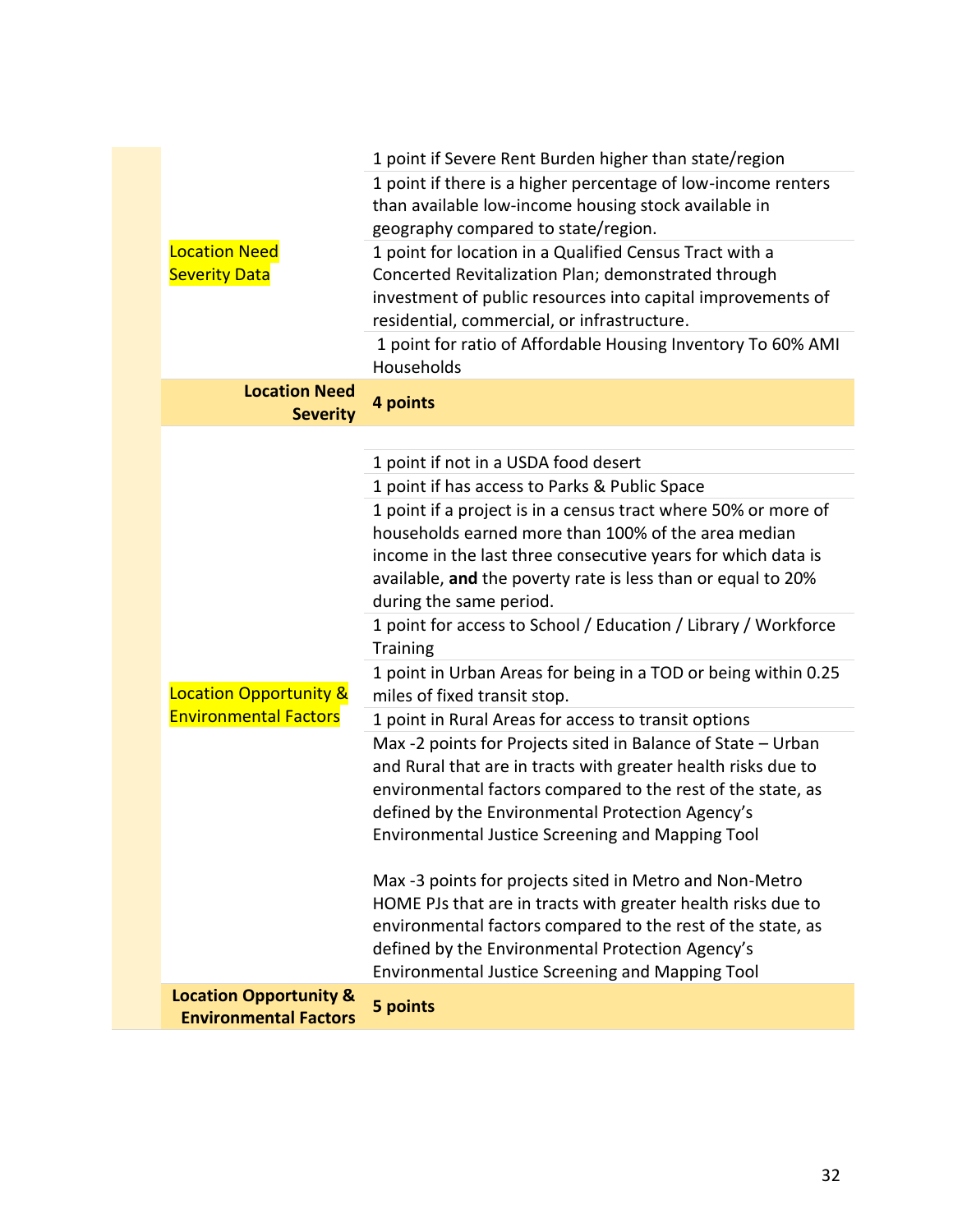|                                         | 1 point if Severe Rent Burden higher than state/region                                                                                                                                       |
|-----------------------------------------|----------------------------------------------------------------------------------------------------------------------------------------------------------------------------------------------|
|                                         | 1 point if there is a higher percentage of low-income renters<br>than available low-income housing stock available in<br>geography compared to state/region.                                 |
| <b>Location Need</b>                    | 1 point for location in a Qualified Census Tract with a                                                                                                                                      |
| <b>Severity Data</b>                    | Concerted Revitalization Plan; demonstrated through                                                                                                                                          |
|                                         | investment of public resources into capital improvements of<br>residential, commercial, or infrastructure.                                                                                   |
|                                         | 1 point for ratio of Affordable Housing Inventory To 60% AMI<br>Households                                                                                                                   |
| <b>Location Need</b><br><b>Severity</b> | 4 points                                                                                                                                                                                     |
|                                         |                                                                                                                                                                                              |
|                                         | 1 point if not in a USDA food desert                                                                                                                                                         |
|                                         | 1 point if has access to Parks & Public Space                                                                                                                                                |
|                                         | 1 point if a project is in a census tract where 50% or more of                                                                                                                               |
|                                         | households earned more than 100% of the area median                                                                                                                                          |
|                                         | income in the last three consecutive years for which data is                                                                                                                                 |
|                                         | available, and the poverty rate is less than or equal to 20%                                                                                                                                 |
|                                         | during the same period.<br>1 point for access to School / Education / Library / Workforce                                                                                                    |
|                                         | <b>Training</b>                                                                                                                                                                              |
|                                         | 1 point in Urban Areas for being in a TOD or being within 0.25                                                                                                                               |
| <b>Location Opportunity &amp;</b>       | miles of fixed transit stop.                                                                                                                                                                 |
| <b>Environmental Factors</b>            | 1 point in Rural Areas for access to transit options                                                                                                                                         |
|                                         | Max -2 points for Projects sited in Balance of State - Urban<br>and Rural that are in tracts with greater health risks due to<br>environmental factors compared to the rest of the state, as |
|                                         | defined by the Environmental Protection Agency's                                                                                                                                             |
|                                         | <b>Environmental Justice Screening and Mapping Tool</b>                                                                                                                                      |
|                                         | Max -3 points for projects sited in Metro and Non-Metro<br>HOME PJs that are in tracts with greater health risks due to<br>environmental factors compared to the rest of the state, as       |
|                                         | defined by the Environmental Protection Agency's                                                                                                                                             |
| <b>Location Opportunity &amp;</b>       | <b>Environmental Justice Screening and Mapping Tool</b>                                                                                                                                      |
| <b>Environmental Factors</b>            | 5 points                                                                                                                                                                                     |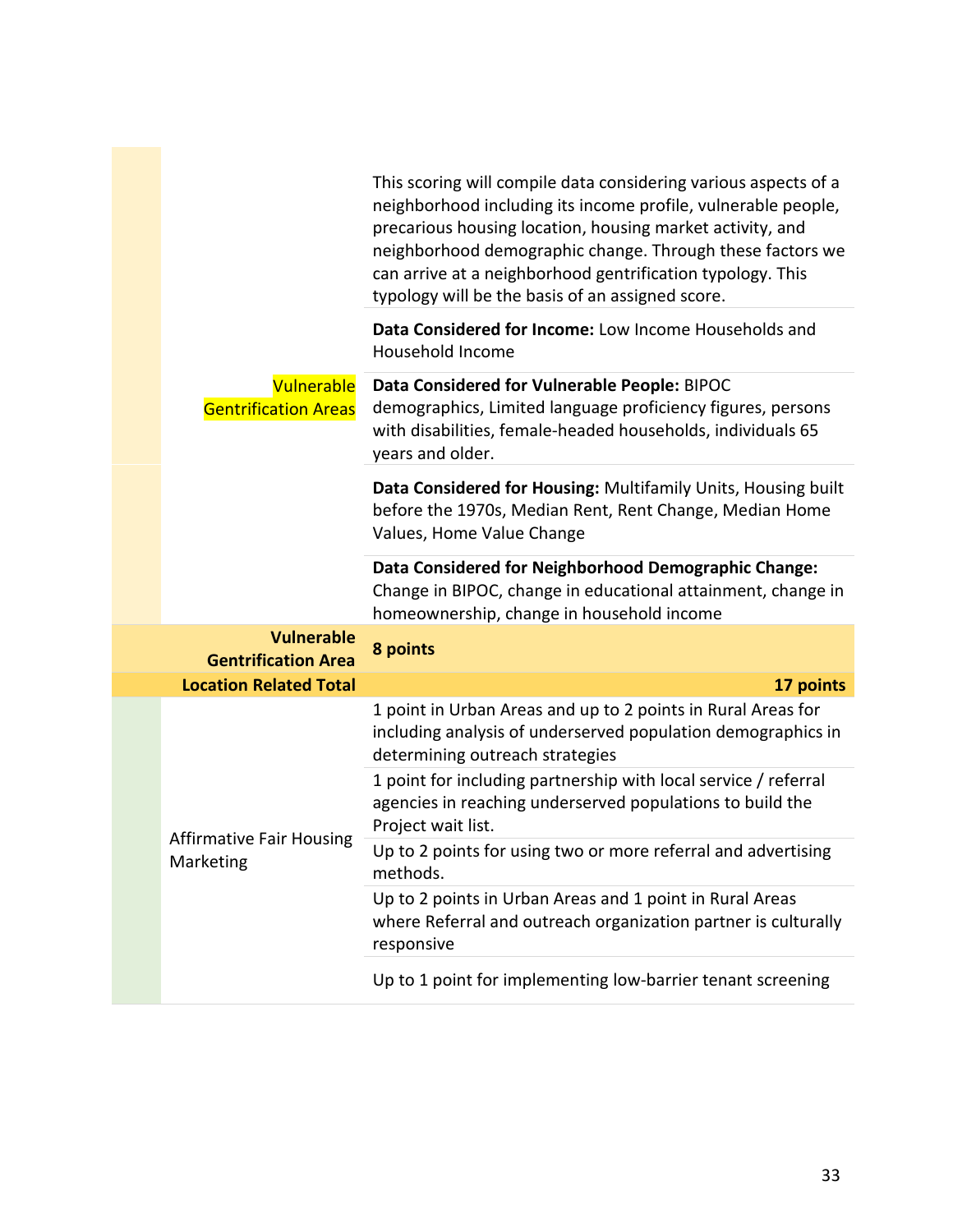|  |                                                 | This scoring will compile data considering various aspects of a<br>neighborhood including its income profile, vulnerable people,<br>precarious housing location, housing market activity, and<br>neighborhood demographic change. Through these factors we<br>can arrive at a neighborhood gentrification typology. This<br>typology will be the basis of an assigned score. |
|--|-------------------------------------------------|------------------------------------------------------------------------------------------------------------------------------------------------------------------------------------------------------------------------------------------------------------------------------------------------------------------------------------------------------------------------------|
|  |                                                 | Data Considered for Income: Low Income Households and<br>Household Income                                                                                                                                                                                                                                                                                                    |
|  | Vulnerable<br><b>Gentrification Areas</b>       | Data Considered for Vulnerable People: BIPOC<br>demographics, Limited language proficiency figures, persons<br>with disabilities, female-headed households, individuals 65<br>years and older.                                                                                                                                                                               |
|  |                                                 | Data Considered for Housing: Multifamily Units, Housing built<br>before the 1970s, Median Rent, Rent Change, Median Home<br>Values, Home Value Change                                                                                                                                                                                                                        |
|  |                                                 | Data Considered for Neighborhood Demographic Change:<br>Change in BIPOC, change in educational attainment, change in<br>homeownership, change in household income                                                                                                                                                                                                            |
|  | <b>Vulnerable</b><br><b>Gentrification Area</b> | 8 points                                                                                                                                                                                                                                                                                                                                                                     |
|  | <b>Location Related Total</b>                   | 17 points                                                                                                                                                                                                                                                                                                                                                                    |
|  |                                                 | 1 point in Urban Areas and up to 2 points in Rural Areas for<br>including analysis of underserved population demographics in<br>determining outreach strategies                                                                                                                                                                                                              |
|  |                                                 | 1 point for including partnership with local service / referral<br>agencies in reaching underserved populations to build the<br>Project wait list.                                                                                                                                                                                                                           |
|  | <b>Affirmative Fair Housing</b><br>Marketing    | Up to 2 points for using two or more referral and advertising<br>methods.                                                                                                                                                                                                                                                                                                    |
|  |                                                 | Up to 2 points in Urban Areas and 1 point in Rural Areas<br>where Referral and outreach organization partner is culturally<br>responsive                                                                                                                                                                                                                                     |
|  |                                                 | Up to 1 point for implementing low-barrier tenant screening                                                                                                                                                                                                                                                                                                                  |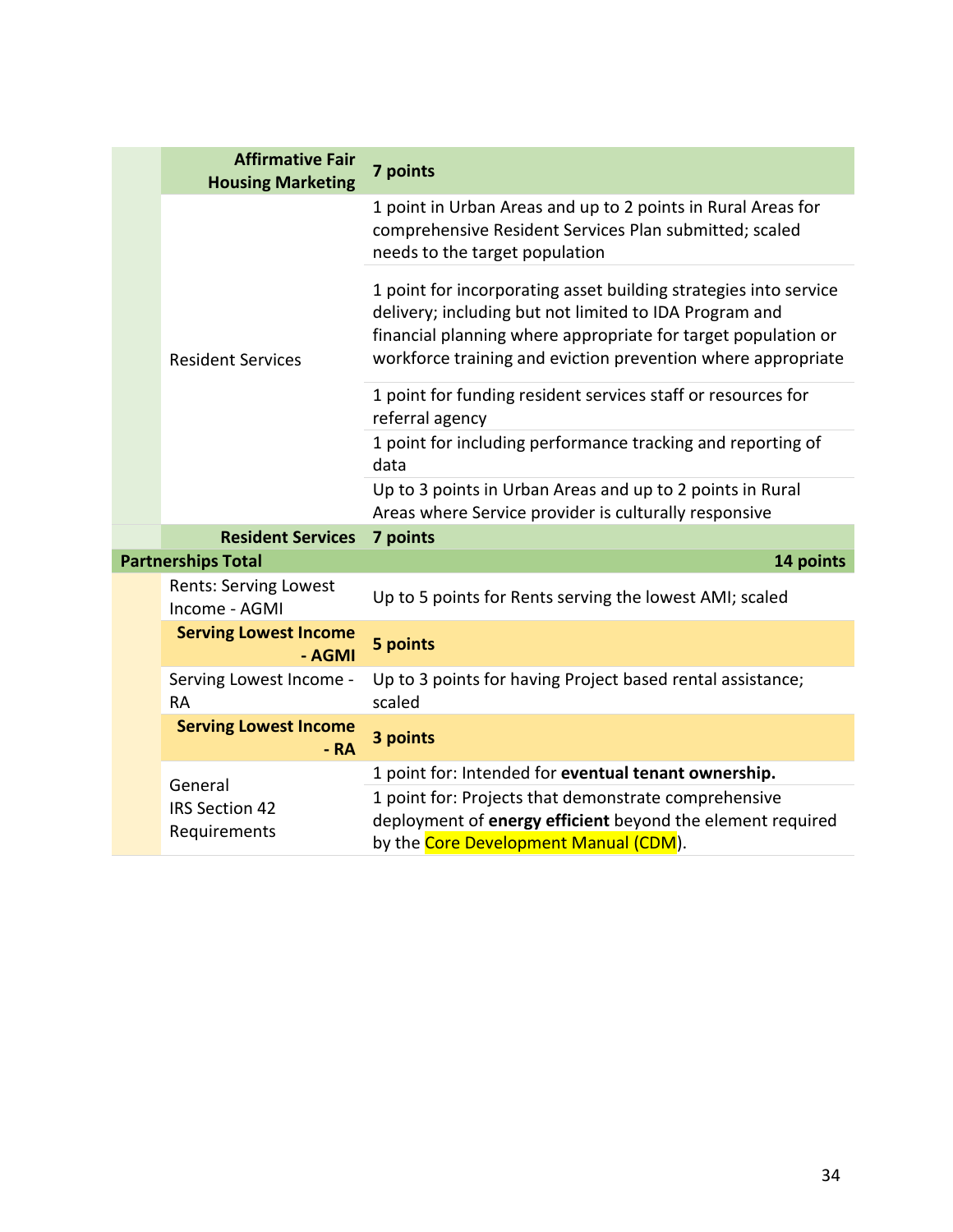|  | <b>Affirmative Fair</b><br><b>Housing Marketing</b> | 7 points                                                                                                                                                                                                                                                    |
|--|-----------------------------------------------------|-------------------------------------------------------------------------------------------------------------------------------------------------------------------------------------------------------------------------------------------------------------|
|  | <b>Resident Services</b>                            | 1 point in Urban Areas and up to 2 points in Rural Areas for<br>comprehensive Resident Services Plan submitted; scaled<br>needs to the target population                                                                                                    |
|  |                                                     | 1 point for incorporating asset building strategies into service<br>delivery; including but not limited to IDA Program and<br>financial planning where appropriate for target population or<br>workforce training and eviction prevention where appropriate |
|  |                                                     | 1 point for funding resident services staff or resources for<br>referral agency                                                                                                                                                                             |
|  |                                                     | 1 point for including performance tracking and reporting of<br>data                                                                                                                                                                                         |
|  |                                                     | Up to 3 points in Urban Areas and up to 2 points in Rural<br>Areas where Service provider is culturally responsive                                                                                                                                          |
|  | <b>Resident Services</b>                            | 7 points                                                                                                                                                                                                                                                    |
|  | <b>Partnerships Total</b>                           | 14 points                                                                                                                                                                                                                                                   |
|  | Rents: Serving Lowest<br>Income - AGMI              | Up to 5 points for Rents serving the lowest AMI; scaled                                                                                                                                                                                                     |
|  | <b>Serving Lowest Income</b><br>- AGMI              | 5 points                                                                                                                                                                                                                                                    |
|  | Serving Lowest Income -<br><b>RA</b>                | Up to 3 points for having Project based rental assistance;<br>scaled                                                                                                                                                                                        |
|  | <b>Serving Lowest Income</b><br>$-RA$               | 3 points                                                                                                                                                                                                                                                    |
|  | General<br><b>IRS Section 42</b><br>Requirements    | 1 point for: Intended for eventual tenant ownership.<br>1 point for: Projects that demonstrate comprehensive<br>deployment of energy efficient beyond the element required<br>by the Core Development Manual (CDM).                                         |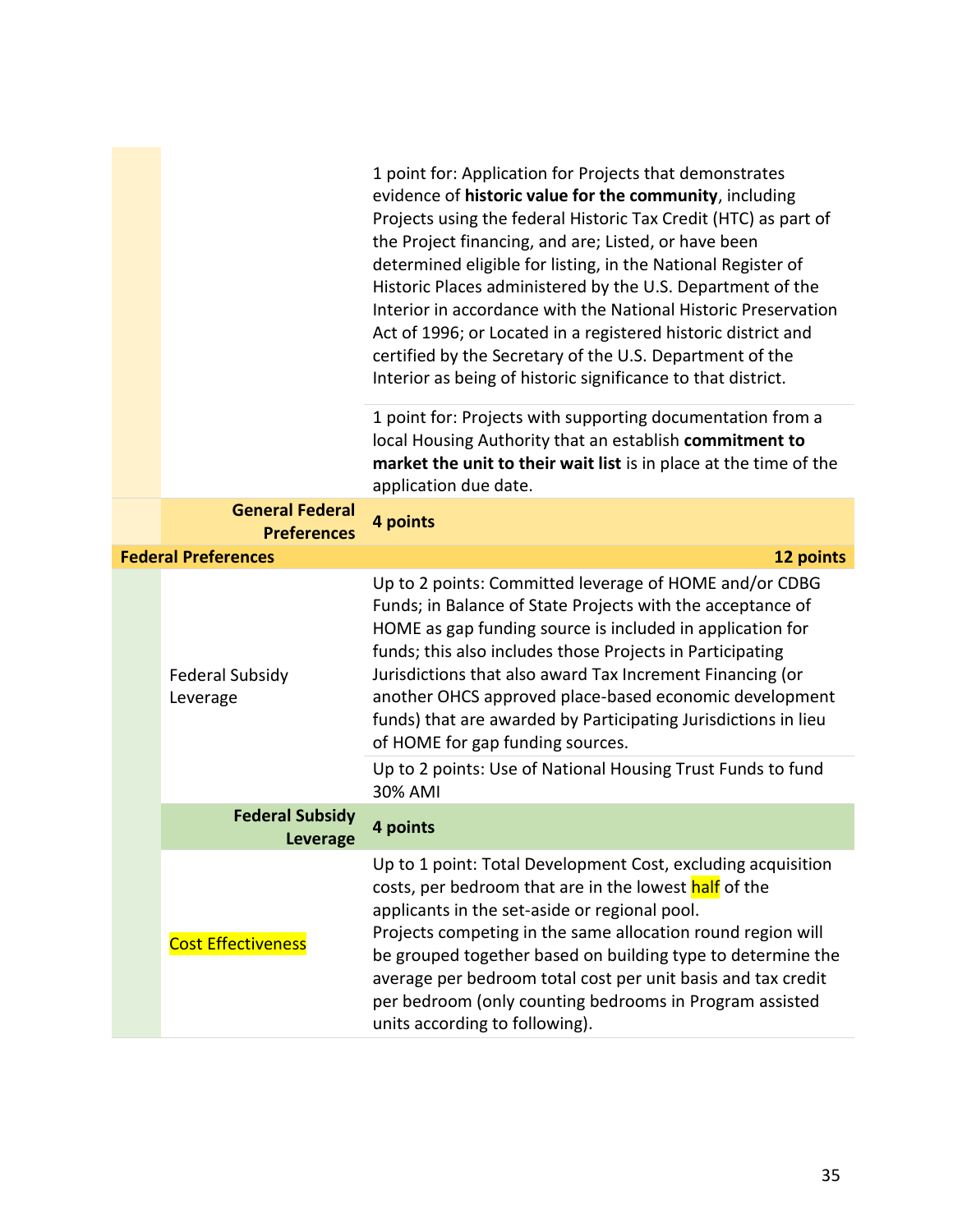|                                              | 1 point for: Application for Projects that demonstrates<br>evidence of historic value for the community, including<br>Projects using the federal Historic Tax Credit (HTC) as part of<br>the Project financing, and are; Listed, or have been<br>determined eligible for listing, in the National Register of<br>Historic Places administered by the U.S. Department of the<br>Interior in accordance with the National Historic Preservation<br>Act of 1996; or Located in a registered historic district and<br>certified by the Secretary of the U.S. Department of the<br>Interior as being of historic significance to that district. |
|----------------------------------------------|--------------------------------------------------------------------------------------------------------------------------------------------------------------------------------------------------------------------------------------------------------------------------------------------------------------------------------------------------------------------------------------------------------------------------------------------------------------------------------------------------------------------------------------------------------------------------------------------------------------------------------------------|
|                                              | 1 point for: Projects with supporting documentation from a<br>local Housing Authority that an establish commitment to<br>market the unit to their wait list is in place at the time of the<br>application due date.                                                                                                                                                                                                                                                                                                                                                                                                                        |
| <b>General Federal</b><br><b>Preferences</b> | 4 points                                                                                                                                                                                                                                                                                                                                                                                                                                                                                                                                                                                                                                   |
| <b>Federal Preferences</b>                   | 12 points                                                                                                                                                                                                                                                                                                                                                                                                                                                                                                                                                                                                                                  |
| <b>Federal Subsidy</b><br>Leverage           | Up to 2 points: Committed leverage of HOME and/or CDBG<br>Funds; in Balance of State Projects with the acceptance of<br>HOME as gap funding source is included in application for<br>funds; this also includes those Projects in Participating<br>Jurisdictions that also award Tax Increment Financing (or<br>another OHCS approved place-based economic development<br>funds) that are awarded by Participating Jurisdictions in lieu<br>of HOME for gap funding sources.                                                                                                                                                                |
|                                              | Up to 2 points: Use of National Housing Trust Funds to fund<br>30% AMI                                                                                                                                                                                                                                                                                                                                                                                                                                                                                                                                                                     |
| <b>Federal Subsidy</b><br><b>Leverage</b>    | 4 points                                                                                                                                                                                                                                                                                                                                                                                                                                                                                                                                                                                                                                   |
| <b>Cost Effectiveness</b>                    | Up to 1 point: Total Development Cost, excluding acquisition<br>costs, per bedroom that are in the lowest half of the<br>applicants in the set-aside or regional pool.<br>Projects competing in the same allocation round region will<br>be grouped together based on building type to determine the<br>average per bedroom total cost per unit basis and tax credit<br>per bedroom (only counting bedrooms in Program assisted<br>units according to following).                                                                                                                                                                          |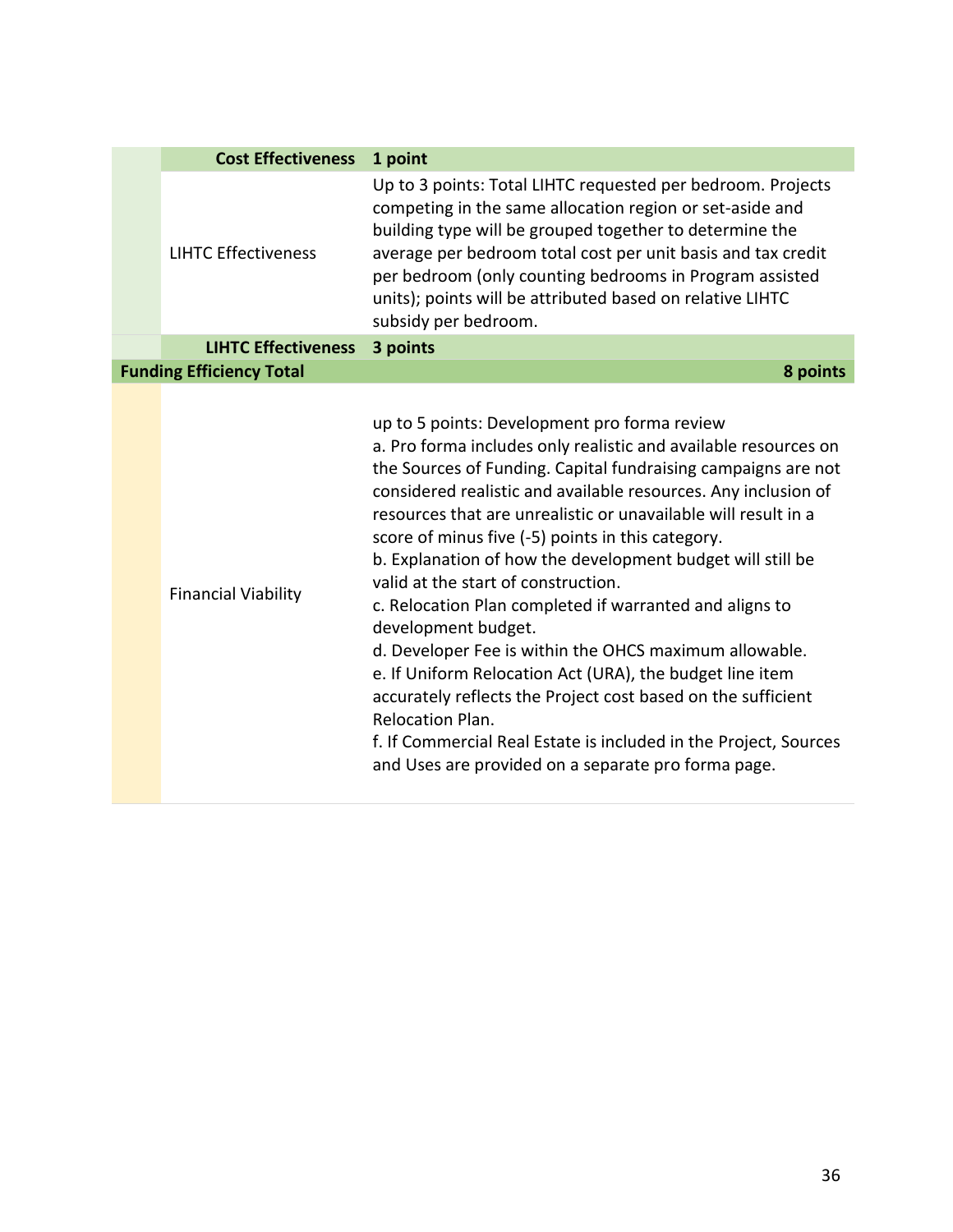| <b>Cost Effectiveness</b>       | 1 point                                                                                                                                                                                                                                                                                                                                                                                                                                                                                                                                                                                                                                                                                                                                                                                                                                                                                               |
|---------------------------------|-------------------------------------------------------------------------------------------------------------------------------------------------------------------------------------------------------------------------------------------------------------------------------------------------------------------------------------------------------------------------------------------------------------------------------------------------------------------------------------------------------------------------------------------------------------------------------------------------------------------------------------------------------------------------------------------------------------------------------------------------------------------------------------------------------------------------------------------------------------------------------------------------------|
| <b>LIHTC Effectiveness</b>      | Up to 3 points: Total LIHTC requested per bedroom. Projects<br>competing in the same allocation region or set-aside and<br>building type will be grouped together to determine the<br>average per bedroom total cost per unit basis and tax credit<br>per bedroom (only counting bedrooms in Program assisted<br>units); points will be attributed based on relative LIHTC<br>subsidy per bedroom.                                                                                                                                                                                                                                                                                                                                                                                                                                                                                                    |
| <b>LIHTC Effectiveness</b>      | 3 points                                                                                                                                                                                                                                                                                                                                                                                                                                                                                                                                                                                                                                                                                                                                                                                                                                                                                              |
| <b>Funding Efficiency Total</b> | 8 points                                                                                                                                                                                                                                                                                                                                                                                                                                                                                                                                                                                                                                                                                                                                                                                                                                                                                              |
| <b>Financial Viability</b>      | up to 5 points: Development pro forma review<br>a. Pro forma includes only realistic and available resources on<br>the Sources of Funding. Capital fundraising campaigns are not<br>considered realistic and available resources. Any inclusion of<br>resources that are unrealistic or unavailable will result in a<br>score of minus five (-5) points in this category.<br>b. Explanation of how the development budget will still be<br>valid at the start of construction.<br>c. Relocation Plan completed if warranted and aligns to<br>development budget.<br>d. Developer Fee is within the OHCS maximum allowable.<br>e. If Uniform Relocation Act (URA), the budget line item<br>accurately reflects the Project cost based on the sufficient<br>Relocation Plan.<br>f. If Commercial Real Estate is included in the Project, Sources<br>and Uses are provided on a separate pro forma page. |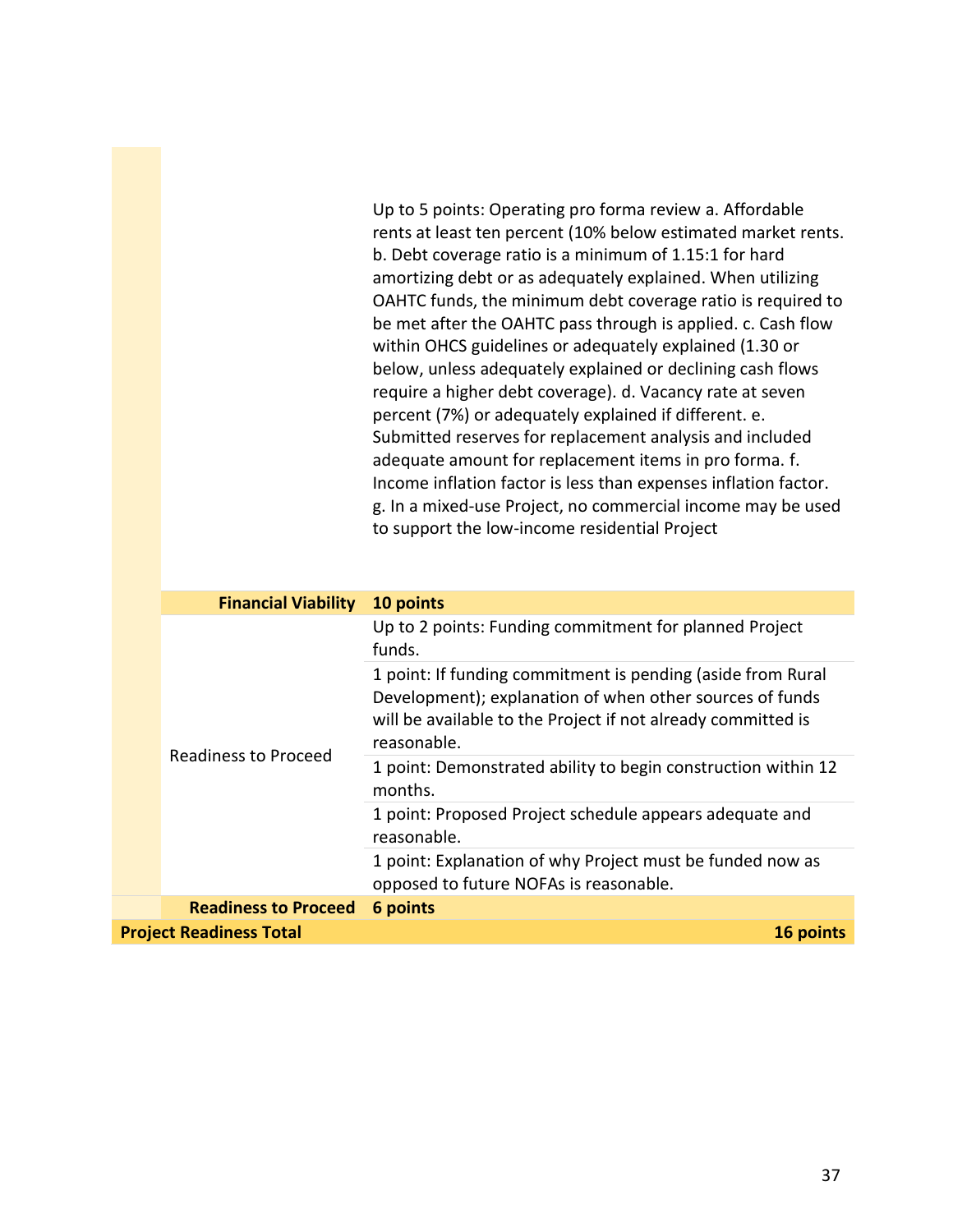Up to 5 points: Operating pro forma review a. Affordable rents at least ten percent (10% below estimated market rents. b. Debt coverage ratio is a minimum of 1.15:1 for hard amortizing debt or as adequately explained. When utilizing OAHTC funds, the minimum debt coverage ratio is required to be met after the OAHTC pass through is applied. c. Cash flow within OHCS guidelines or adequately explained (1.30 or below, unless adequately explained or declining cash flows require a higher debt coverage). d. Vacancy rate at seven percent (7%) or adequately explained if different. e. Submitted reserves for replacement analysis and included adequate amount for replacement items in pro forma. f. Income inflation factor is less than expenses inflation factor. g. In a mixed-use Project, no commercial income may be used to support the low-income residential Project

| <b>Financial Viability</b>                  | 10 points                                                                                                                                                                                              |  |
|---------------------------------------------|--------------------------------------------------------------------------------------------------------------------------------------------------------------------------------------------------------|--|
|                                             | Up to 2 points: Funding commitment for planned Project<br>funds.                                                                                                                                       |  |
| Readiness to Proceed                        | 1 point: If funding commitment is pending (aside from Rural<br>Development); explanation of when other sources of funds<br>will be available to the Project if not already committed is<br>reasonable. |  |
|                                             | 1 point: Demonstrated ability to begin construction within 12<br>months.                                                                                                                               |  |
|                                             | 1 point: Proposed Project schedule appears adequate and<br>reasonable.                                                                                                                                 |  |
|                                             | 1 point: Explanation of why Project must be funded now as<br>opposed to future NOFAs is reasonable.                                                                                                    |  |
| <b>Readiness to Proceed</b>                 | 6 points                                                                                                                                                                                               |  |
| <b>Project Readiness Total</b><br>16 points |                                                                                                                                                                                                        |  |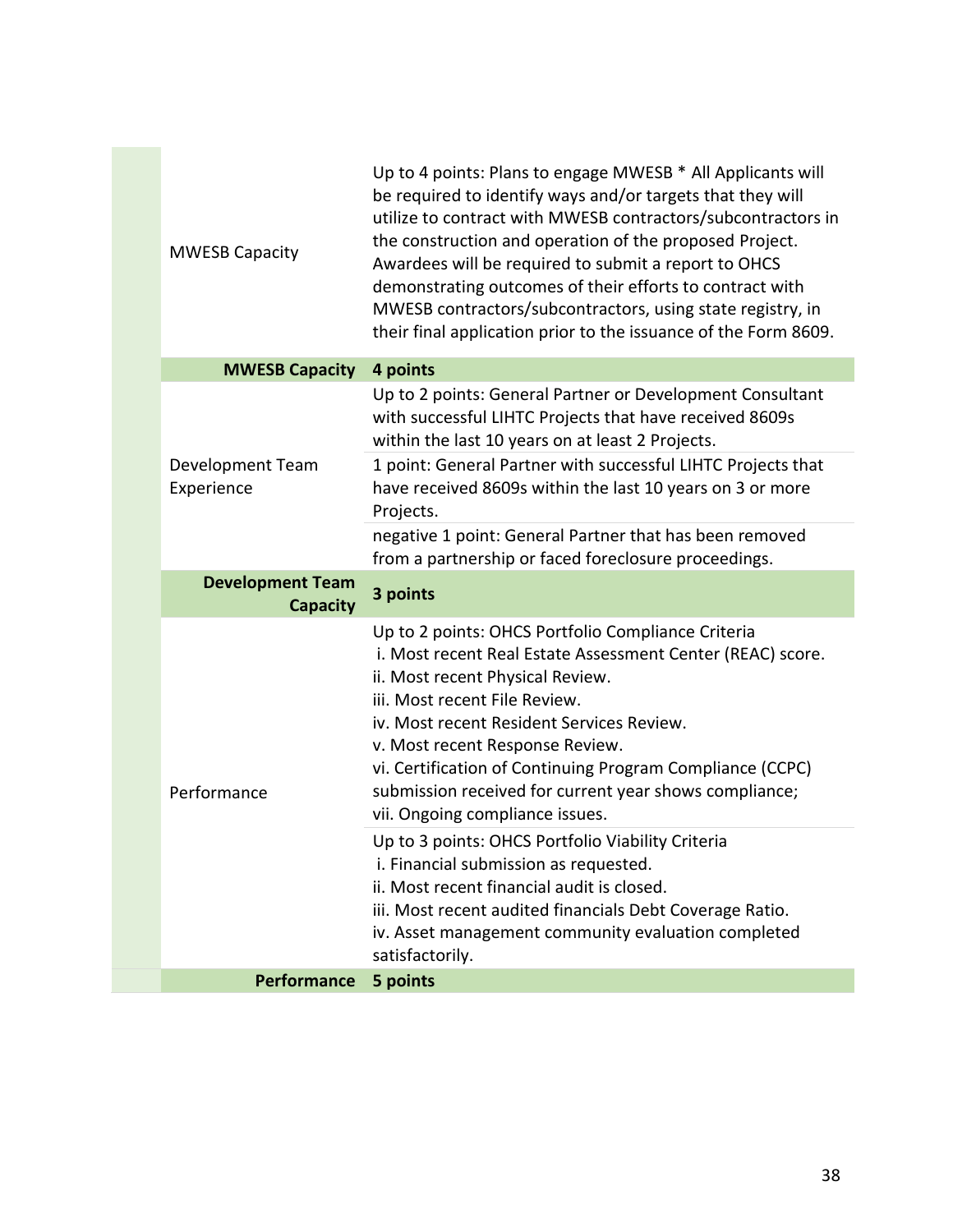| <b>MWESB Capacity</b>                      | Up to 4 points: Plans to engage MWESB * All Applicants will<br>be required to identify ways and/or targets that they will<br>utilize to contract with MWESB contractors/subcontractors in<br>the construction and operation of the proposed Project.<br>Awardees will be required to submit a report to OHCS<br>demonstrating outcomes of their efforts to contract with<br>MWESB contractors/subcontractors, using state registry, in<br>their final application prior to the issuance of the Form 8609. |
|--------------------------------------------|-----------------------------------------------------------------------------------------------------------------------------------------------------------------------------------------------------------------------------------------------------------------------------------------------------------------------------------------------------------------------------------------------------------------------------------------------------------------------------------------------------------|
| <b>MWESB Capacity</b>                      | 4 points                                                                                                                                                                                                                                                                                                                                                                                                                                                                                                  |
|                                            | Up to 2 points: General Partner or Development Consultant<br>with successful LIHTC Projects that have received 8609s<br>within the last 10 years on at least 2 Projects.                                                                                                                                                                                                                                                                                                                                  |
| Development Team<br>Experience             | 1 point: General Partner with successful LIHTC Projects that<br>have received 8609s within the last 10 years on 3 or more<br>Projects.                                                                                                                                                                                                                                                                                                                                                                    |
|                                            | negative 1 point: General Partner that has been removed<br>from a partnership or faced foreclosure proceedings.                                                                                                                                                                                                                                                                                                                                                                                           |
| <b>Development Team</b><br><b>Capacity</b> | 3 points                                                                                                                                                                                                                                                                                                                                                                                                                                                                                                  |
|                                            |                                                                                                                                                                                                                                                                                                                                                                                                                                                                                                           |
| Performance                                | Up to 2 points: OHCS Portfolio Compliance Criteria<br>i. Most recent Real Estate Assessment Center (REAC) score.<br>ii. Most recent Physical Review.<br>iii. Most recent File Review.<br>iv. Most recent Resident Services Review.<br>v. Most recent Response Review.<br>vi. Certification of Continuing Program Compliance (CCPC)<br>submission received for current year shows compliance;<br>vii. Ongoing compliance issues.                                                                           |
|                                            | Up to 3 points: OHCS Portfolio Viability Criteria<br>i. Financial submission as requested.<br>ii. Most recent financial audit is closed.<br>iii. Most recent audited financials Debt Coverage Ratio.<br>iv. Asset management community evaluation completed<br>satisfactorily.                                                                                                                                                                                                                            |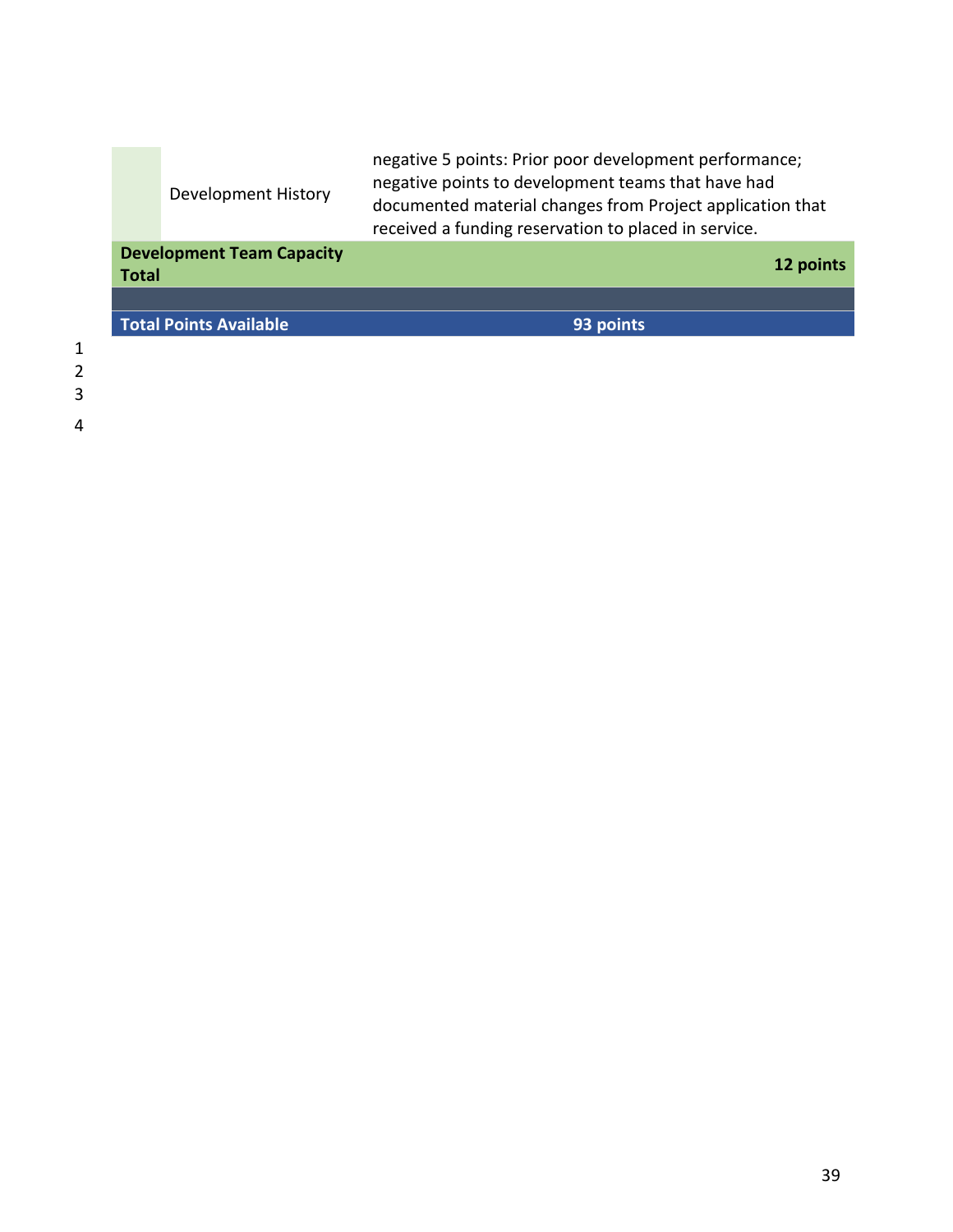|                                                  | Development History           | negative 5 points: Prior poor development performance;<br>negative points to development teams that have had<br>documented material changes from Project application that<br>received a funding reservation to placed in service. |
|--------------------------------------------------|-------------------------------|-----------------------------------------------------------------------------------------------------------------------------------------------------------------------------------------------------------------------------------|
| <b>Development Team Capacity</b><br><b>Total</b> |                               | 12 points                                                                                                                                                                                                                         |
|                                                  |                               |                                                                                                                                                                                                                                   |
|                                                  | <b>Total Points Available</b> | 93 points                                                                                                                                                                                                                         |
|                                                  |                               |                                                                                                                                                                                                                                   |

- 1 2 3
- 4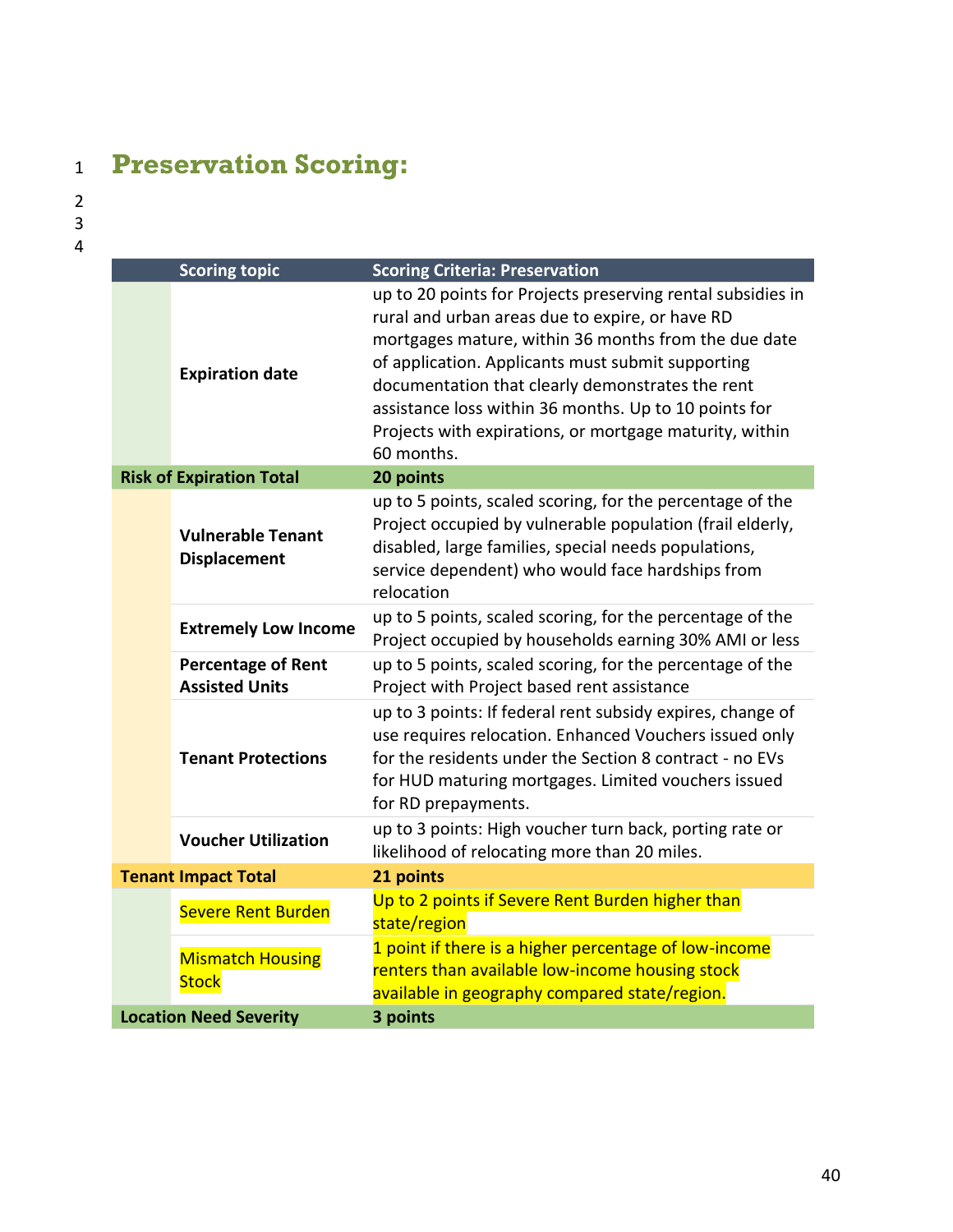## <span id="page-39-0"></span><sup>1</sup> **Preservation Scoring:**

| <b>Scoring topic</b>                            |                                                    | <b>Scoring Criteria: Preservation</b>                                                                                                                                                                                                                                                                                                                                                                             |
|-------------------------------------------------|----------------------------------------------------|-------------------------------------------------------------------------------------------------------------------------------------------------------------------------------------------------------------------------------------------------------------------------------------------------------------------------------------------------------------------------------------------------------------------|
|                                                 | <b>Expiration date</b>                             | up to 20 points for Projects preserving rental subsidies in<br>rural and urban areas due to expire, or have RD<br>mortgages mature, within 36 months from the due date<br>of application. Applicants must submit supporting<br>documentation that clearly demonstrates the rent<br>assistance loss within 36 months. Up to 10 points for<br>Projects with expirations, or mortgage maturity, within<br>60 months. |
|                                                 | <b>Risk of Expiration Total</b>                    | 20 points                                                                                                                                                                                                                                                                                                                                                                                                         |
| <b>Vulnerable Tenant</b><br><b>Displacement</b> |                                                    | up to 5 points, scaled scoring, for the percentage of the<br>Project occupied by vulnerable population (frail elderly,<br>disabled, large families, special needs populations,<br>service dependent) who would face hardships from<br>relocation                                                                                                                                                                  |
|                                                 | <b>Extremely Low Income</b>                        | up to 5 points, scaled scoring, for the percentage of the<br>Project occupied by households earning 30% AMI or less                                                                                                                                                                                                                                                                                               |
|                                                 | <b>Percentage of Rent</b><br><b>Assisted Units</b> | up to 5 points, scaled scoring, for the percentage of the<br>Project with Project based rent assistance                                                                                                                                                                                                                                                                                                           |
|                                                 | <b>Tenant Protections</b>                          | up to 3 points: If federal rent subsidy expires, change of<br>use requires relocation. Enhanced Vouchers issued only<br>for the residents under the Section 8 contract - no EVs<br>for HUD maturing mortgages. Limited vouchers issued<br>for RD prepayments.                                                                                                                                                     |
|                                                 | <b>Voucher Utilization</b>                         | up to 3 points: High voucher turn back, porting rate or<br>likelihood of relocating more than 20 miles.                                                                                                                                                                                                                                                                                                           |
|                                                 | <b>Tenant Impact Total</b>                         | 21 points                                                                                                                                                                                                                                                                                                                                                                                                         |
|                                                 | <b>Severe Rent Burden</b>                          | Up to 2 points if Severe Rent Burden higher than<br>state/region                                                                                                                                                                                                                                                                                                                                                  |
|                                                 | <b>Mismatch Housing</b><br><b>Stock</b>            | 1 point if there is a higher percentage of low-income<br>renters than available low-income housing stock<br>available in geography compared state/region.                                                                                                                                                                                                                                                         |
| <b>Location Need Severity</b>                   |                                                    | 3 points                                                                                                                                                                                                                                                                                                                                                                                                          |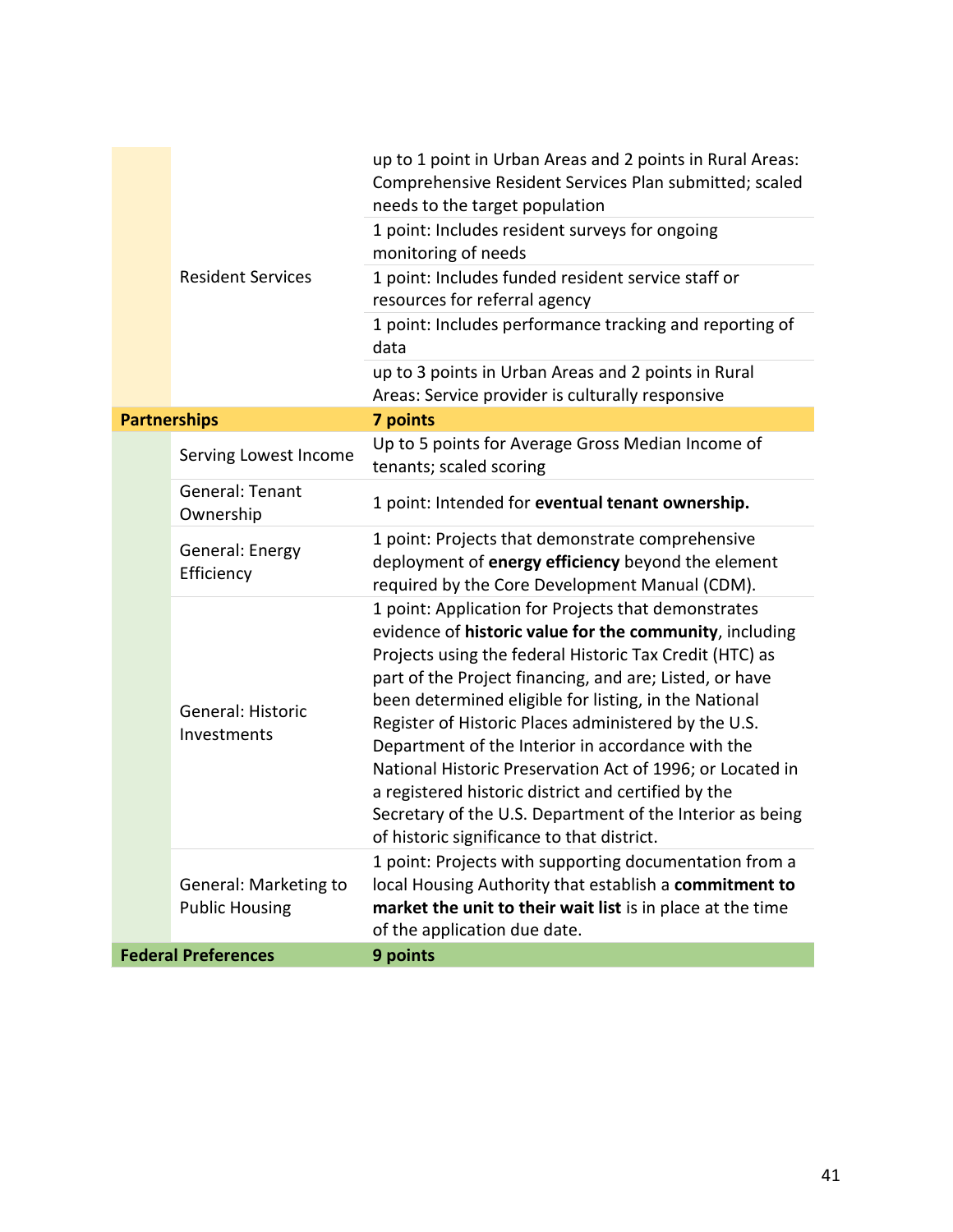|                            |                                                | up to 1 point in Urban Areas and 2 points in Rural Areas:<br>Comprehensive Resident Services Plan submitted; scaled<br>needs to the target population                                                                                                                                                                                                                                                                                                                                                                                                                                                                                     |
|----------------------------|------------------------------------------------|-------------------------------------------------------------------------------------------------------------------------------------------------------------------------------------------------------------------------------------------------------------------------------------------------------------------------------------------------------------------------------------------------------------------------------------------------------------------------------------------------------------------------------------------------------------------------------------------------------------------------------------------|
|                            | <b>Resident Services</b>                       | 1 point: Includes resident surveys for ongoing<br>monitoring of needs                                                                                                                                                                                                                                                                                                                                                                                                                                                                                                                                                                     |
|                            |                                                | 1 point: Includes funded resident service staff or<br>resources for referral agency                                                                                                                                                                                                                                                                                                                                                                                                                                                                                                                                                       |
|                            |                                                | 1 point: Includes performance tracking and reporting of<br>data                                                                                                                                                                                                                                                                                                                                                                                                                                                                                                                                                                           |
|                            |                                                | up to 3 points in Urban Areas and 2 points in Rural<br>Areas: Service provider is culturally responsive                                                                                                                                                                                                                                                                                                                                                                                                                                                                                                                                   |
| <b>Partnerships</b>        |                                                | 7 points                                                                                                                                                                                                                                                                                                                                                                                                                                                                                                                                                                                                                                  |
|                            | Serving Lowest Income                          | Up to 5 points for Average Gross Median Income of<br>tenants; scaled scoring                                                                                                                                                                                                                                                                                                                                                                                                                                                                                                                                                              |
|                            | General: Tenant<br>Ownership                   | 1 point: Intended for eventual tenant ownership.                                                                                                                                                                                                                                                                                                                                                                                                                                                                                                                                                                                          |
|                            | General: Energy<br>Efficiency                  | 1 point: Projects that demonstrate comprehensive<br>deployment of energy efficiency beyond the element<br>required by the Core Development Manual (CDM).                                                                                                                                                                                                                                                                                                                                                                                                                                                                                  |
|                            | General: Historic<br>Investments               | 1 point: Application for Projects that demonstrates<br>evidence of historic value for the community, including<br>Projects using the federal Historic Tax Credit (HTC) as<br>part of the Project financing, and are; Listed, or have<br>been determined eligible for listing, in the National<br>Register of Historic Places administered by the U.S.<br>Department of the Interior in accordance with the<br>National Historic Preservation Act of 1996; or Located in<br>a registered historic district and certified by the<br>Secretary of the U.S. Department of the Interior as being<br>of historic significance to that district. |
|                            | General: Marketing to<br><b>Public Housing</b> | 1 point: Projects with supporting documentation from a<br>local Housing Authority that establish a commitment to<br>market the unit to their wait list is in place at the time<br>of the application due date.                                                                                                                                                                                                                                                                                                                                                                                                                            |
| <b>Federal Preferences</b> |                                                | 9 points                                                                                                                                                                                                                                                                                                                                                                                                                                                                                                                                                                                                                                  |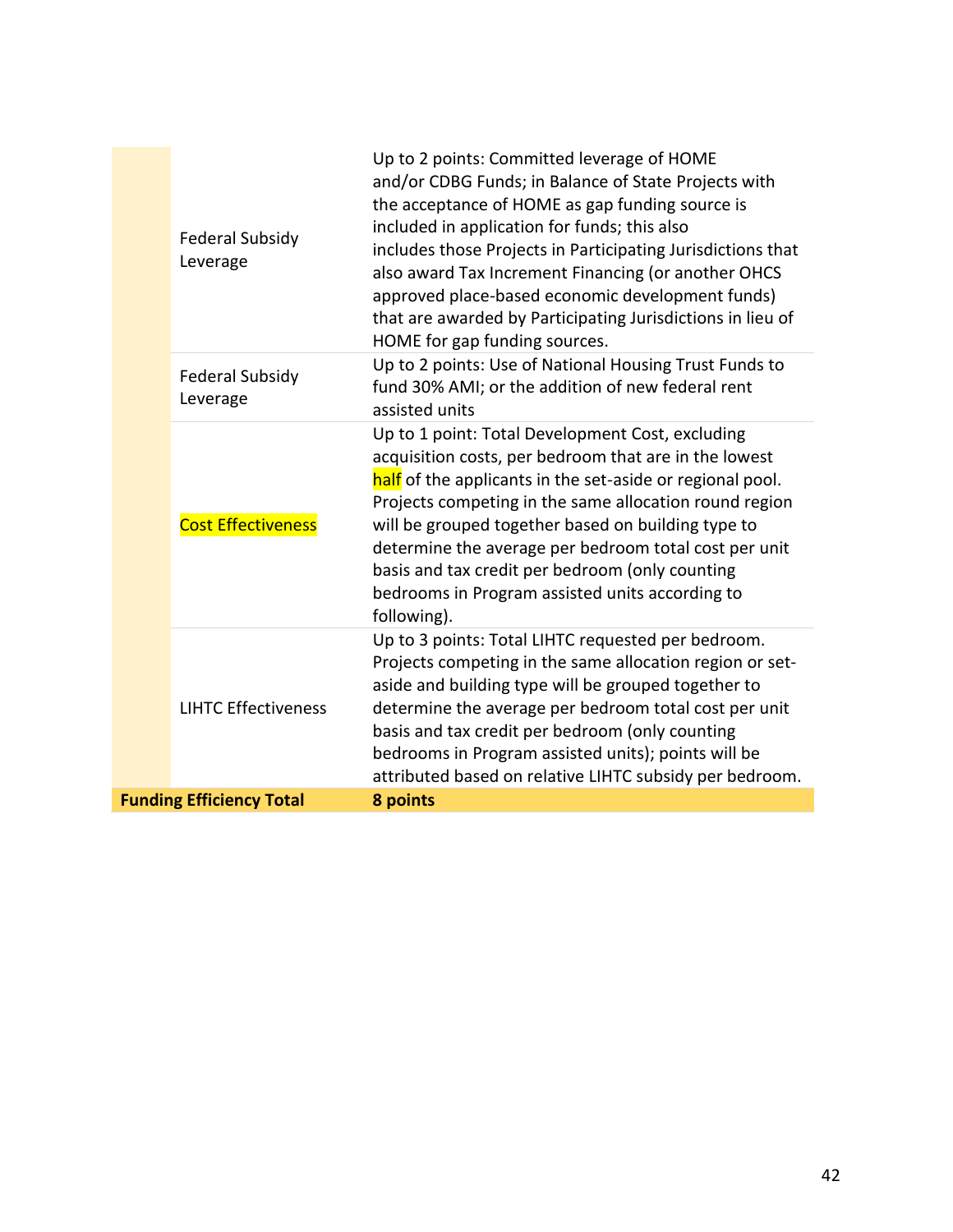|                                 | <b>Federal Subsidy</b><br>Leverage | Up to 2 points: Committed leverage of HOME<br>and/or CDBG Funds; in Balance of State Projects with<br>the acceptance of HOME as gap funding source is<br>included in application for funds; this also<br>includes those Projects in Participating Jurisdictions that<br>also award Tax Increment Financing (or another OHCS<br>approved place-based economic development funds)<br>that are awarded by Participating Jurisdictions in lieu of<br>HOME for gap funding sources. |
|---------------------------------|------------------------------------|--------------------------------------------------------------------------------------------------------------------------------------------------------------------------------------------------------------------------------------------------------------------------------------------------------------------------------------------------------------------------------------------------------------------------------------------------------------------------------|
|                                 | <b>Federal Subsidy</b><br>Leverage | Up to 2 points: Use of National Housing Trust Funds to<br>fund 30% AMI; or the addition of new federal rent<br>assisted units                                                                                                                                                                                                                                                                                                                                                  |
|                                 | <b>Cost Effectiveness</b>          | Up to 1 point: Total Development Cost, excluding<br>acquisition costs, per bedroom that are in the lowest<br>half of the applicants in the set-aside or regional pool.<br>Projects competing in the same allocation round region<br>will be grouped together based on building type to<br>determine the average per bedroom total cost per unit<br>basis and tax credit per bedroom (only counting<br>bedrooms in Program assisted units according to<br>following).           |
|                                 | <b>LIHTC Effectiveness</b>         | Up to 3 points: Total LIHTC requested per bedroom.<br>Projects competing in the same allocation region or set-<br>aside and building type will be grouped together to<br>determine the average per bedroom total cost per unit<br>basis and tax credit per bedroom (only counting<br>bedrooms in Program assisted units); points will be<br>attributed based on relative LIHTC subsidy per bedroom.                                                                            |
| <b>Funding Efficiency Total</b> |                                    | 8 points                                                                                                                                                                                                                                                                                                                                                                                                                                                                       |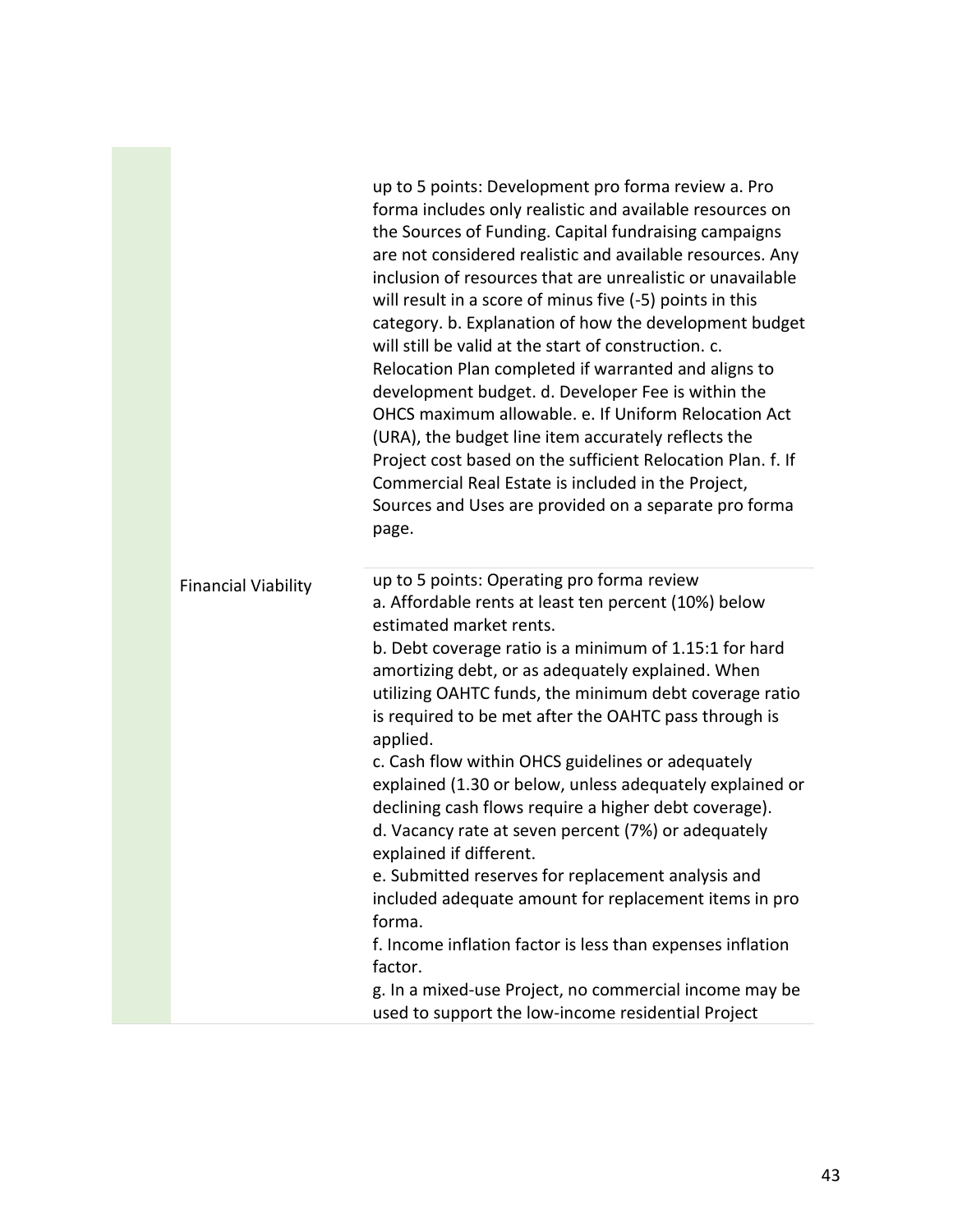|                            | up to 5 points: Development pro forma review a. Pro<br>forma includes only realistic and available resources on<br>the Sources of Funding. Capital fundraising campaigns<br>are not considered realistic and available resources. Any<br>inclusion of resources that are unrealistic or unavailable<br>will result in a score of minus five (-5) points in this<br>category. b. Explanation of how the development budget<br>will still be valid at the start of construction. c.<br>Relocation Plan completed if warranted and aligns to<br>development budget. d. Developer Fee is within the<br>OHCS maximum allowable. e. If Uniform Relocation Act<br>(URA), the budget line item accurately reflects the<br>Project cost based on the sufficient Relocation Plan. f. If<br>Commercial Real Estate is included in the Project,<br>Sources and Uses are provided on a separate pro forma<br>page. |
|----------------------------|-------------------------------------------------------------------------------------------------------------------------------------------------------------------------------------------------------------------------------------------------------------------------------------------------------------------------------------------------------------------------------------------------------------------------------------------------------------------------------------------------------------------------------------------------------------------------------------------------------------------------------------------------------------------------------------------------------------------------------------------------------------------------------------------------------------------------------------------------------------------------------------------------------|
| <b>Financial Viability</b> | up to 5 points: Operating pro forma review<br>a. Affordable rents at least ten percent (10%) below<br>estimated market rents.<br>b. Debt coverage ratio is a minimum of 1.15:1 for hard<br>amortizing debt, or as adequately explained. When<br>utilizing OAHTC funds, the minimum debt coverage ratio<br>is required to be met after the OAHTC pass through is<br>applied.<br>c. Cash flow within OHCS guidelines or adequately<br>explained (1.30 or below, unless adequately explained or<br>declining cash flows require a higher debt coverage).<br>d. Vacancy rate at seven percent (7%) or adequately<br>explained if different.<br>e. Submitted reserves for replacement analysis and<br>included adequate amount for replacement items in pro<br>forma.<br>f. Income inflation factor is less than expenses inflation<br>factor.<br>g. In a mixed-use Project, no commercial income may be   |
|                            | used to support the low-income residential Project                                                                                                                                                                                                                                                                                                                                                                                                                                                                                                                                                                                                                                                                                                                                                                                                                                                    |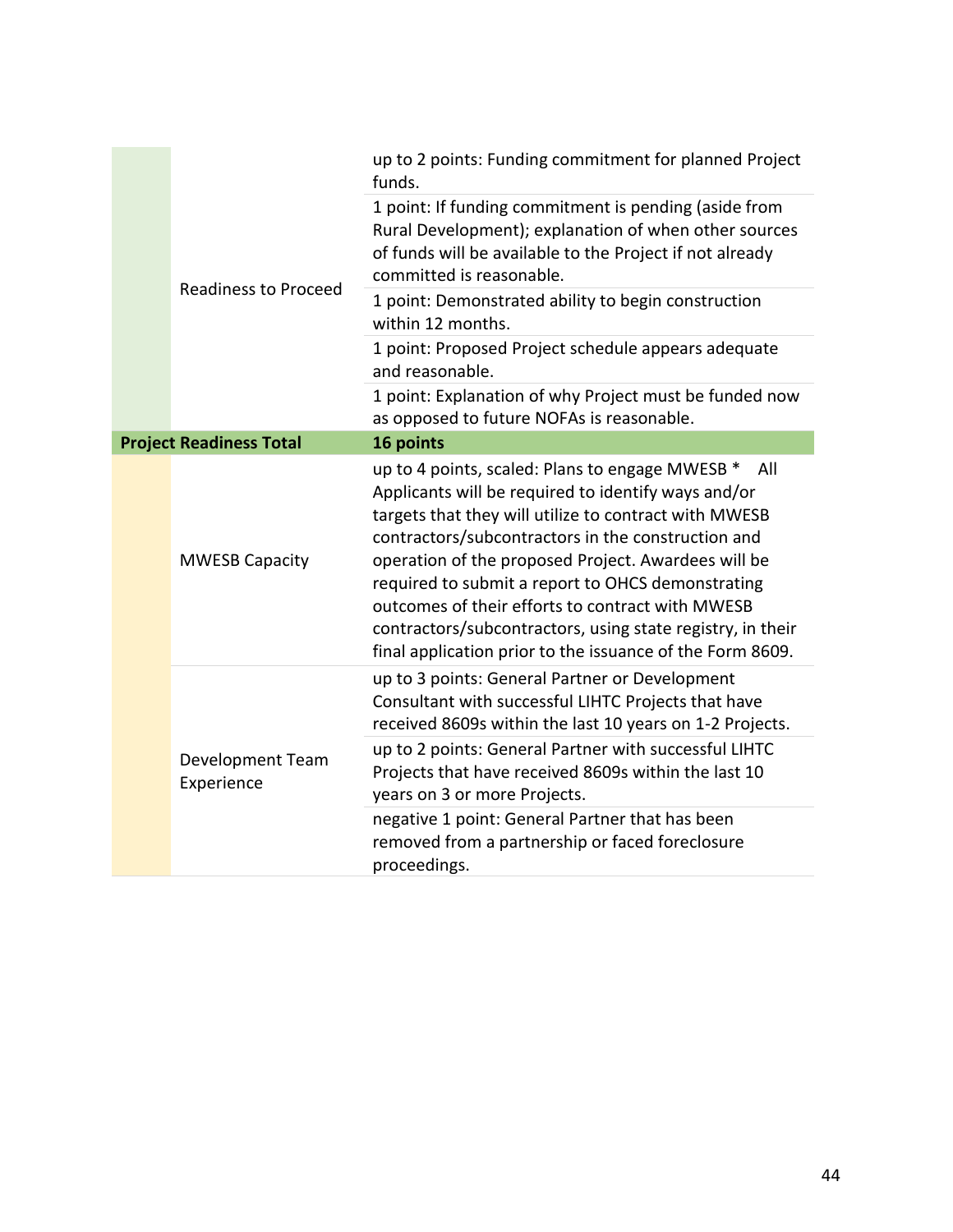|  |                                | up to 2 points: Funding commitment for planned Project<br>funds.                                                                                                                                                                                                                                                                                                                                                                                                                                                        |
|--|--------------------------------|-------------------------------------------------------------------------------------------------------------------------------------------------------------------------------------------------------------------------------------------------------------------------------------------------------------------------------------------------------------------------------------------------------------------------------------------------------------------------------------------------------------------------|
|  |                                | 1 point: If funding commitment is pending (aside from<br>Rural Development); explanation of when other sources<br>of funds will be available to the Project if not already<br>committed is reasonable.                                                                                                                                                                                                                                                                                                                  |
|  | <b>Readiness to Proceed</b>    | 1 point: Demonstrated ability to begin construction<br>within 12 months.                                                                                                                                                                                                                                                                                                                                                                                                                                                |
|  |                                | 1 point: Proposed Project schedule appears adequate<br>and reasonable.                                                                                                                                                                                                                                                                                                                                                                                                                                                  |
|  |                                | 1 point: Explanation of why Project must be funded now<br>as opposed to future NOFAs is reasonable.                                                                                                                                                                                                                                                                                                                                                                                                                     |
|  | <b>Project Readiness Total</b> | 16 points                                                                                                                                                                                                                                                                                                                                                                                                                                                                                                               |
|  | <b>MWESB Capacity</b>          | up to 4 points, scaled: Plans to engage MWESB *<br>All<br>Applicants will be required to identify ways and/or<br>targets that they will utilize to contract with MWESB<br>contractors/subcontractors in the construction and<br>operation of the proposed Project. Awardees will be<br>required to submit a report to OHCS demonstrating<br>outcomes of their efforts to contract with MWESB<br>contractors/subcontractors, using state registry, in their<br>final application prior to the issuance of the Form 8609. |
|  | Development Team<br>Experience | up to 3 points: General Partner or Development<br>Consultant with successful LIHTC Projects that have<br>received 8609s within the last 10 years on 1-2 Projects.                                                                                                                                                                                                                                                                                                                                                       |
|  |                                | up to 2 points: General Partner with successful LIHTC<br>Projects that have received 8609s within the last 10<br>years on 3 or more Projects.                                                                                                                                                                                                                                                                                                                                                                           |
|  |                                | negative 1 point: General Partner that has been<br>removed from a partnership or faced foreclosure<br>proceedings.                                                                                                                                                                                                                                                                                                                                                                                                      |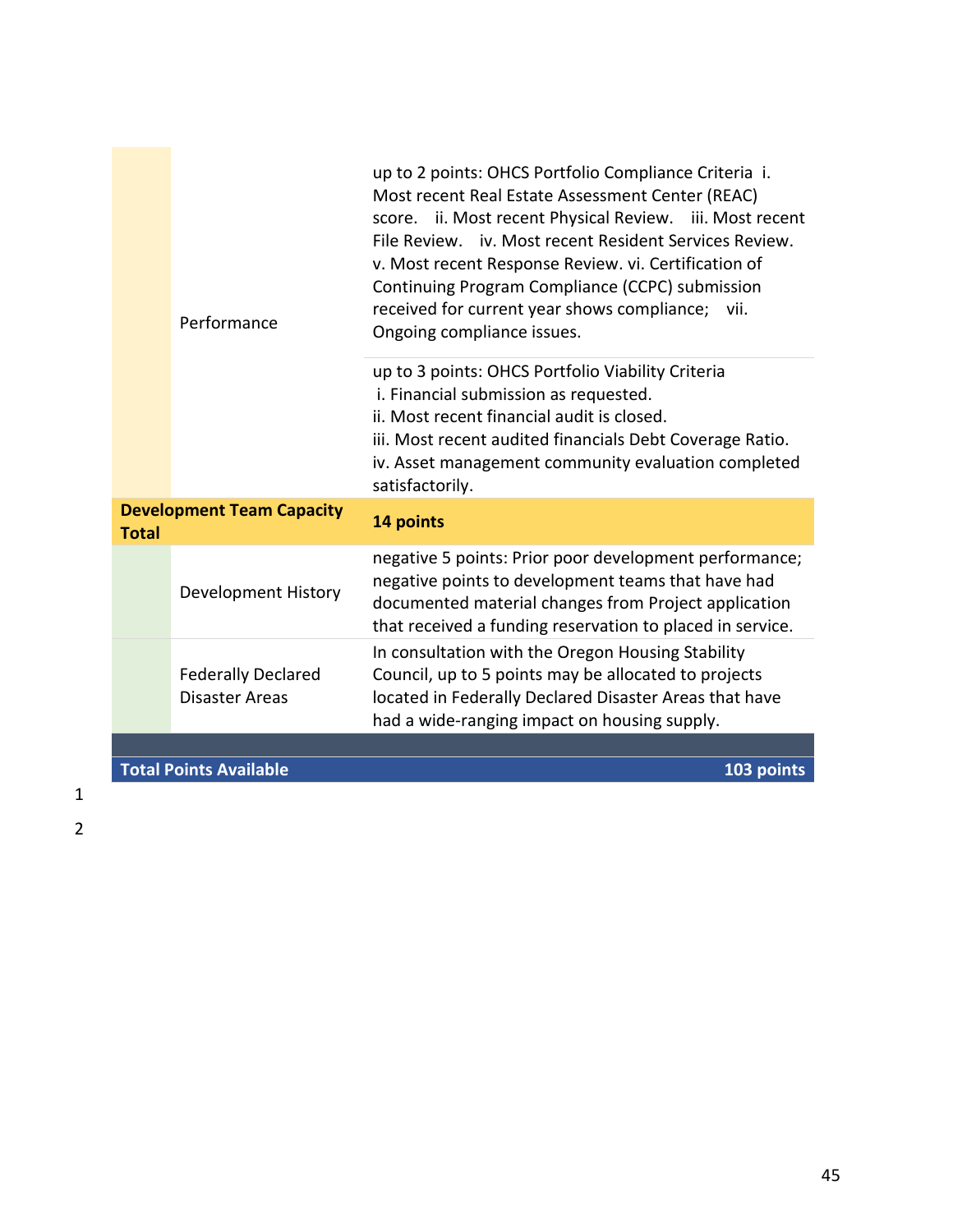| Performance                                      |                                                    | up to 2 points: OHCS Portfolio Compliance Criteria i.<br>Most recent Real Estate Assessment Center (REAC)<br>score. ii. Most recent Physical Review. iii. Most recent<br>File Review. iv. Most recent Resident Services Review.<br>v. Most recent Response Review. vi. Certification of<br>Continuing Program Compliance (CCPC) submission<br>received for current year shows compliance; vii.<br>Ongoing compliance issues.<br>up to 3 points: OHCS Portfolio Viability Criteria<br>i. Financial submission as requested.<br>ii. Most recent financial audit is closed.<br>iii. Most recent audited financials Debt Coverage Ratio.<br>iv. Asset management community evaluation completed<br>satisfactorily. |  |
|--------------------------------------------------|----------------------------------------------------|----------------------------------------------------------------------------------------------------------------------------------------------------------------------------------------------------------------------------------------------------------------------------------------------------------------------------------------------------------------------------------------------------------------------------------------------------------------------------------------------------------------------------------------------------------------------------------------------------------------------------------------------------------------------------------------------------------------|--|
| <b>Development Team Capacity</b><br><b>Total</b> |                                                    | 14 points                                                                                                                                                                                                                                                                                                                                                                                                                                                                                                                                                                                                                                                                                                      |  |
|                                                  | Development History                                | negative 5 points: Prior poor development performance;<br>negative points to development teams that have had<br>documented material changes from Project application<br>that received a funding reservation to placed in service.                                                                                                                                                                                                                                                                                                                                                                                                                                                                              |  |
|                                                  | <b>Federally Declared</b><br><b>Disaster Areas</b> | In consultation with the Oregon Housing Stability<br>Council, up to 5 points may be allocated to projects<br>located in Federally Declared Disaster Areas that have<br>had a wide-ranging impact on housing supply.                                                                                                                                                                                                                                                                                                                                                                                                                                                                                            |  |
|                                                  |                                                    |                                                                                                                                                                                                                                                                                                                                                                                                                                                                                                                                                                                                                                                                                                                |  |
|                                                  | <b>Total Points Available</b>                      | 103 points                                                                                                                                                                                                                                                                                                                                                                                                                                                                                                                                                                                                                                                                                                     |  |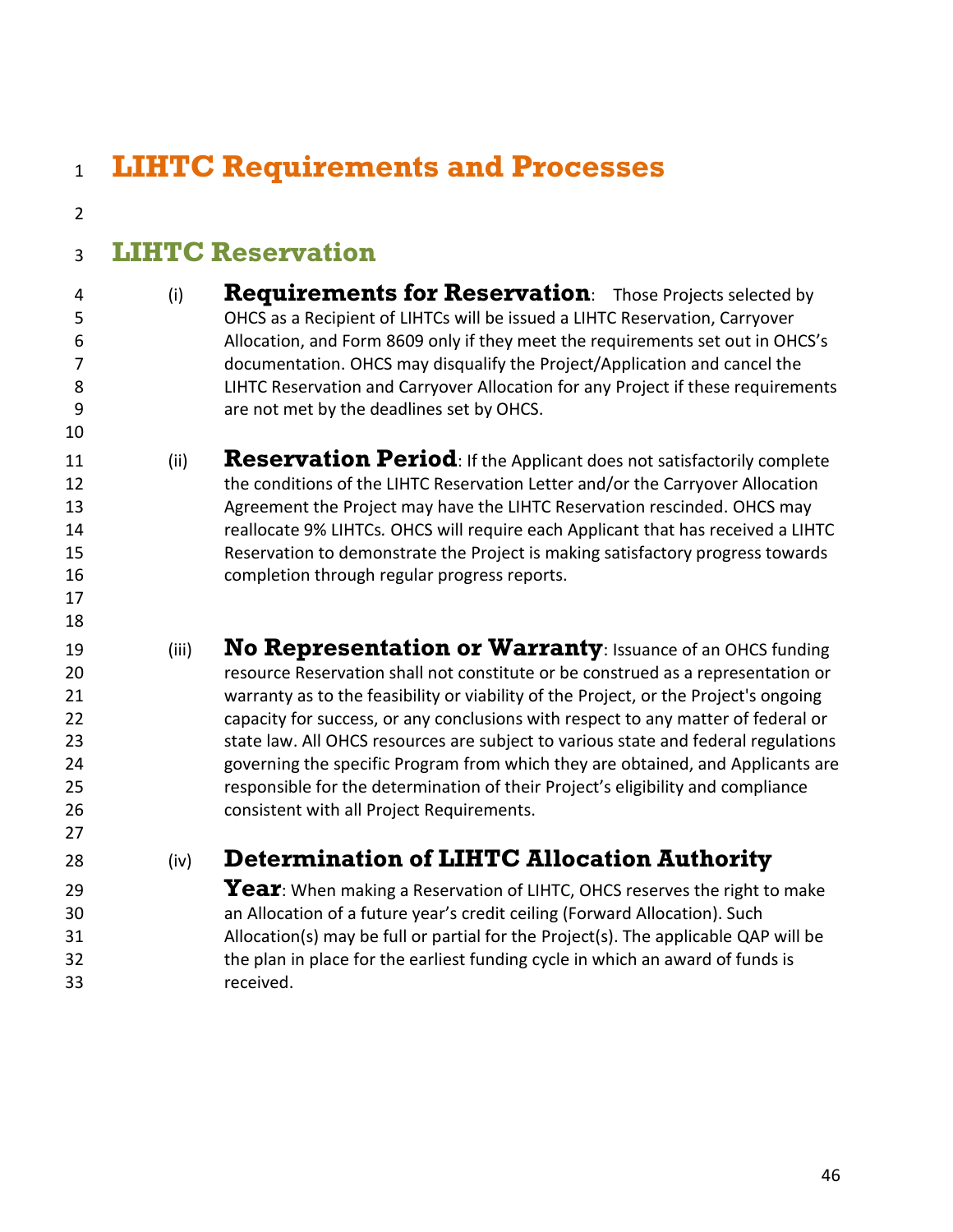<span id="page-45-5"></span><span id="page-45-4"></span><span id="page-45-3"></span><span id="page-45-2"></span><span id="page-45-1"></span><span id="page-45-0"></span> **LIHTC Requirements and Processes LIHTC Reservation**  (i) **Requirements for Reservation**: Those Projects selected by OHCS as a Recipient of LIHTCs will be issued a LIHTC Reservation, Carryover Allocation, and Form 8609 only if they meet the requirements set out in OHCS's documentation. OHCS may disqualify the Project/Application and cancel the LIHTC Reservation and Carryover Allocation for any Project if these requirements are not met by the deadlines set by OHCS. (ii) **Reservation Period**: If the Applicant does not satisfactorily complete 12 the conditions of the LIHTC Reservation Letter and/or the Carryover Allocation Agreement the Project may have the LIHTC Reservation rescinded. OHCS may reallocate 9% LIHTCs*.* OHCS will require each Applicant that has received a LIHTC Reservation to demonstrate the Project is making satisfactory progress towards completion through regular progress reports. (iii) **No Representation or Warranty**: Issuance of an OHCS funding resource Reservation shall not constitute or be construed as a representation or warranty as to the feasibility or viability of the Project, or the Project's ongoing capacity for success, or any conclusions with respect to any matter of federal or state law. All OHCS resources are subject to various state and federal regulations governing the specific Program from which they are obtained, and Applicants are responsible for the determination of their Project's eligibility and compliance consistent with all Project Requirements. (iv) **Determination of LIHTC Allocation Authority Year**: When making a Reservation of LIHTC, OHCS reserves the right to make an Allocation of a future year's credit ceiling (Forward Allocation). Such Allocation(s) may be full or partial for the Project(s). The applicable QAP will be the plan in place for the earliest funding cycle in which an award of funds is received.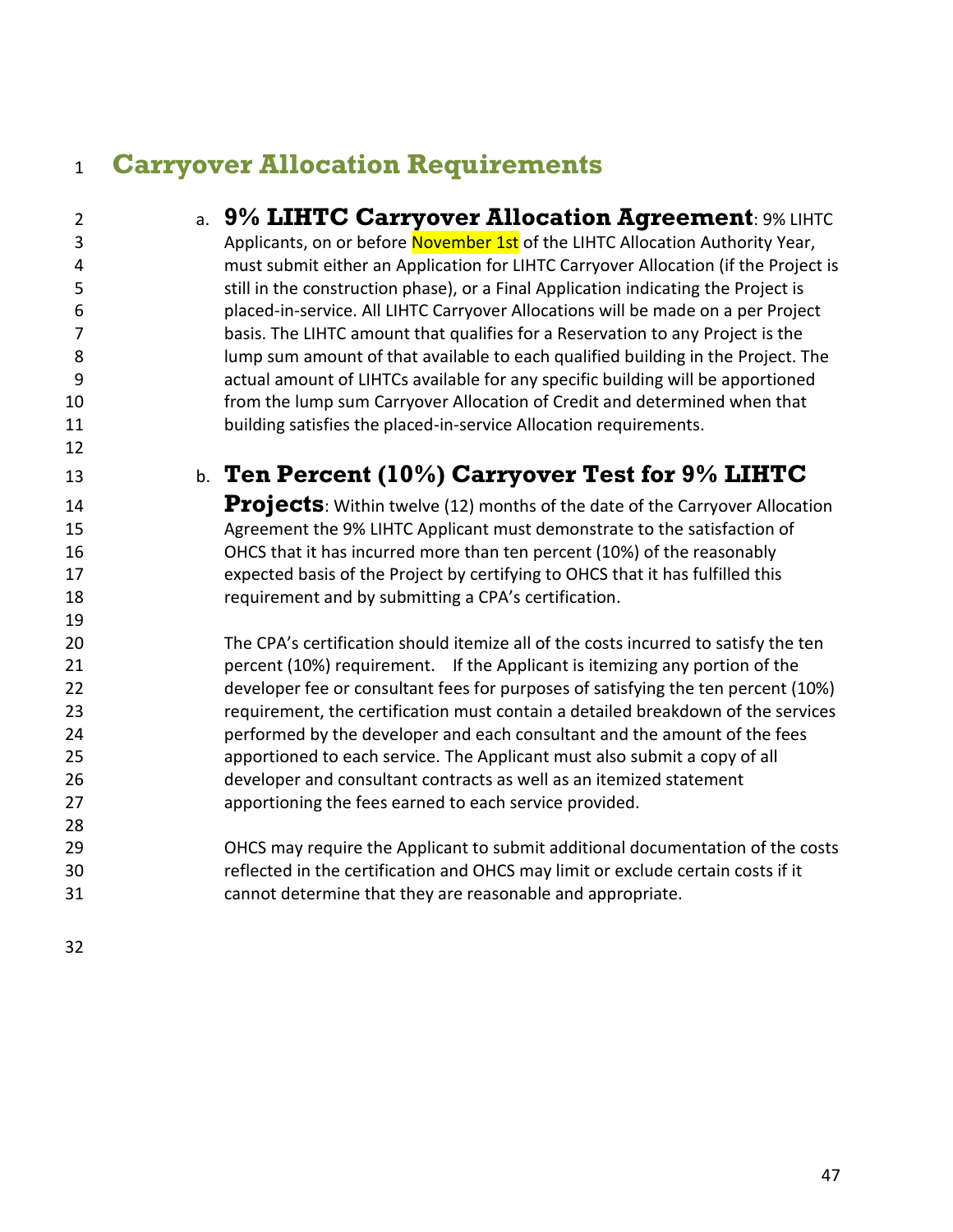## <span id="page-46-0"></span>**Carryover Allocation Requirements**

<span id="page-46-2"></span><span id="page-46-1"></span>

| $\overline{2}$ | a. 9% LIHTC Carryover Allocation Agreement: 9% LIHTC                                |
|----------------|-------------------------------------------------------------------------------------|
| $\mathbf{3}$   | Applicants, on or before November 1st of the LIHTC Allocation Authority Year,       |
| 4              | must submit either an Application for LIHTC Carryover Allocation (if the Project is |
| 5              | still in the construction phase), or a Final Application indicating the Project is  |
| 6              | placed-in-service. All LIHTC Carryover Allocations will be made on a per Project    |
| 7              | basis. The LIHTC amount that qualifies for a Reservation to any Project is the      |
| 8              | lump sum amount of that available to each qualified building in the Project. The    |
| 9              | actual amount of LIHTCs available for any specific building will be apportioned     |
| 10             | from the lump sum Carryover Allocation of Credit and determined when that           |
| 11             | building satisfies the placed-in-service Allocation requirements.                   |
| 12             |                                                                                     |
| 13             | b. Ten Percent (10%) Carryover Test for 9% LIHTC                                    |
| 14             | Projects: Within twelve (12) months of the date of the Carryover Allocation         |
| 15             | Agreement the 9% LIHTC Applicant must demonstrate to the satisfaction of            |
| 16             | OHCS that it has incurred more than ten percent (10%) of the reasonably             |
| 17             | expected basis of the Project by certifying to OHCS that it has fulfilled this      |
| 18             | requirement and by submitting a CPA's certification.                                |
| 19             |                                                                                     |
| 20             | The CPA's certification should itemize all of the costs incurred to satisfy the ten |
| 21             | percent (10%) requirement. If the Applicant is itemizing any portion of the         |
| 22             | developer fee or consultant fees for purposes of satisfying the ten percent (10%)   |
| 23             | requirement, the certification must contain a detailed breakdown of the services    |
| 24             | performed by the developer and each consultant and the amount of the fees           |
| 25             | apportioned to each service. The Applicant must also submit a copy of all           |
| 26             | developer and consultant contracts as well as an itemized statement                 |
| 27             | apportioning the fees earned to each service provided.                              |
| 28             |                                                                                     |
| 29             | OHCS may require the Applicant to submit additional documentation of the costs      |
| 30             | reflected in the certification and OHCS may limit or exclude certain costs if it    |
| 31             | cannot determine that they are reasonable and appropriate.                          |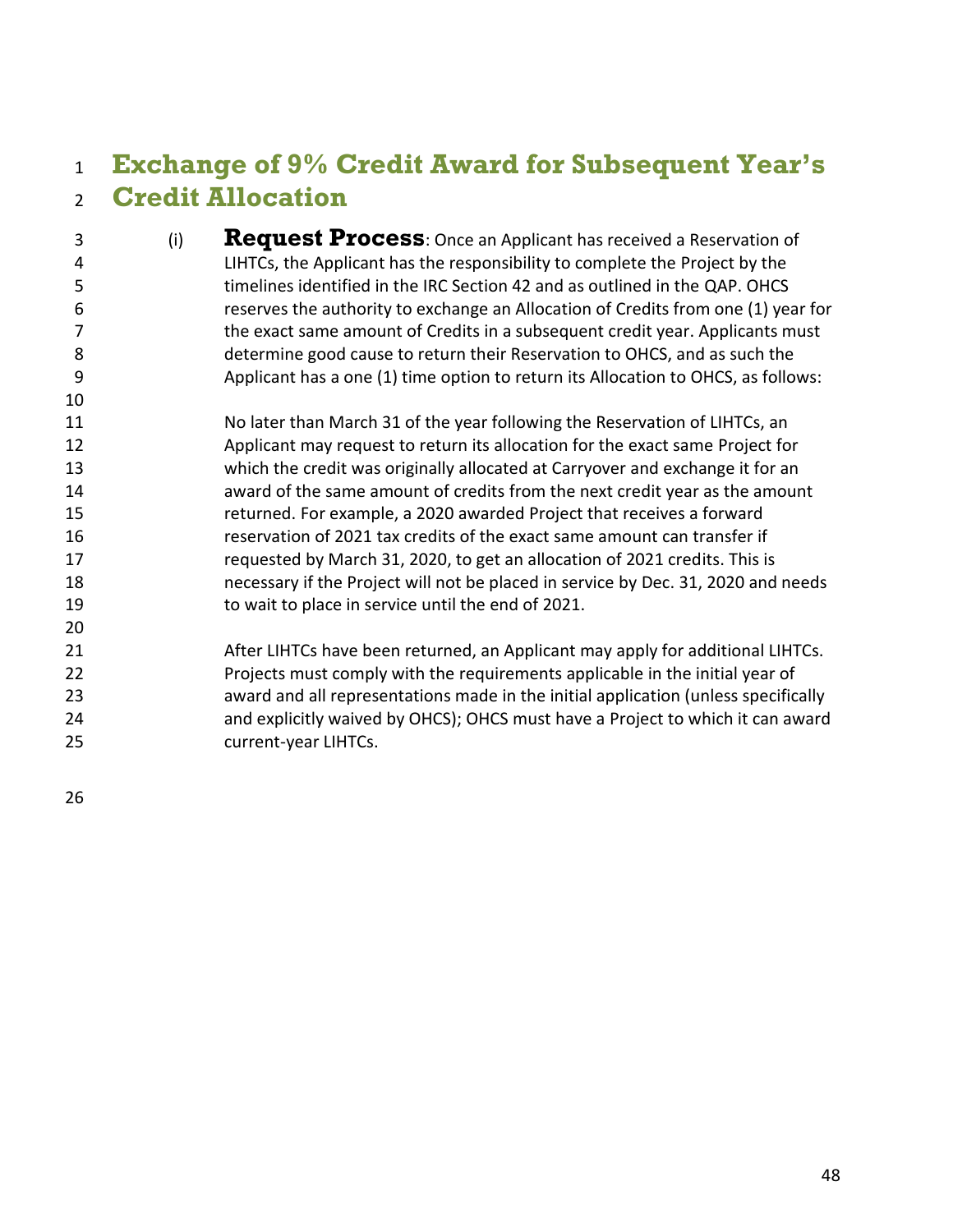#### <span id="page-47-0"></span> **Exchange of 9% Credit Award for Subsequent Year's Credit Allocation**

- <span id="page-47-1"></span> (i) **Request Process**: Once an Applicant has received a Reservation of LIHTCs, the Applicant has the responsibility to complete the Project by the timelines identified in the IRC Section 42 and as outlined in the QAP. OHCS reserves the authority to exchange an Allocation of Credits from one (1) year for the exact same amount of Credits in a subsequent credit year. Applicants must determine good cause to return their Reservation to OHCS, and as such the Applicant has a one (1) time option to return its Allocation to OHCS, as follows:
- No later than March 31 of the year following the Reservation of LIHTCs, an Applicant may request to return its allocation for the exact same Project for which the credit was originally allocated at Carryover and exchange it for an award of the same amount of credits from the next credit year as the amount returned. For example, a 2020 awarded Project that receives a forward reservation of 2021 tax credits of the exact same amount can transfer if requested by March 31, 2020, to get an allocation of 2021 credits. This is necessary if the Project will not be placed in service by Dec. 31, 2020 and needs to wait to place in service until the end of 2021.
- After LIHTCs have been returned, an Applicant may apply for additional LIHTCs. Projects must comply with the requirements applicable in the initial year of award and all representations made in the initial application (unless specifically and explicitly waived by OHCS); OHCS must have a Project to which it can award current-year LIHTCs.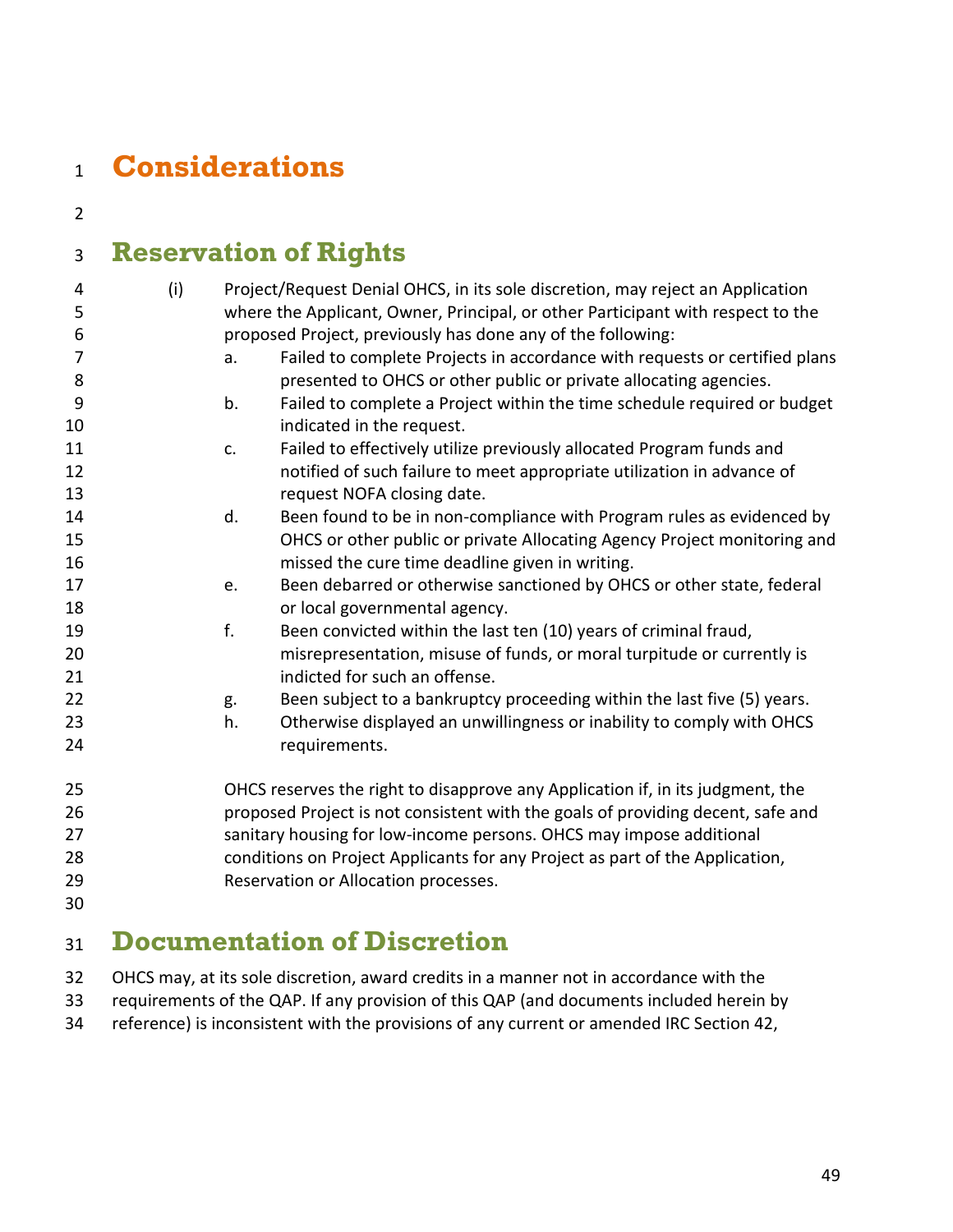## <span id="page-48-0"></span>**Considerations**

## <span id="page-48-1"></span>**Reservation of Rights**

| 4              | (i) |    | Project/Request Denial OHCS, in its sole discretion, may reject an Application  |
|----------------|-----|----|---------------------------------------------------------------------------------|
| 5              |     |    | where the Applicant, Owner, Principal, or other Participant with respect to the |
| 6              |     |    | proposed Project, previously has done any of the following:                     |
| $\overline{7}$ |     | a. | Failed to complete Projects in accordance with requests or certified plans      |
| 8              |     |    | presented to OHCS or other public or private allocating agencies.               |
| 9              |     | b. | Failed to complete a Project within the time schedule required or budget        |
| 10             |     |    | indicated in the request.                                                       |
| 11             |     | c. | Failed to effectively utilize previously allocated Program funds and            |
| 12             |     |    | notified of such failure to meet appropriate utilization in advance of          |
| 13             |     |    | request NOFA closing date.                                                      |
| 14             |     | d. | Been found to be in non-compliance with Program rules as evidenced by           |
| 15             |     |    | OHCS or other public or private Allocating Agency Project monitoring and        |
| 16             |     |    | missed the cure time deadline given in writing.                                 |
| 17             |     | e. | Been debarred or otherwise sanctioned by OHCS or other state, federal           |
| 18             |     |    | or local governmental agency.                                                   |
| 19             |     | f. | Been convicted within the last ten (10) years of criminal fraud,                |
| 20             |     |    | misrepresentation, misuse of funds, or moral turpitude or currently is          |
| 21             |     |    | indicted for such an offense.                                                   |
| 22             |     | g. | Been subject to a bankruptcy proceeding within the last five (5) years.         |
| 23             |     | h. | Otherwise displayed an unwillingness or inability to comply with OHCS           |
| 24             |     |    | requirements.                                                                   |
| 25             |     |    | OHCS reserves the right to disapprove any Application if, in its judgment, the  |
| 26             |     |    | proposed Project is not consistent with the goals of providing decent, safe and |
| 27             |     |    | sanitary housing for low-income persons. OHCS may impose additional             |
| 28             |     |    | conditions on Project Applicants for any Project as part of the Application,    |
| 29             |     |    | Reservation or Allocation processes.                                            |
| 30             |     |    |                                                                                 |
|                |     |    |                                                                                 |

## <span id="page-48-2"></span>**Documentation of Discretion**

OHCS may, at its sole discretion, award credits in a manner not in accordance with the

requirements of the QAP. If any provision of this QAP (and documents included herein by

reference) is inconsistent with the provisions of any current or amended IRC Section 42,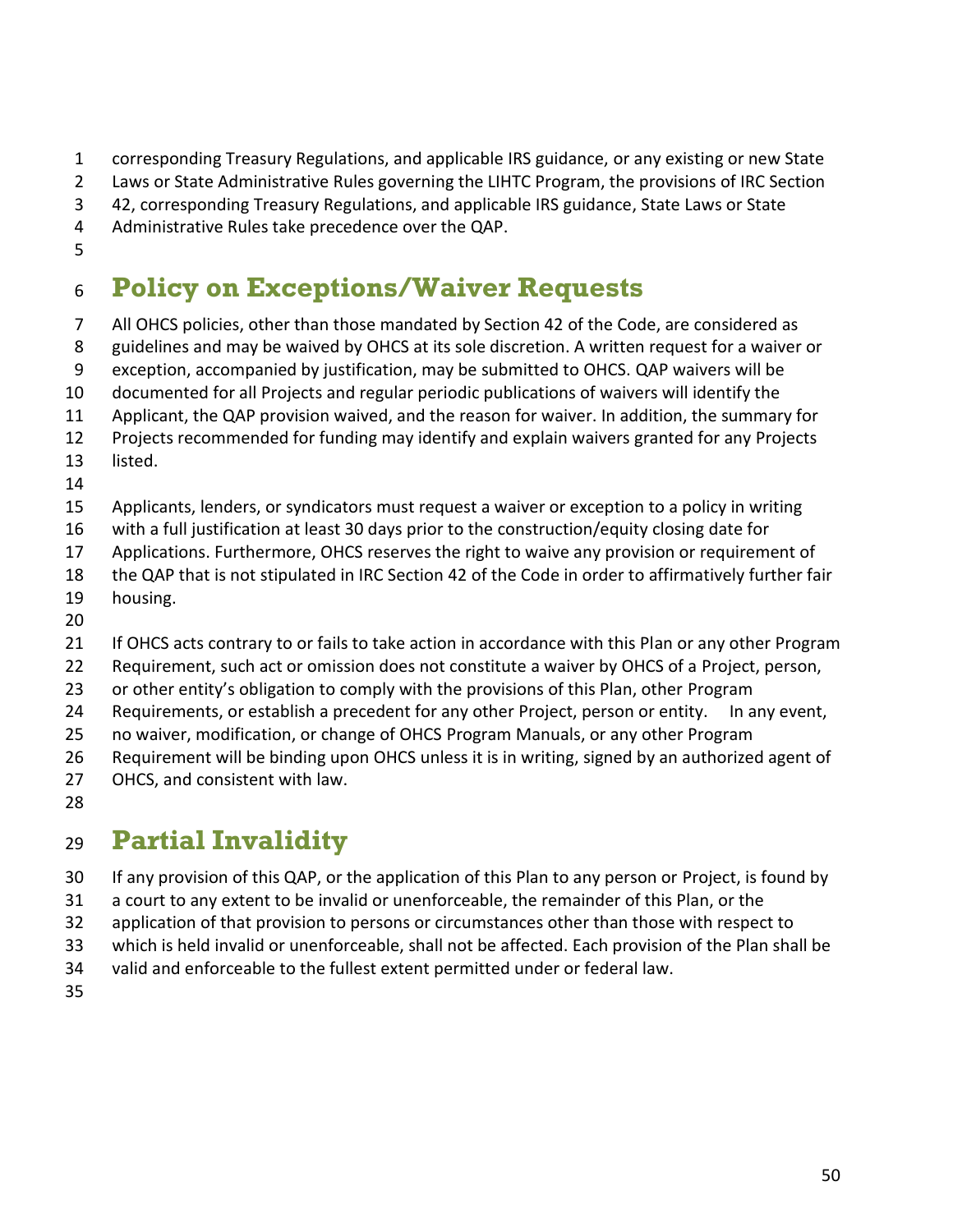corresponding Treasury Regulations, and applicable IRS guidance, or any existing or new State

Laws or State Administrative Rules governing the LIHTC Program, the provisions of IRC Section

42, corresponding Treasury Regulations, and applicable IRS guidance, State Laws or State

Administrative Rules take precedence over the QAP.

## <span id="page-49-0"></span>**Policy on Exceptions/Waiver Requests**

All OHCS policies, other than those mandated by Section 42 of the Code, are considered as

guidelines and may be waived by OHCS at its sole discretion. A written request for a waiver or

exception, accompanied by justification, may be submitted to OHCS. QAP waivers will be

documented for all Projects and regular periodic publications of waivers will identify the

Applicant, the QAP provision waived, and the reason for waiver. In addition, the summary for

Projects recommended for funding may identify and explain waivers granted for any Projects

 listed. 

Applicants, lenders, or syndicators must request a waiver or exception to a policy in writing

- with a full justification at least 30 days prior to the construction/equity closing date for
- Applications. Furthermore, OHCS reserves the right to waive any provision or requirement of

the QAP that is not stipulated in IRC Section 42 of the Code in order to affirmatively further fair

- housing.
- 

21 If OHCS acts contrary to or fails to take action in accordance with this Plan or any other Program

Requirement, such act or omission does not constitute a waiver by OHCS of a Project, person,

or other entity's obligation to comply with the provisions of this Plan, other Program

Requirements, or establish a precedent for any other Project, person or entity. In any event,

no waiver, modification, or change of OHCS Program Manuals, or any other Program

Requirement will be binding upon OHCS unless it is in writing, signed by an authorized agent of

- OHCS, and consistent with law.
- 

## <span id="page-49-1"></span>**Partial Invalidity**

If any provision of this QAP, or the application of this Plan to any person or Project, is found by

a court to any extent to be invalid or unenforceable, the remainder of this Plan, or the

32 application of that provision to persons or circumstances other than those with respect to

which is held invalid or unenforceable, shall not be affected. Each provision of the Plan shall be

valid and enforceable to the fullest extent permitted under or federal law.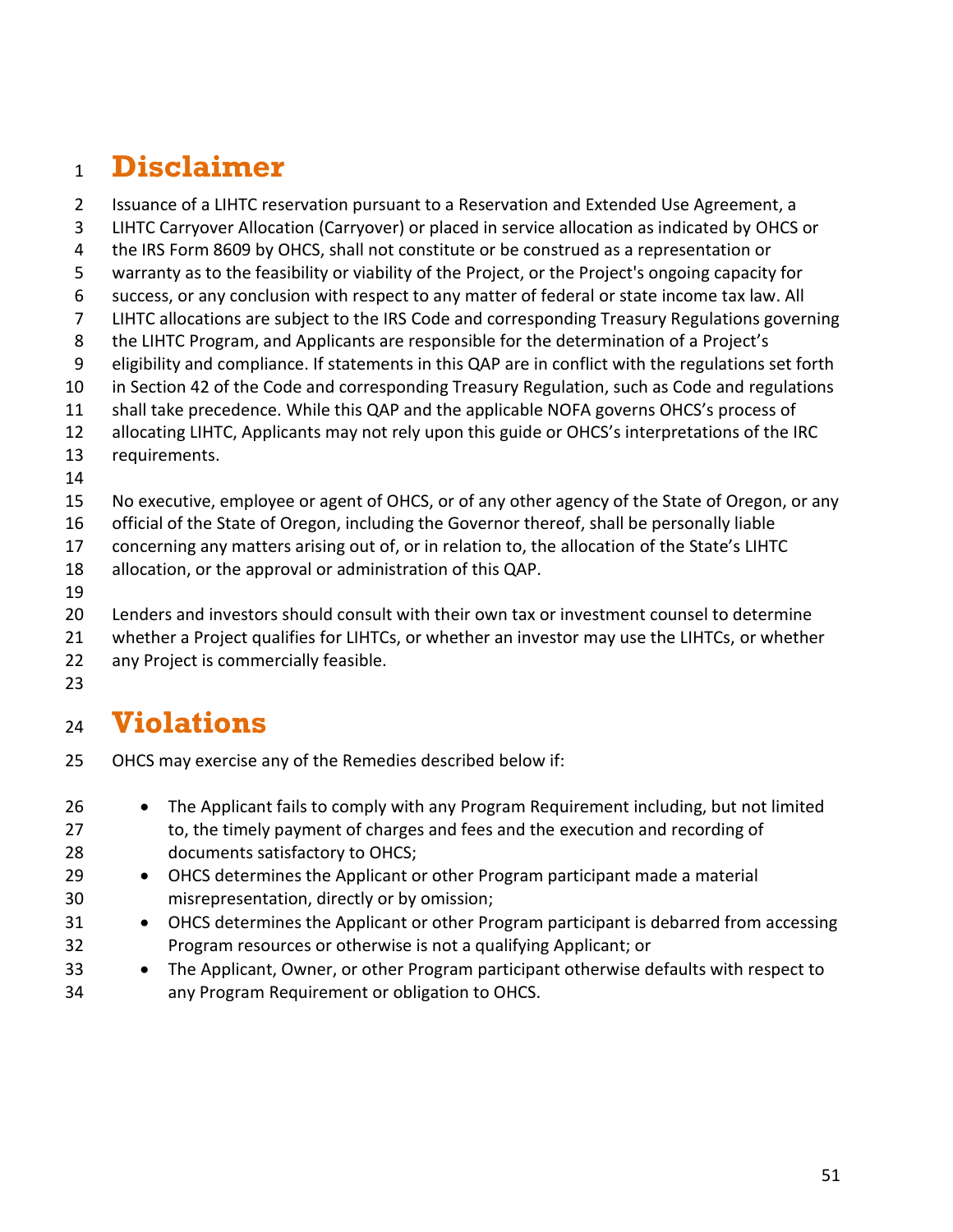## <span id="page-50-0"></span>**Disclaimer**

- Issuance of a LIHTC reservation pursuant to a Reservation and Extended Use Agreement, a
- LIHTC Carryover Allocation (Carryover) or placed in service allocation as indicated by OHCS or
- the IRS Form 8609 by OHCS, shall not constitute or be construed as a representation or
- warranty as to the feasibility or viability of the Project, or the Project's ongoing capacity for
- success, or any conclusion with respect to any matter of federal or state income tax law. All
- LIHTC allocations are subject to the IRS Code and corresponding Treasury Regulations governing
- the LIHTC Program, and Applicants are responsible for the determination of a Project's
- eligibility and compliance. If statements in this QAP are in conflict with the regulations set forth
- in Section 42 of the Code and corresponding Treasury Regulation, such as Code and regulations
- shall take precedence. While this QAP and the applicable NOFA governs OHCS's process of
- allocating LIHTC, Applicants may not rely upon this guide or OHCS's interpretations of the IRC
- requirements.
- 
- No executive, employee or agent of OHCS, or of any other agency of the State of Oregon, or any

official of the State of Oregon, including the Governor thereof, shall be personally liable

concerning any matters arising out of, or in relation to, the allocation of the State's LIHTC

- allocation, or the approval or administration of this QAP.
- 
- Lenders and investors should consult with their own tax or investment counsel to determine
- whether a Project qualifies for LIHTCs, or whether an investor may use the LIHTCs, or whether any Project is commercially feasible.
- 

## <span id="page-50-1"></span>**Violations**

- OHCS may exercise any of the Remedies described below if:
- The Applicant fails to comply with any Program Requirement including, but not limited 27 to, the timely payment of charges and fees and the execution and recording of documents satisfactory to OHCS;
- 29 OHCS determines the Applicant or other Program participant made a material misrepresentation, directly or by omission;
- 31 OHCS determines the Applicant or other Program participant is debarred from accessing Program resources or otherwise is not a qualifying Applicant; or
- The Applicant, Owner, or other Program participant otherwise defaults with respect to any Program Requirement or obligation to OHCS.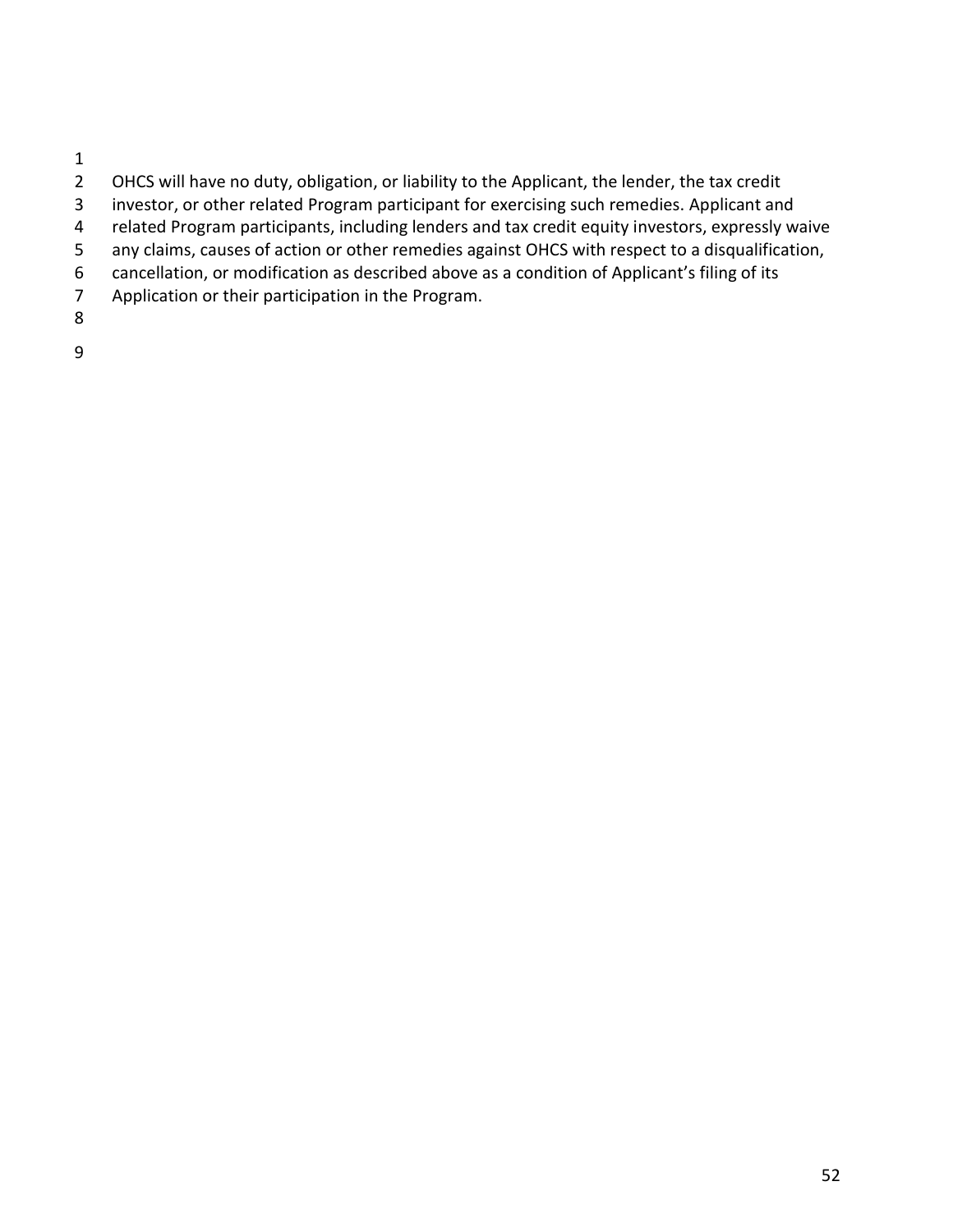- $\frac{1}{2}$
- OHCS will have no duty, obligation, or liability to the Applicant, the lender, the tax credit
- investor, or other related Program participant for exercising such remedies. Applicant and
- related Program participants, including lenders and tax credit equity investors, expressly waive
- any claims, causes of action or other remedies against OHCS with respect to a disqualification,
- 6 cancellation, or modification as described above as a condition of Applicant's filing of its<br>7 Application or their participation in the Program.
- Application or their participation in the Program.
- 
-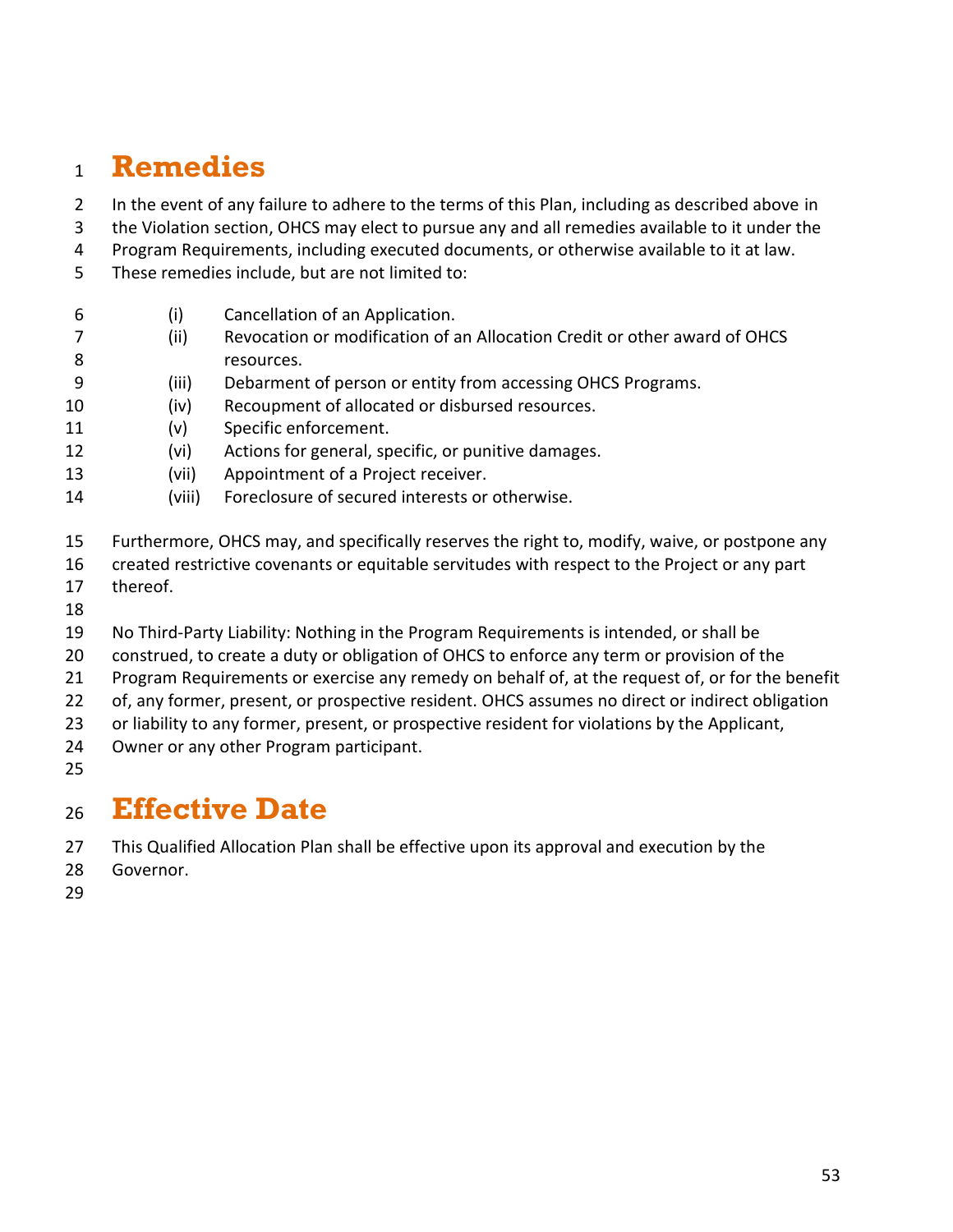## <span id="page-52-0"></span>**Remedies**

- 2 In the event of any failure to adhere to the terms of this Plan, including as described above in
- the Violation section, OHCS may elect to pursue any and all remedies available to it under the
- Program Requirements, including executed documents, or otherwise available to it at law.
- These remedies include, but are not limited to:
- (i) Cancellation of an Application.
- (ii) Revocation or modification of an Allocation Credit or other award of OHCS 8 resources.
- (iii) Debarment of person or entity from accessing OHCS Programs.
- (iv) Recoupment of allocated or disbursed resources.
- (v) Specific enforcement.
- (vi) Actions for general, specific, or punitive damages.
- (vii) Appointment of a Project receiver.
- (viii) Foreclosure of secured interests or otherwise.
- Furthermore, OHCS may, and specifically reserves the right to, modify, waive, or postpone any
- created restrictive covenants or equitable servitudes with respect to the Project or any part
- thereof.
- 
- No Third-Party Liability: Nothing in the Program Requirements is intended, or shall be
- construed, to create a duty or obligation of OHCS to enforce any term or provision of the
- Program Requirements or exercise any remedy on behalf of, at the request of, or for the benefit
- of, any former, present, or prospective resident. OHCS assumes no direct or indirect obligation
- or liability to any former, present, or prospective resident for violations by the Applicant,
- Owner or any other Program participant.
- 

#### <span id="page-52-1"></span>**Effective Date**

- This Qualified Allocation Plan shall be effective upon its approval and execution by the
- Governor.
-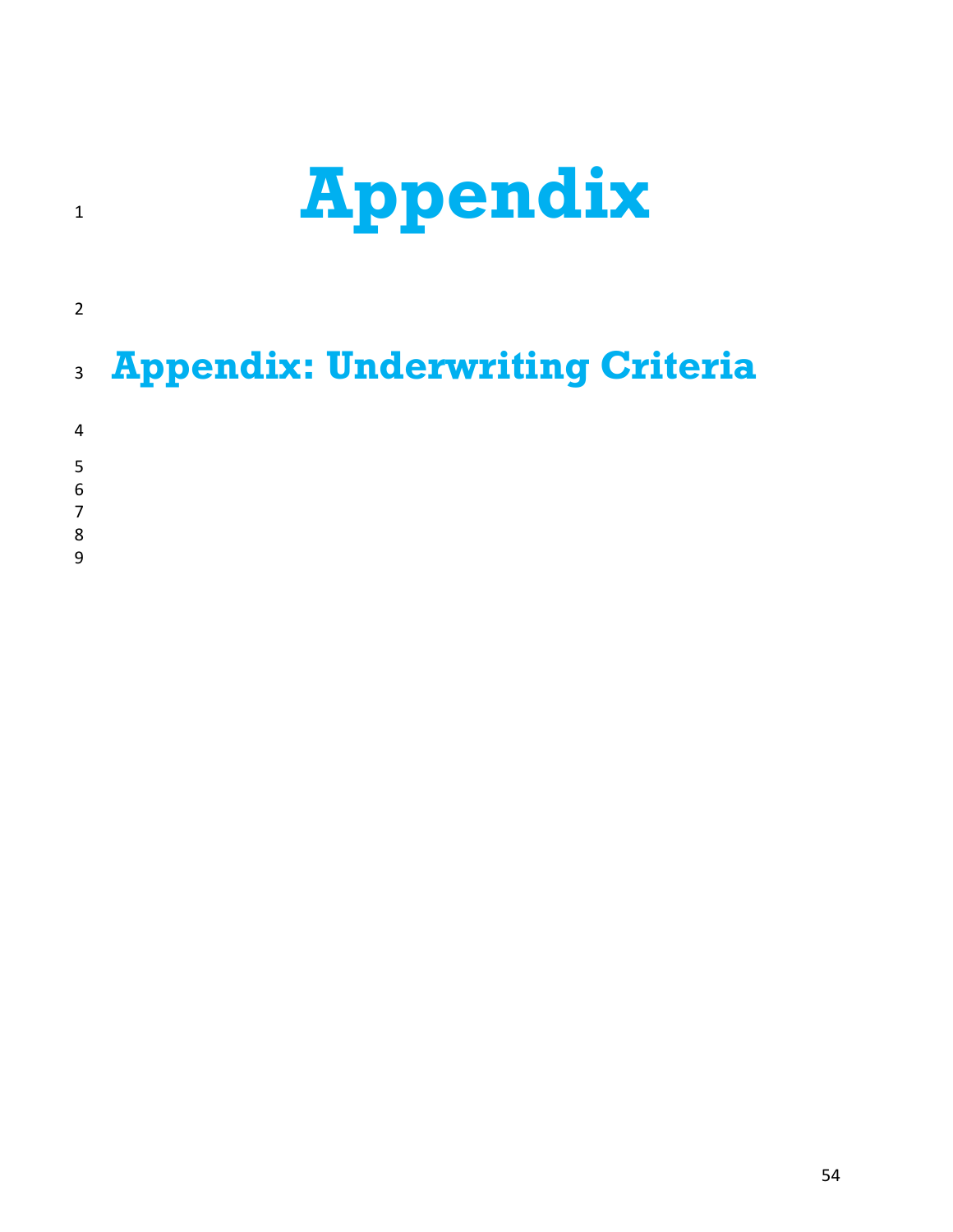# **Appendix**

# **Appendix: Underwriting Criteria**

- 
- 
- 
- -
-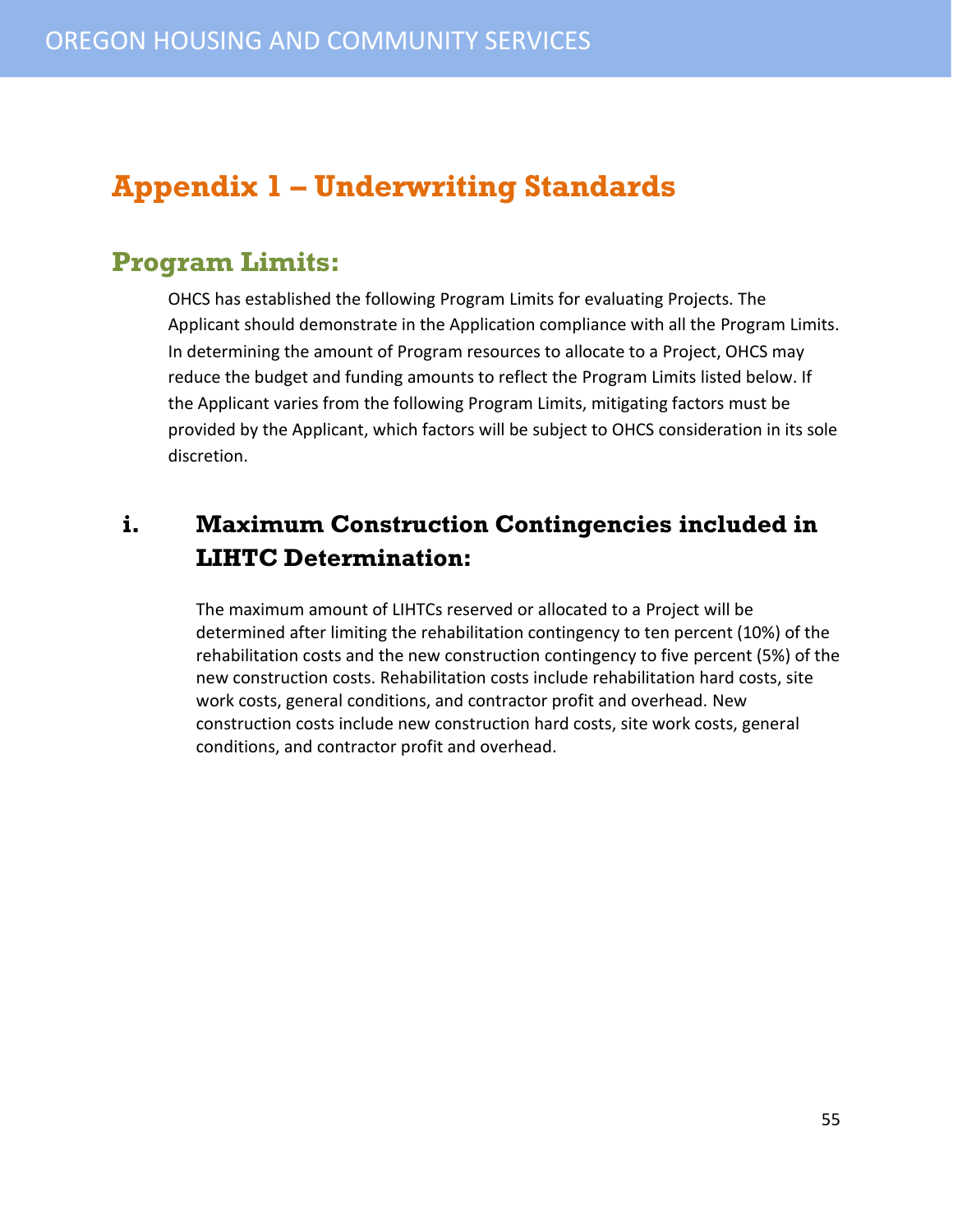## <span id="page-54-0"></span>**Appendix 1 – Underwriting Standards**

#### <span id="page-54-1"></span>**Program Limits:**

OHCS has established the following Program Limits for evaluating Projects. The Applicant should demonstrate in the Application compliance with all the Program Limits. In determining the amount of Program resources to allocate to a Project, OHCS may reduce the budget and funding amounts to reflect the Program Limits listed below. If the Applicant varies from the following Program Limits, mitigating factors must be provided by the Applicant, which factors will be subject to OHCS consideration in its sole discretion.

#### <span id="page-54-2"></span>**i. Maximum Construction Contingencies included in LIHTC Determination:**

The maximum amount of LIHTCs reserved or allocated to a Project will be determined after limiting the rehabilitation contingency to ten percent (10%) of the rehabilitation costs and the new construction contingency to five percent (5%) of the new construction costs. Rehabilitation costs include rehabilitation hard costs, site work costs, general conditions, and contractor profit and overhead. New construction costs include new construction hard costs, site work costs, general conditions, and contractor profit and overhead.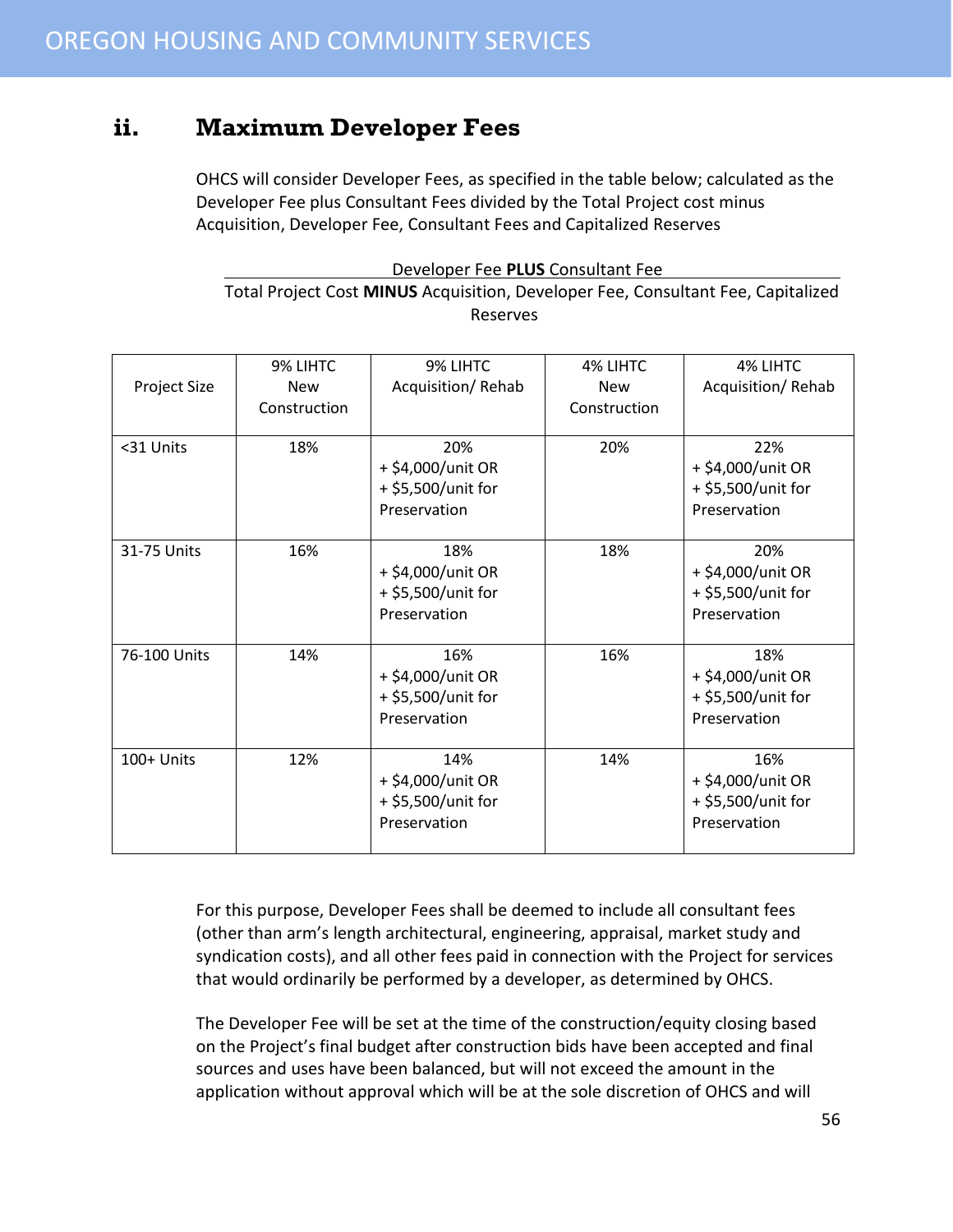#### <span id="page-55-0"></span>**ii. Maximum Developer Fees**

OHCS will consider Developer Fees, as specified in the table below; calculated as the Developer Fee plus Consultant Fees divided by the Total Project cost minus Acquisition, Developer Fee, Consultant Fees and Capitalized Reserves

| Developer Fee PLUS Consultant Fee                                                |  |  |
|----------------------------------------------------------------------------------|--|--|
| Total Project Cost MINUS Acquisition, Developer Fee, Consultant Fee, Capitalized |  |  |
| Reserves                                                                         |  |  |

| Project Size | 9% LIHTC<br><b>New</b><br>Construction | 9% LIHTC<br>Acquisition/Rehab                                  | 4% LIHTC<br><b>New</b><br>Construction | 4% LIHTC<br>Acquisition/Rehab                                  |
|--------------|----------------------------------------|----------------------------------------------------------------|----------------------------------------|----------------------------------------------------------------|
| <31 Units    | 18%                                    | 20%<br>+ \$4,000/unit OR<br>+ \$5,500/unit for<br>Preservation | 20%                                    | 22%<br>+ \$4,000/unit OR<br>+ \$5,500/unit for<br>Preservation |
| 31-75 Units  | 16%                                    | 18%<br>+ \$4,000/unit OR<br>+ \$5,500/unit for<br>Preservation | 18%                                    | 20%<br>+ \$4,000/unit OR<br>+ \$5,500/unit for<br>Preservation |
| 76-100 Units | 14%                                    | 16%<br>+ \$4,000/unit OR<br>+ \$5,500/unit for<br>Preservation | 16%                                    | 18%<br>+ \$4,000/unit OR<br>+ \$5,500/unit for<br>Preservation |
| 100+ Units   | 12%                                    | 14%<br>+ \$4,000/unit OR<br>+ \$5,500/unit for<br>Preservation | 14%                                    | 16%<br>+ \$4,000/unit OR<br>+ \$5,500/unit for<br>Preservation |

For this purpose, Developer Fees shall be deemed to include all consultant fees (other than arm's length architectural, engineering, appraisal, market study and syndication costs), and all other fees paid in connection with the Project for services that would ordinarily be performed by a developer, as determined by OHCS.

The Developer Fee will be set at the time of the construction/equity closing based on the Project's final budget after construction bids have been accepted and final sources and uses have been balanced, but will not exceed the amount in the application without approval which will be at the sole discretion of OHCS and will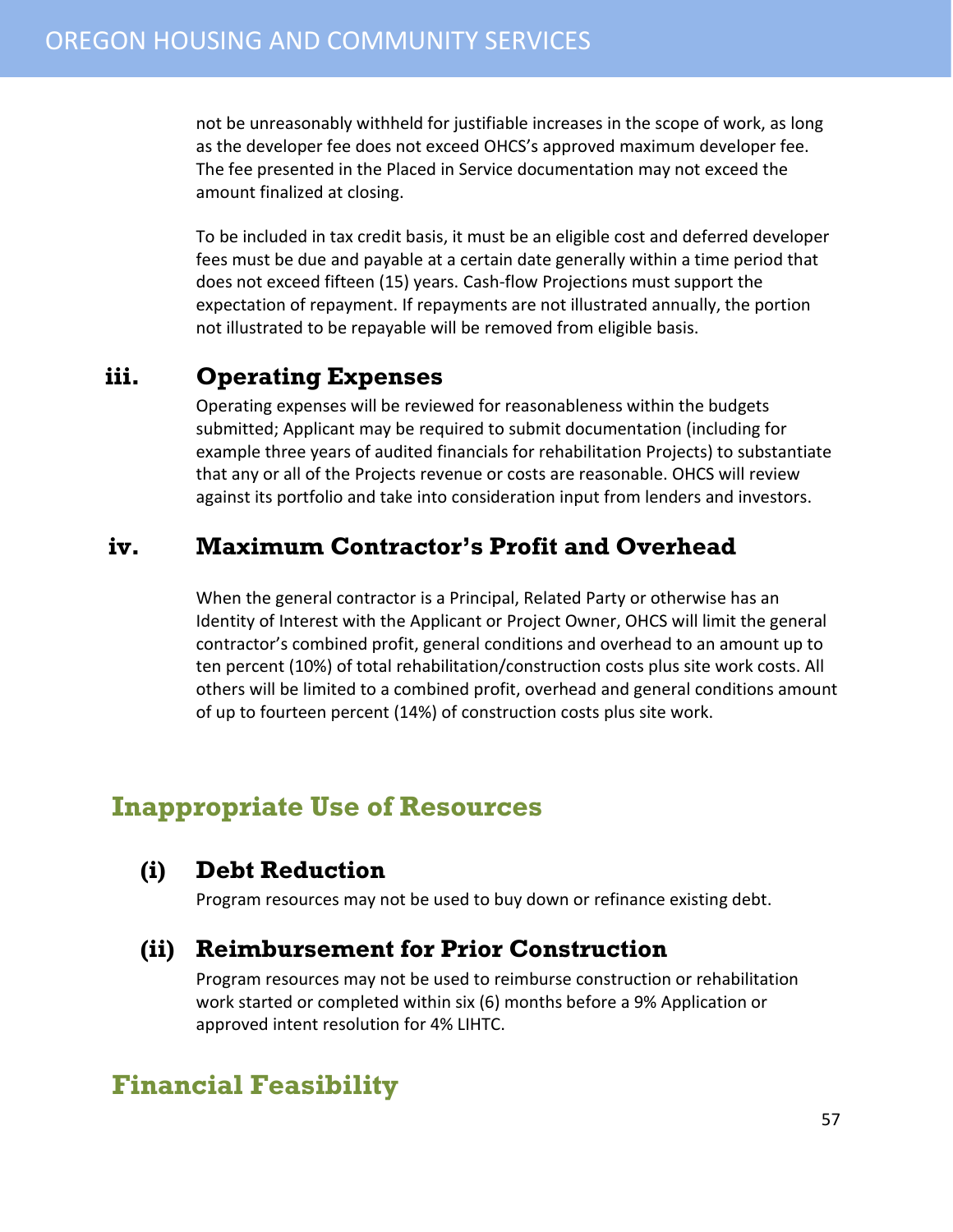not be unreasonably withheld for justifiable increases in the scope of work, as long as the developer fee does not exceed OHCS's approved maximum developer fee. The fee presented in the Placed in Service documentation may not exceed the amount finalized at closing.

To be included in tax credit basis, it must be an eligible cost and deferred developer fees must be due and payable at a certain date generally within a time period that does not exceed fifteen (15) years. Cash-flow Projections must support the expectation of repayment. If repayments are not illustrated annually, the portion not illustrated to be repayable will be removed from eligible basis.

#### <span id="page-56-0"></span>**iii. Operating Expenses**

Operating expenses will be reviewed for reasonableness within the budgets submitted; Applicant may be required to submit documentation (including for example three years of audited financials for rehabilitation Projects) to substantiate that any or all of the Projects revenue or costs are reasonable. OHCS will review against its portfolio and take into consideration input from lenders and investors.

#### <span id="page-56-1"></span>**iv. Maximum Contractor's Profit and Overhead**

When the general contractor is a Principal, Related Party or otherwise has an Identity of Interest with the Applicant or Project Owner, OHCS will limit the general contractor's combined profit, general conditions and overhead to an amount up to ten percent (10%) of total rehabilitation/construction costs plus site work costs. All others will be limited to a combined profit, overhead and general conditions amount of up to fourteen percent (14%) of construction costs plus site work.

#### <span id="page-56-2"></span>**Inappropriate Use of Resources**

#### <span id="page-56-3"></span>**(i) Debt Reduction**

Program resources may not be used to buy down or refinance existing debt.

#### <span id="page-56-4"></span>**(ii) Reimbursement for Prior Construction**

Program resources may not be used to reimburse construction or rehabilitation work started or completed within six (6) months before a 9% Application or approved intent resolution for 4% LIHTC.

#### <span id="page-56-5"></span>**Financial Feasibility**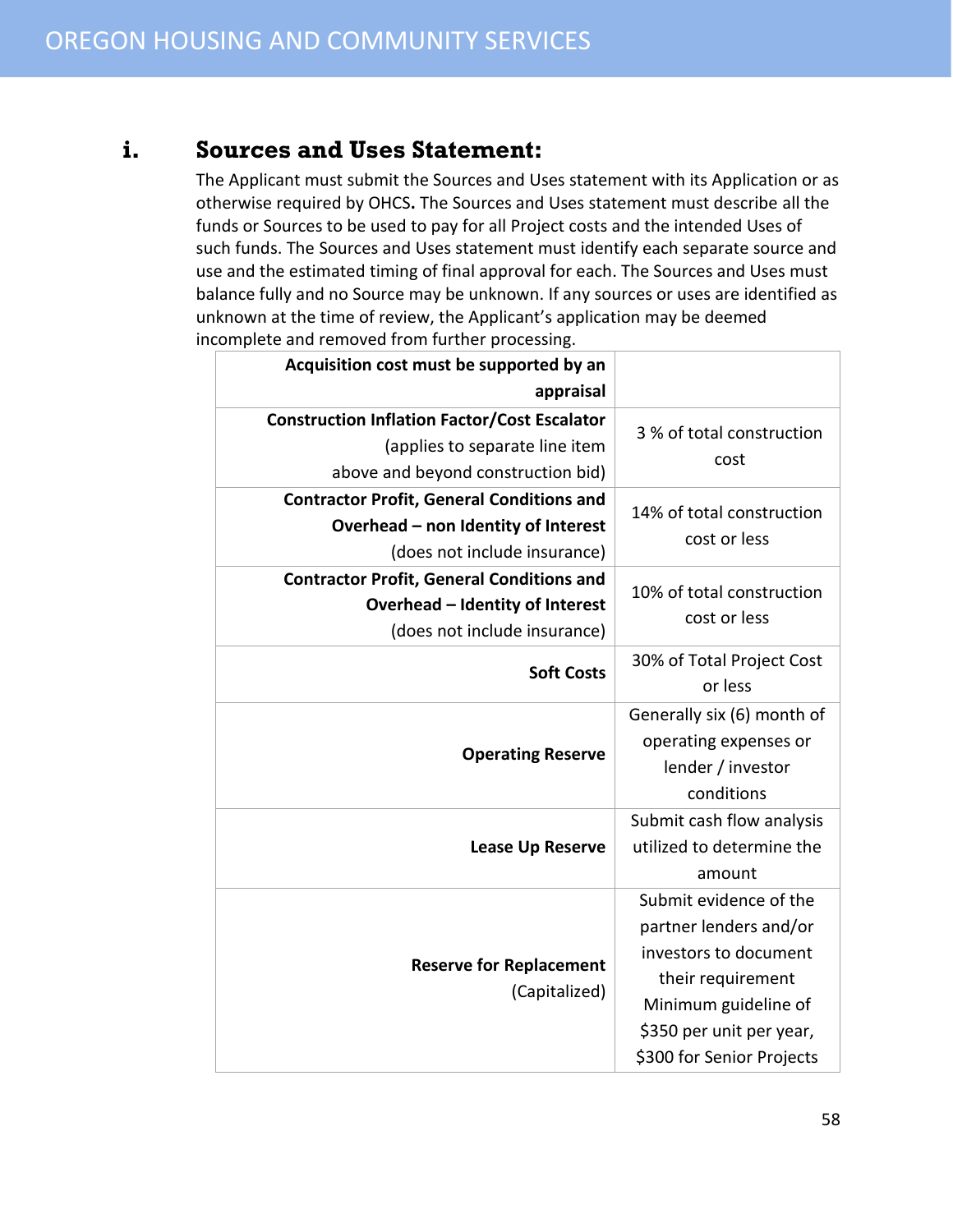#### <span id="page-57-0"></span>**i. Sources and Uses Statement:**

The Applicant must submit the Sources and Uses statement with its Application or as otherwise required by OHCS**.** The Sources and Uses statement must describe all the funds or Sources to be used to pay for all Project costs and the intended Uses of such funds. The Sources and Uses statement must identify each separate source and use and the estimated timing of final approval for each. The Sources and Uses must balance fully and no Source may be unknown. If any sources or uses are identified as unknown at the time of review, the Applicant's application may be deemed incomplete and removed from further processing.

| Acquisition cost must be supported by an            |                            |  |
|-----------------------------------------------------|----------------------------|--|
| appraisal                                           |                            |  |
| <b>Construction Inflation Factor/Cost Escalator</b> | 3 % of total construction  |  |
| (applies to separate line item                      | cost                       |  |
| above and beyond construction bid)                  |                            |  |
| <b>Contractor Profit, General Conditions and</b>    | 14% of total construction  |  |
| Overhead - non Identity of Interest                 | cost or less               |  |
| (does not include insurance)                        |                            |  |
| <b>Contractor Profit, General Conditions and</b>    | 10% of total construction  |  |
| Overhead - Identity of Interest                     | cost or less               |  |
| (does not include insurance)                        |                            |  |
| <b>Soft Costs</b>                                   | 30% of Total Project Cost  |  |
|                                                     | or less                    |  |
|                                                     | Generally six (6) month of |  |
| <b>Operating Reserve</b>                            | operating expenses or      |  |
|                                                     | lender / investor          |  |
|                                                     | conditions                 |  |
|                                                     | Submit cash flow analysis  |  |
| <b>Lease Up Reserve</b>                             | utilized to determine the  |  |
|                                                     | amount                     |  |
|                                                     | Submit evidence of the     |  |
|                                                     | partner lenders and/or     |  |
| <b>Reserve for Replacement</b><br>(Capitalized)     | investors to document      |  |
|                                                     | their requirement          |  |
|                                                     | Minimum guideline of       |  |
|                                                     | \$350 per unit per year,   |  |
|                                                     | \$300 for Senior Projects  |  |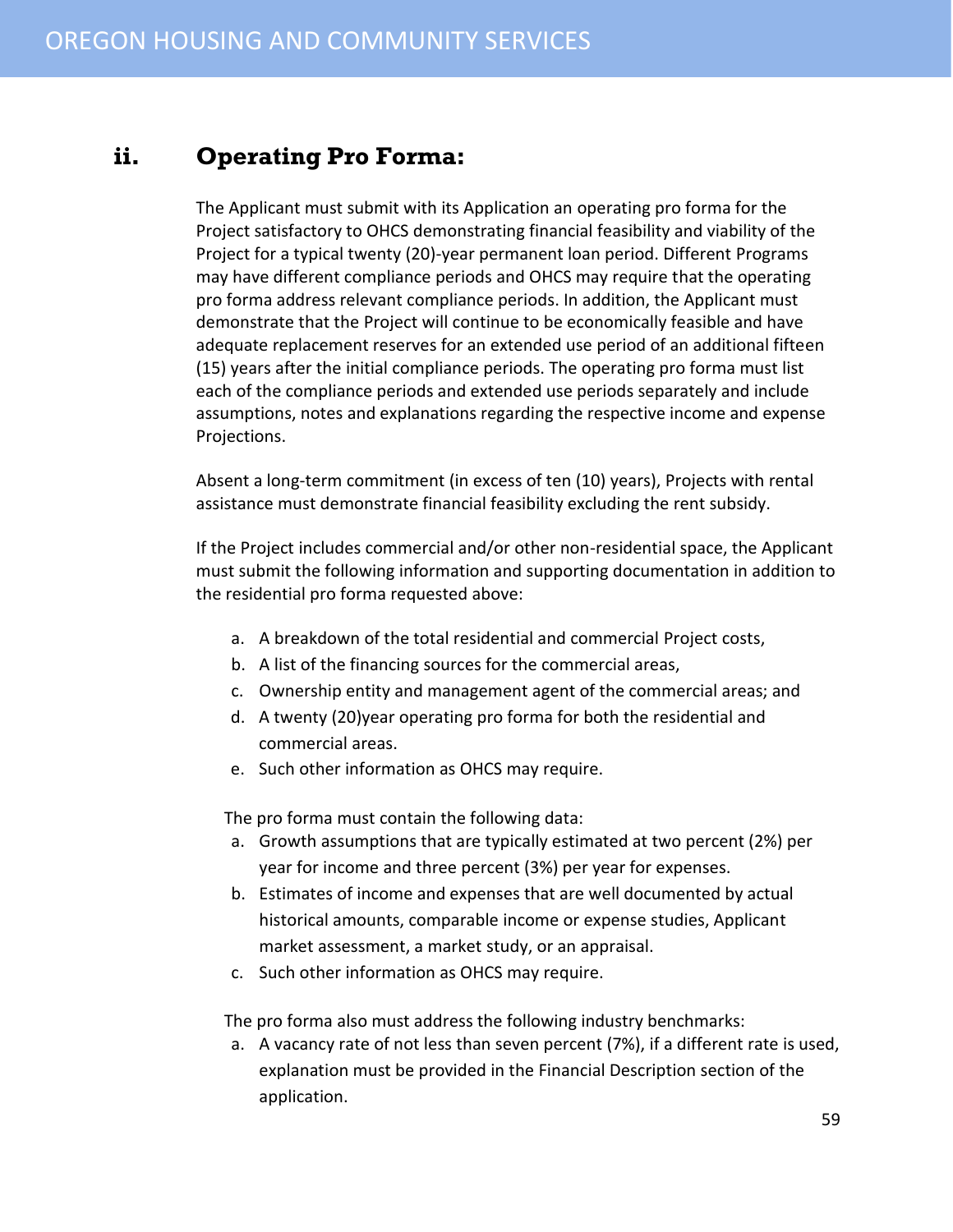#### <span id="page-58-0"></span>**ii. Operating Pro Forma:**

The Applicant must submit with its Application an operating pro forma for the Project satisfactory to OHCS demonstrating financial feasibility and viability of the Project for a typical twenty (20)-year permanent loan period. Different Programs may have different compliance periods and OHCS may require that the operating pro forma address relevant compliance periods. In addition, the Applicant must demonstrate that the Project will continue to be economically feasible and have adequate replacement reserves for an extended use period of an additional fifteen (15) years after the initial compliance periods. The operating pro forma must list each of the compliance periods and extended use periods separately and include assumptions, notes and explanations regarding the respective income and expense Projections.

Absent a long-term commitment (in excess of ten (10) years), Projects with rental assistance must demonstrate financial feasibility excluding the rent subsidy.

If the Project includes commercial and/or other non-residential space, the Applicant must submit the following information and supporting documentation in addition to the residential pro forma requested above:

- a. A breakdown of the total residential and commercial Project costs,
- b. A list of the financing sources for the commercial areas,
- c. Ownership entity and management agent of the commercial areas; and
- d. A twenty (20)year operating pro forma for both the residential and commercial areas.
- e. Such other information as OHCS may require.

The pro forma must contain the following data:

- a. Growth assumptions that are typically estimated at two percent (2%) per year for income and three percent (3%) per year for expenses.
- b. Estimates of income and expenses that are well documented by actual historical amounts, comparable income or expense studies, Applicant market assessment, a market study, or an appraisal.
- c. Such other information as OHCS may require.

The pro forma also must address the following industry benchmarks:

a. A vacancy rate of not less than seven percent (7%), if a different rate is used, explanation must be provided in the Financial Description section of the application.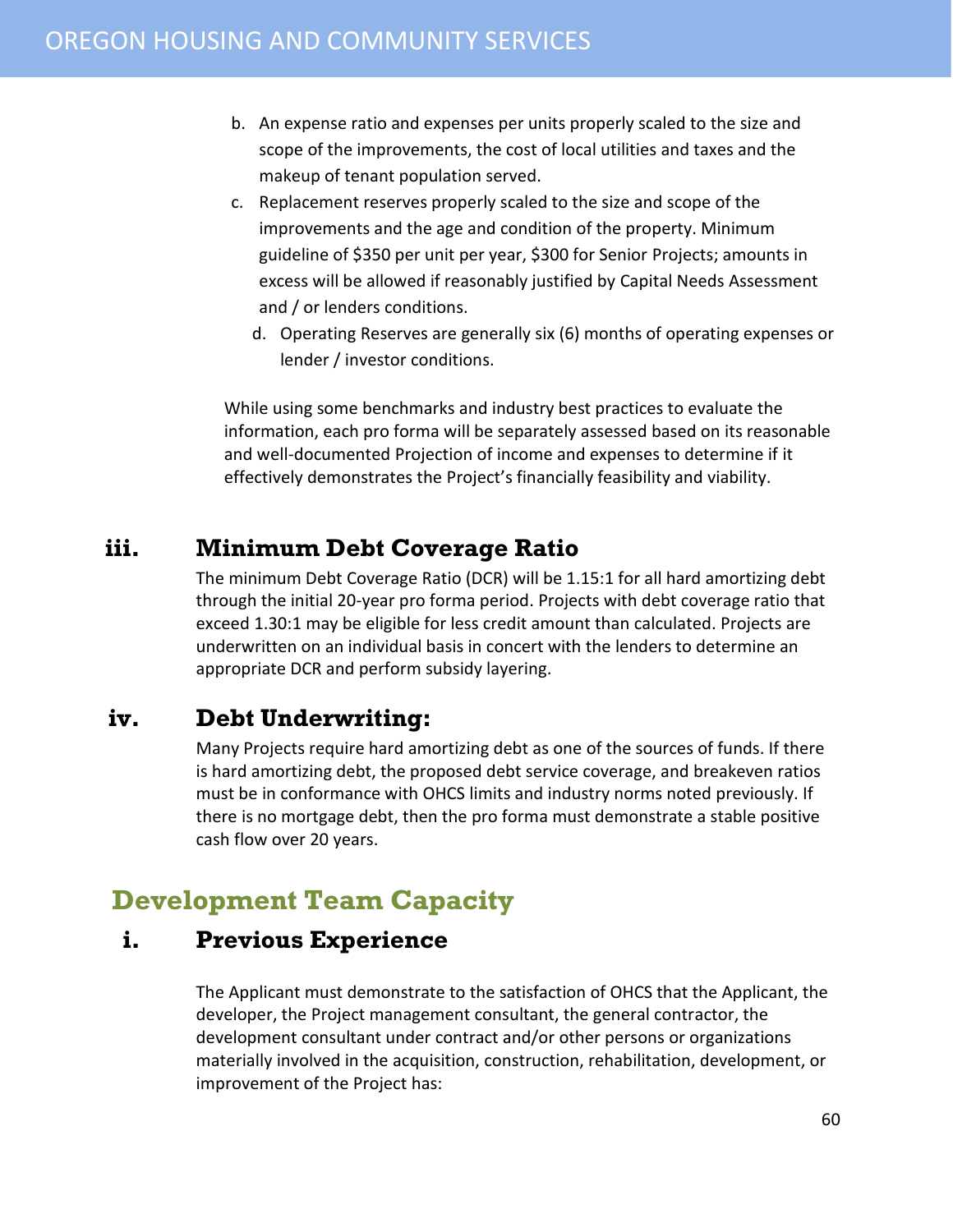- b. An expense ratio and expenses per units properly scaled to the size and scope of the improvements, the cost of local utilities and taxes and the makeup of tenant population served.
- c. Replacement reserves properly scaled to the size and scope of the improvements and the age and condition of the property. Minimum guideline of \$350 per unit per year, \$300 for Senior Projects; amounts in excess will be allowed if reasonably justified by Capital Needs Assessment and / or lenders conditions.
	- d. Operating Reserves are generally six (6) months of operating expenses or lender / investor conditions.

While using some benchmarks and industry best practices to evaluate the information, each pro forma will be separately assessed based on its reasonable and well-documented Projection of income and expenses to determine if it effectively demonstrates the Project's financially feasibility and viability.

#### <span id="page-59-0"></span>**iii. Minimum Debt Coverage Ratio**

The minimum Debt Coverage Ratio (DCR) will be 1.15:1 for all hard amortizing debt through the initial 20-year pro forma period. Projects with debt coverage ratio that exceed 1.30:1 may be eligible for less credit amount than calculated. Projects are underwritten on an individual basis in concert with the lenders to determine an appropriate DCR and perform subsidy layering.

#### <span id="page-59-1"></span>**iv. Debt Underwriting:**

Many Projects require hard amortizing debt as one of the sources of funds. If there is hard amortizing debt, the proposed debt service coverage, and breakeven ratios must be in conformance with OHCS limits and industry norms noted previously. If there is no mortgage debt, then the pro forma must demonstrate a stable positive cash flow over 20 years.

## <span id="page-59-2"></span>**Development Team Capacity**

#### <span id="page-59-3"></span>**i. Previous Experience**

The Applicant must demonstrate to the satisfaction of OHCS that the Applicant, the developer, the Project management consultant, the general contractor, the development consultant under contract and/or other persons or organizations materially involved in the acquisition, construction, rehabilitation, development, or improvement of the Project has: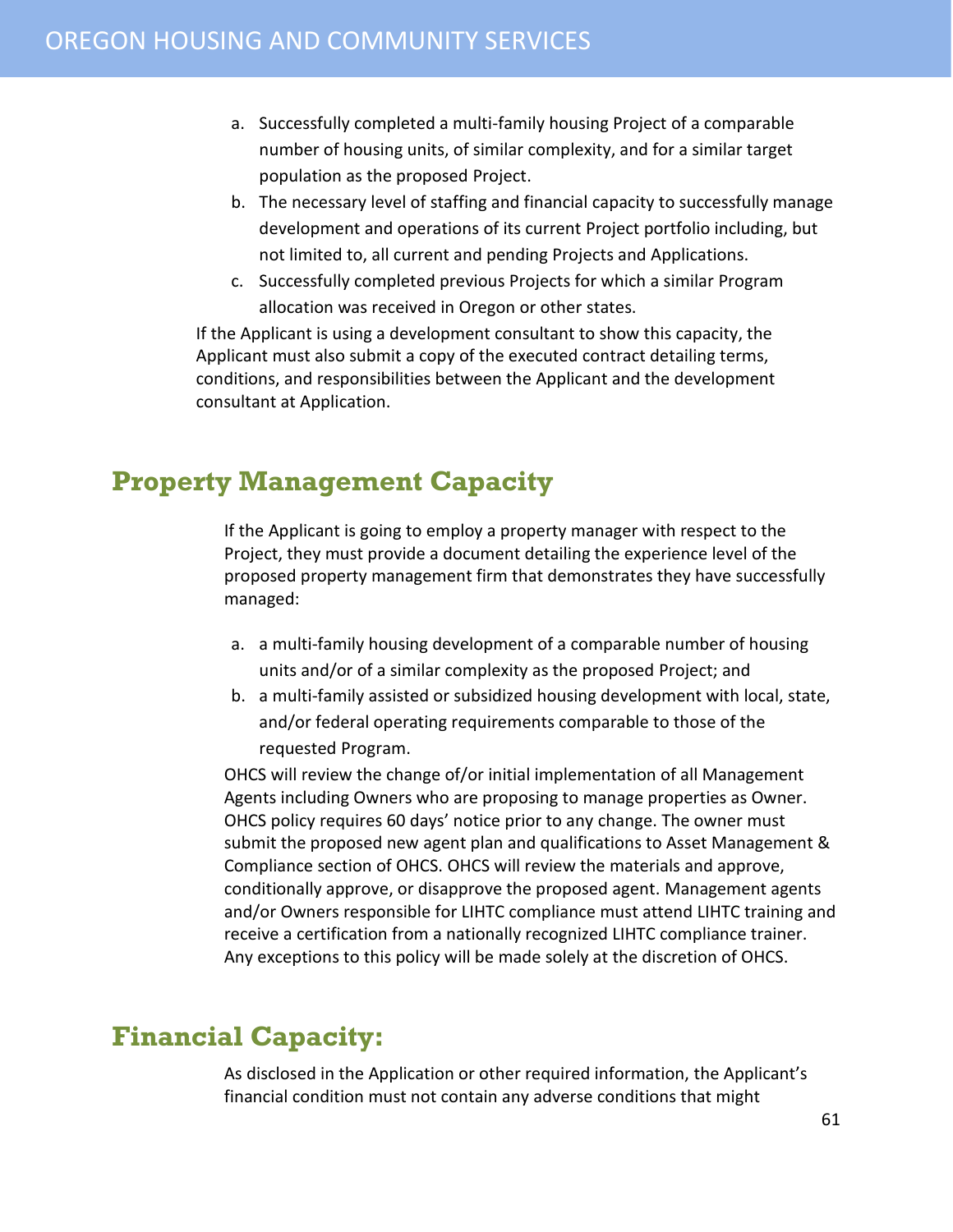- a. Successfully completed a multi-family housing Project of a comparable number of housing units, of similar complexity, and for a similar target population as the proposed Project.
- b. The necessary level of staffing and financial capacity to successfully manage development and operations of its current Project portfolio including, but not limited to, all current and pending Projects and Applications.
- c. Successfully completed previous Projects for which a similar Program allocation was received in Oregon or other states.

If the Applicant is using a development consultant to show this capacity, the Applicant must also submit a copy of the executed contract detailing terms, conditions, and responsibilities between the Applicant and the development consultant at Application.

#### <span id="page-60-0"></span>**Property Management Capacity**

If the Applicant is going to employ a property manager with respect to the Project, they must provide a document detailing the experience level of the proposed property management firm that demonstrates they have successfully managed:

- a. a multi-family housing development of a comparable number of housing units and/or of a similar complexity as the proposed Project; and
- b. a multi-family assisted or subsidized housing development with local, state, and/or federal operating requirements comparable to those of the requested Program.

OHCS will review the change of/or initial implementation of all Management Agents including Owners who are proposing to manage properties as Owner. OHCS policy requires 60 days' notice prior to any change. The owner must submit the proposed new agent plan and qualifications to Asset Management & Compliance section of OHCS. OHCS will review the materials and approve, conditionally approve, or disapprove the proposed agent. Management agents and/or Owners responsible for LIHTC compliance must attend LIHTC training and receive a certification from a nationally recognized LIHTC compliance trainer. Any exceptions to this policy will be made solely at the discretion of OHCS.

#### <span id="page-60-1"></span>**Financial Capacity:**

As disclosed in the Application or other required information, the Applicant's financial condition must not contain any adverse conditions that might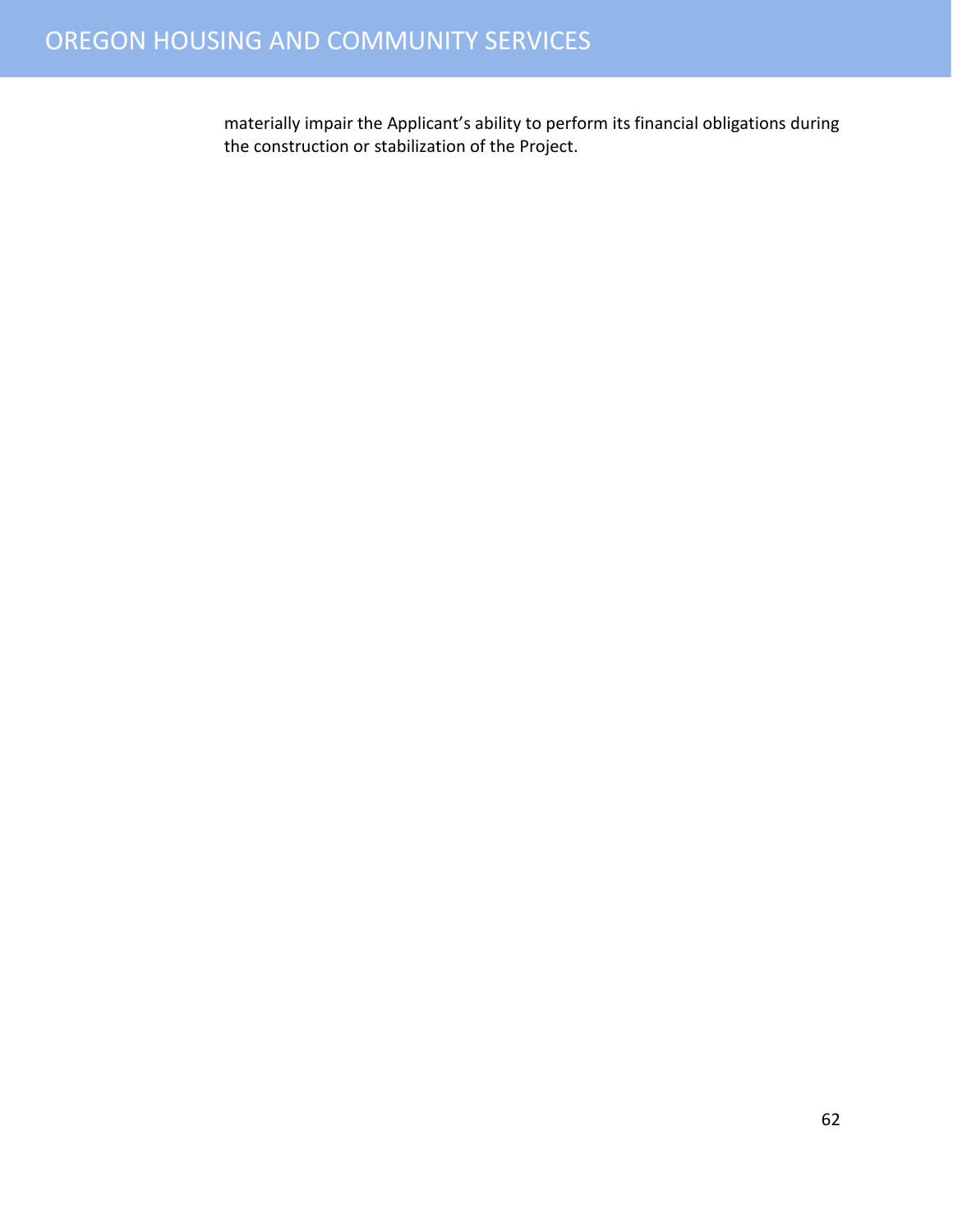#### OREGON HOUSING AND COMMUNITY SERVICES

materially impair the Applicant's ability to perform its financial obligations during the construction or stabilization of the Project.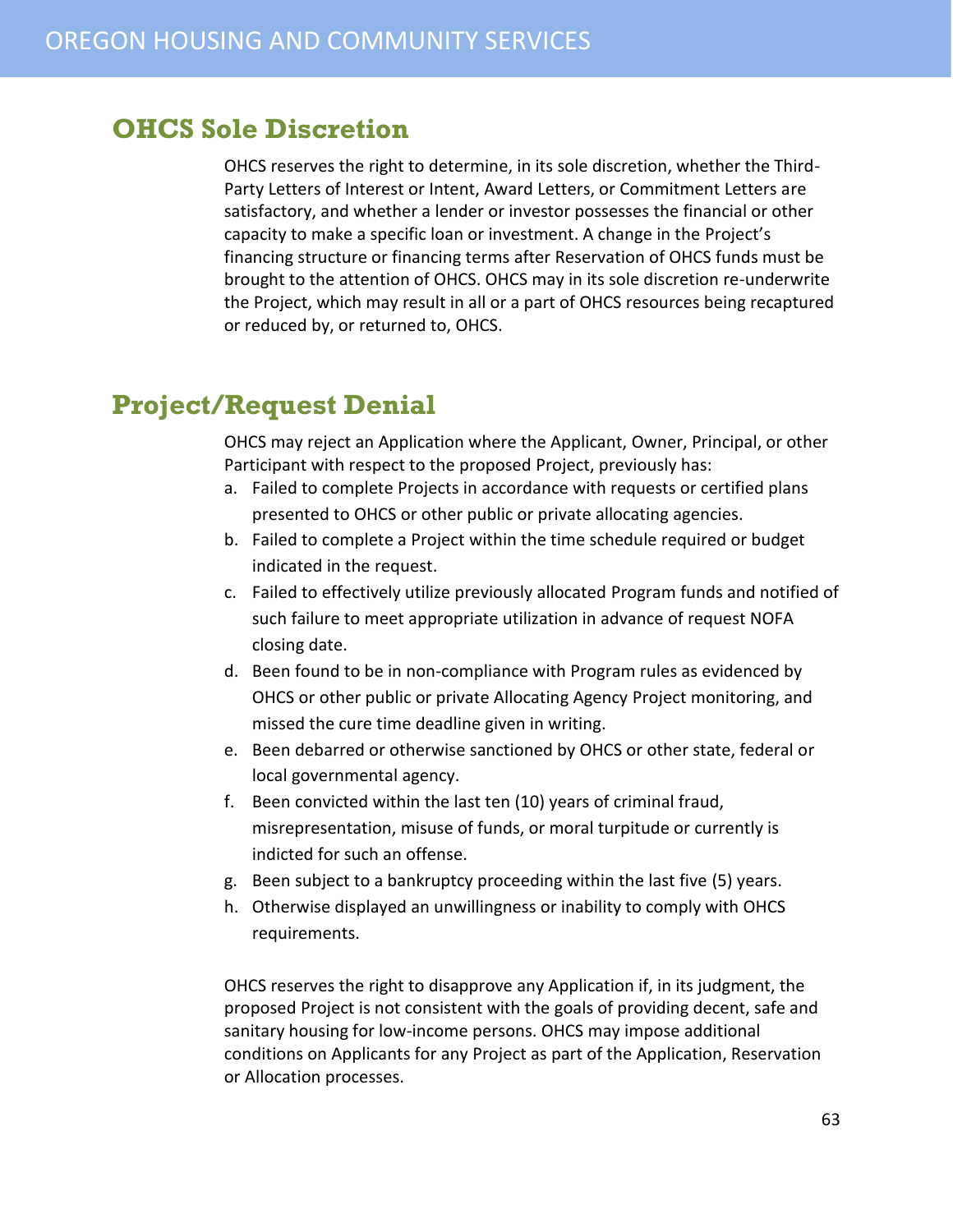#### <span id="page-62-0"></span>**OHCS Sole Discretion**

OHCS reserves the right to determine, in its sole discretion, whether the Third-Party Letters of Interest or Intent, Award Letters, or Commitment Letters are satisfactory, and whether a lender or investor possesses the financial or other capacity to make a specific loan or investment. A change in the Project's financing structure or financing terms after Reservation of OHCS funds must be brought to the attention of OHCS. OHCS may in its sole discretion re-underwrite the Project, which may result in all or a part of OHCS resources being recaptured or reduced by, or returned to, OHCS.

#### <span id="page-62-1"></span>**Project/Request Denial**

OHCS may reject an Application where the Applicant, Owner, Principal, or other Participant with respect to the proposed Project, previously has:

- a. Failed to complete Projects in accordance with requests or certified plans presented to OHCS or other public or private allocating agencies.
- b. Failed to complete a Project within the time schedule required or budget indicated in the request.
- c. Failed to effectively utilize previously allocated Program funds and notified of such failure to meet appropriate utilization in advance of request NOFA closing date.
- d. Been found to be in non-compliance with Program rules as evidenced by OHCS or other public or private Allocating Agency Project monitoring, and missed the cure time deadline given in writing.
- e. Been debarred or otherwise sanctioned by OHCS or other state, federal or local governmental agency.
- f. Been convicted within the last ten (10) years of criminal fraud, misrepresentation, misuse of funds, or moral turpitude or currently is indicted for such an offense.
- g. Been subject to a bankruptcy proceeding within the last five (5) years.
- h. Otherwise displayed an unwillingness or inability to comply with OHCS requirements.

OHCS reserves the right to disapprove any Application if, in its judgment, the proposed Project is not consistent with the goals of providing decent, safe and sanitary housing for low-income persons. OHCS may impose additional conditions on Applicants for any Project as part of the Application, Reservation or Allocation processes.